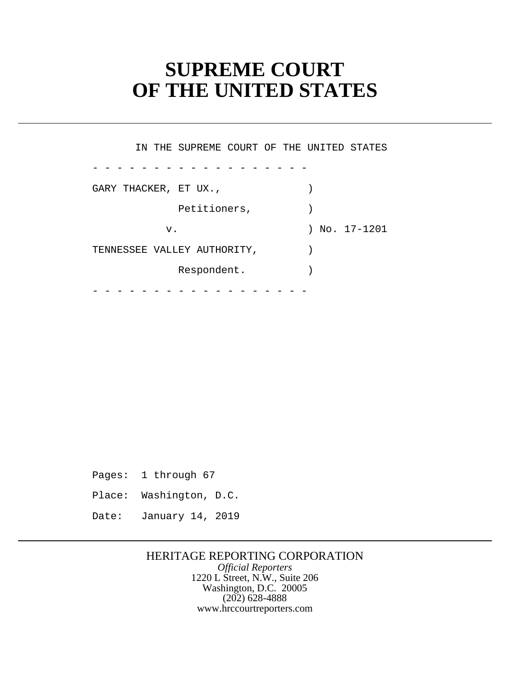# **SUPREME COURT OF THE UNITED STATES**

- - - - - - - - - - - - - - - - - - - - - - - - - - - - - - - - - - - - IN THE SUPREME COURT OF THE UNITED STATES GARY THACKER, ET UX., Petitioners,  $)$  v. ) No. 17-1201 TENNESSEE VALLEY AUTHORITY, ) Respondent.

Pages: 1 through 67

Place: Washington, D.C.

Date: January 14, 2019

### HERITAGE REPORTING CORPORATION

*Official Reporters* 1220 L Street, N.W., Suite 206 Washington, D.C. 20005 (202) 628-4888 <www.hrccourtreporters.com>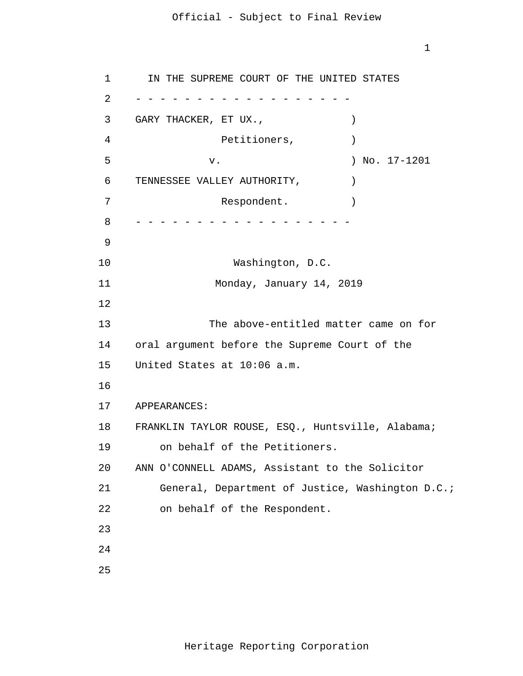1

 1 2 3 4 **5**  $\overline{6}$  7 8 9 10 11 12 13 14 15 16 17 18 19 20 21 22 23 24 25 - - - - - - - - - - - - - - - - - - - - - - - - - - - - - - - - - - - - IN THE SUPREME COURT OF THE UNITED STATES GARY THACKER, ET UX.,  $\qquad \qquad$ Petitioners,  $)$ v. ) No. 17-1201 TENNESSEE VALLEY AUTHORITY,  $|$ Respondent. Washington, D.C. Monday, January 14, 2019 The above-entitled matter came on for oral argument before the Supreme Court of the United States at 10:06 a.m. APPEARANCES: FRANKLIN TAYLOR ROUSE, ESQ., Huntsville, Alabama; on behalf of the Petitioners. ANN O'CONNELL ADAMS, Assistant to the Solicitor General, Department of Justice, Washington D.C.; on behalf of the Respondent.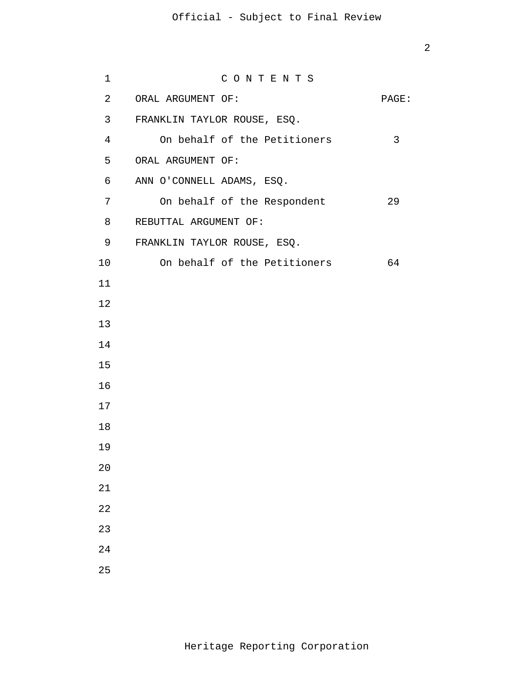| $\mathbf 1$    | CONTENTS                     |       |
|----------------|------------------------------|-------|
| $\overline{a}$ | ORAL ARGUMENT OF:            | PAGE: |
| 3              | FRANKLIN TAYLOR ROUSE, ESQ.  |       |
| $\overline{4}$ | On behalf of the Petitioners | 3     |
| 5              | ORAL ARGUMENT OF:            |       |
| 6              | ANN O'CONNELL ADAMS, ESQ.    |       |
| 7              | On behalf of the Respondent  | 29    |
| 8              | REBUTTAL ARGUMENT OF:        |       |
| 9              | FRANKLIN TAYLOR ROUSE, ESQ.  |       |
| 10             | On behalf of the Petitioners | 64    |
| 11             |                              |       |
| 12             |                              |       |
| 13             |                              |       |
| 14             |                              |       |
| 15             |                              |       |
| 16             |                              |       |
| 17             |                              |       |
| 18             |                              |       |
| 19             |                              |       |
| 20             |                              |       |
| 21             |                              |       |
| 22             |                              |       |
| 23             |                              |       |
| 24             |                              |       |
| 25             |                              |       |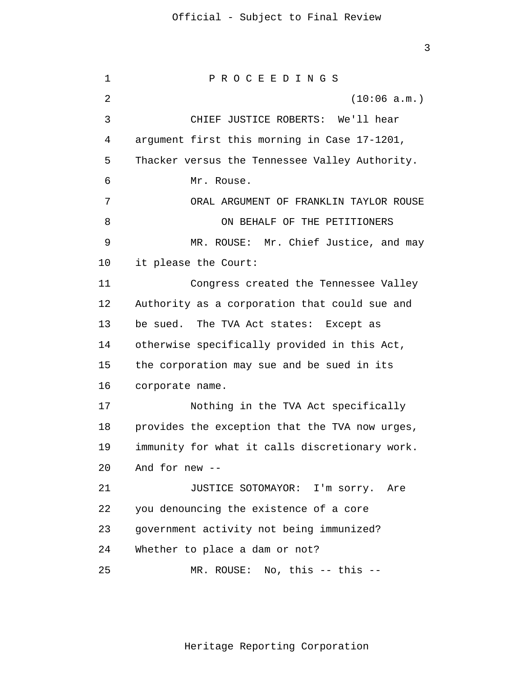1 2 3 4 **5**  $\overline{6}$  7 8 9 10 11 12 13 14 15 16 17 18 19 20 21 22 23 24 25 P R O C E E D I N G S (10:06 a.m.) CHIEF JUSTICE ROBERTS: We'll hear argument first this morning in Case 17-1201, Thacker versus the Tennessee Valley Authority. Mr. Rouse. ORAL ARGUMENT OF FRANKLIN TAYLOR ROUSE ON BEHALF OF THE PETITIONERS MR. ROUSE: Mr. Chief Justice, and may it please the Court: Congress created the Tennessee Valley Authority as a corporation that could sue and be sued. The TVA Act states: Except as otherwise specifically provided in this Act, the corporation may sue and be sued in its corporate name. Nothing in the TVA Act specifically provides the exception that the TVA now urges, immunity for what it calls discretionary work. And for new -- JUSTICE SOTOMAYOR: I'm sorry. Are you denouncing the existence of a core government activity not being immunized? Whether to place a dam or not? MR. ROUSE: No, this -- this --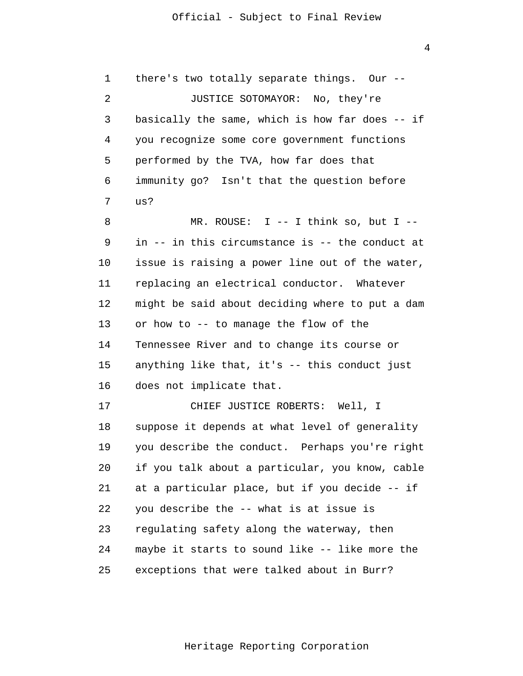1 2 3 4 **5**  $\overline{6}$  7 8 9 10 11 12 13 14 15 16 17 18 19 20 21 22 23 24 there's two totally separate things. Our -- JUSTICE SOTOMAYOR: No, they're basically the same, which is how far does -- if you recognize some core government functions performed by the TVA, how far does that immunity go? Isn't that the question before us? MR. ROUSE: I -- I think so, but I - in -- in this circumstance is -- the conduct at issue is raising a power line out of the water, replacing an electrical conductor. Whatever might be said about deciding where to put a dam or how to -- to manage the flow of the Tennessee River and to change its course or anything like that, it's -- this conduct just does not implicate that. CHIEF JUSTICE ROBERTS: Well, I suppose it depends at what level of generality you describe the conduct. Perhaps you're right if you talk about a particular, you know, cable at a particular place, but if you decide -- if you describe the -- what is at issue is regulating safety along the waterway, then maybe it starts to sound like -- like more the

> 25 exceptions that were talked about in Burr?

> > Heritage Reporting Corporation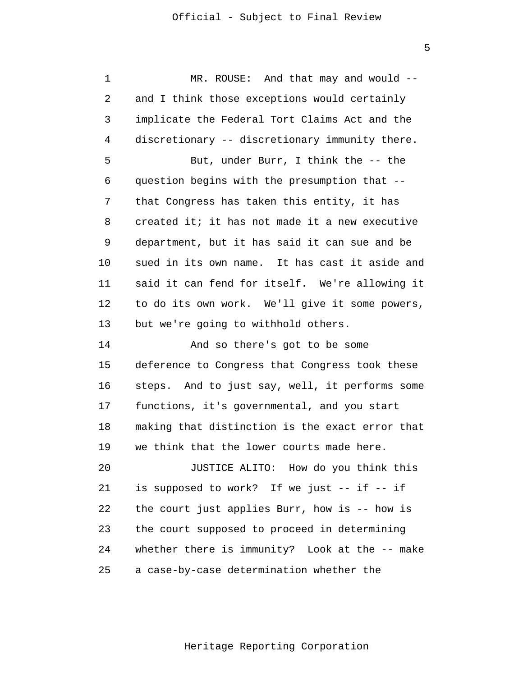1 2 3 4 **5**  $\overline{6}$  7 8 9 10 11 12 13 MR. ROUSE: And that may and would - and I think those exceptions would certainly implicate the Federal Tort Claims Act and the discretionary -- discretionary immunity there. But, under Burr, I think the -- the question begins with the presumption that - that Congress has taken this entity, it has created it; it has not made it a new executive department, but it has said it can sue and be sued in its own name. It has cast it aside and said it can fend for itself. We're allowing it to do its own work. We'll give it some powers, but we're going to withhold others.

> 14 15 16 17 18 19 20 21 22 23 24 And so there's got to be some deference to Congress that Congress took these steps. And to just say, well, it performs some functions, it's governmental, and you start making that distinction is the exact error that we think that the lower courts made here. JUSTICE ALITO: How do you think this is supposed to work? If we just -- if -- if the court just applies Burr, how is -- how is the court supposed to proceed in determining whether there is immunity? Look at the -- make

 25 a case-by-case determination whether the

Heritage Reporting Corporation

 $\overline{5}$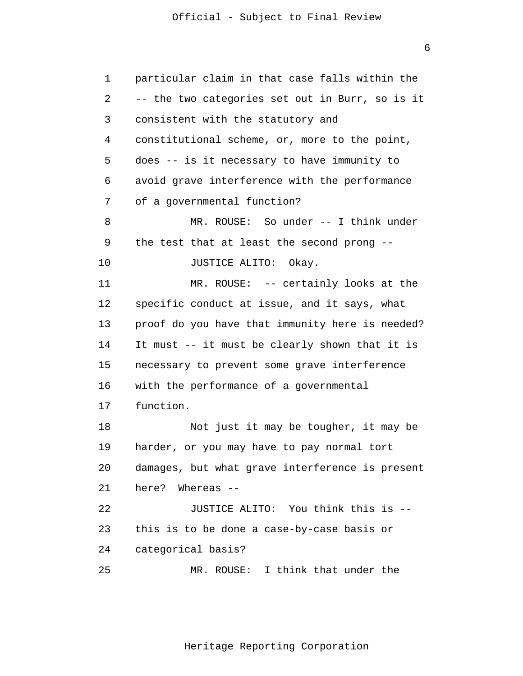1 2 3 4 **5**  $\overline{6}$  7 8 9 10 11 12 13 14 15 16 17 18 19 20 21 22 23 24 25 particular claim in that case falls within the -- the two categories set out in Burr, so is it consistent with the statutory and constitutional scheme, or, more to the point, does -- is it necessary to have immunity to avoid grave interference with the performance of a governmental function? MR. ROUSE: So under -- I think under the test that at least the second prong -- JUSTICE ALITO: Okay. MR. ROUSE: -- certainly looks at the specific conduct at issue, and it says, what proof do you have that immunity here is needed? It must -- it must be clearly shown that it is necessary to prevent some grave interference with the performance of a governmental function. Not just it may be tougher, it may be harder, or you may have to pay normal tort damages, but what grave interference is present here? Whereas -- JUSTICE ALITO: You think this is - this is to be done a case-by-case basis or categorical basis? MR. ROUSE: I think that under the

Heritage Reporting Corporation

 $\overline{6}$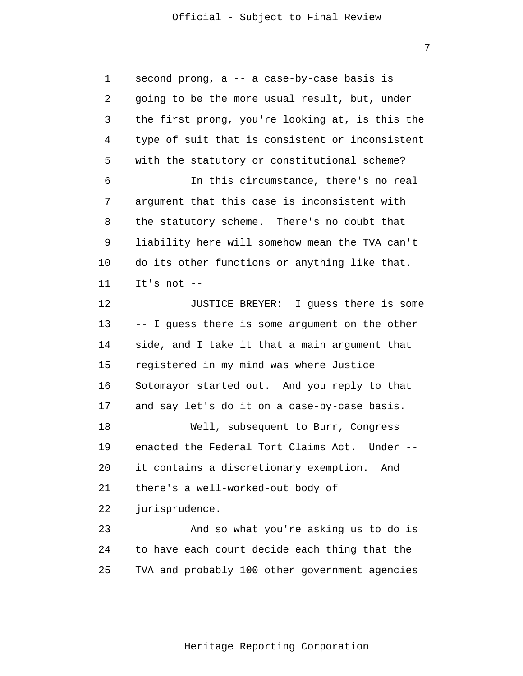7 second prong, a -- a case-by-case basis is going to be the more usual result, but, under the first prong, you're looking at, is this the type of suit that is consistent or inconsistent with the statutory or constitutional scheme? In this circumstance, there's no real argument that this case is inconsistent with the statutory scheme. There's no doubt that liability here will somehow mean the TVA can't do its other functions or anything like that.

> 11 It's not  $-$

1

2

3

4

**5** 

 $\overline{6}$ 

7

8

9

10

 12 13 14 15 16 17 JUSTICE BREYER: I guess there is some -- I guess there is some argument on the other side, and I take it that a main argument that registered in my mind was where Justice Sotomayor started out. And you reply to that and say let's do it on a case-by-case basis.

 18 19 20 21 22 Well, subsequent to Burr, Congress enacted the Federal Tort Claims Act. Under - it contains a discretionary exemption. And there's a well-worked-out body of jurisprudence.

 23 24 25 And so what you're asking us to do is to have each court decide each thing that the TVA and probably 100 other government agencies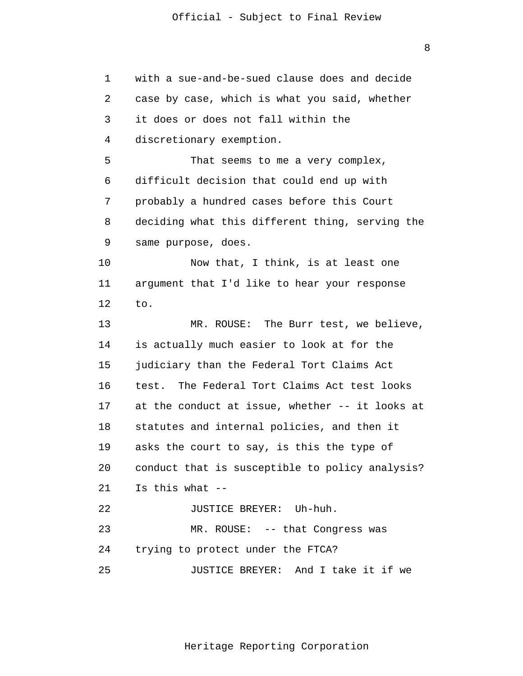| $\mathbf 1$ | with a sue-and-be-sued clause does and decide   |
|-------------|-------------------------------------------------|
| 2           | case by case, which is what you said, whether   |
| 3           | it does or does not fall within the             |
| 4           | discretionary exemption.                        |
| 5           | That seems to me a very complex,                |
| 6           | difficult decision that could end up with       |
| 7           | probably a hundred cases before this Court      |
| 8           | deciding what this different thing, serving the |
| 9           | same purpose, does.                             |
| 10          | Now that, I think, is at least one              |
| 11          | argument that I'd like to hear your response    |
| 12          | to.                                             |
| 13          | The Burr test, we believe,<br>MR. ROUSE:        |
| 14          | is actually much easier to look at for the      |
| 15          | judiciary than the Federal Tort Claims Act      |
| 16          | The Federal Tort Claims Act test looks<br>test. |
| 17          | at the conduct at issue, whether -- it looks at |
| 18          | statutes and internal policies, and then it     |
| 19          | asks the court to say, is this the type of      |
| 20          | conduct that is susceptible to policy analysis? |
| 21          | Is this what --                                 |
| 22          | JUSTICE BREYER: Uh-huh.                         |
| 23          | MR. ROUSE: -- that Congress was                 |
| 24          | trying to protect under the FTCA?               |
| 25          | JUSTICE BREYER: And I take it if we             |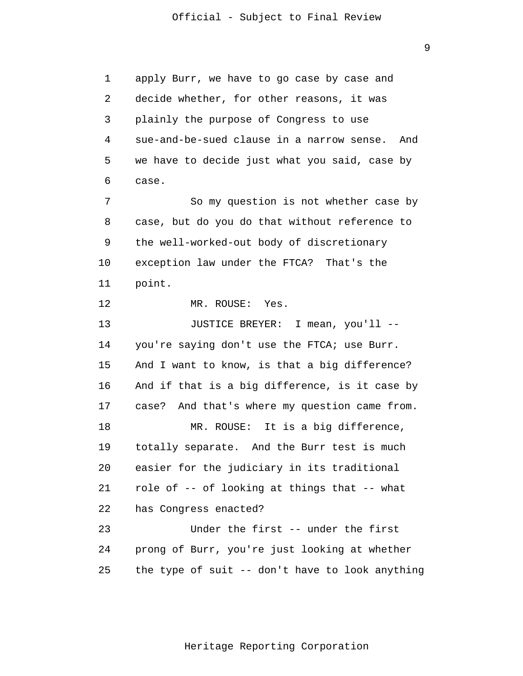1 2 3 4 **5**  $\overline{6}$  7 8 9 10 11 12 13 14 15 16 17 18 19 20 21 22 23 24 25 apply Burr, we have to go case by case and decide whether, for other reasons, it was plainly the purpose of Congress to use sue-and-be-sued clause in a narrow sense. And we have to decide just what you said, case by case. So my question is not whether case by case, but do you do that without reference to the well-worked-out body of discretionary exception law under the FTCA? That's the point. MR. ROUSE: Yes. JUSTICE BREYER: I mean, you'll - you're saying don't use the FTCA; use Burr. And I want to know, is that a big difference? And if that is a big difference, is it case by case? And that's where my question came from. MR. ROUSE: It is a big difference, totally separate. And the Burr test is much easier for the judiciary in its traditional role of -- of looking at things that -- what has Congress enacted? Under the first -- under the first prong of Burr, you're just looking at whether the type of suit -- don't have to look anything

Heritage Reporting Corporation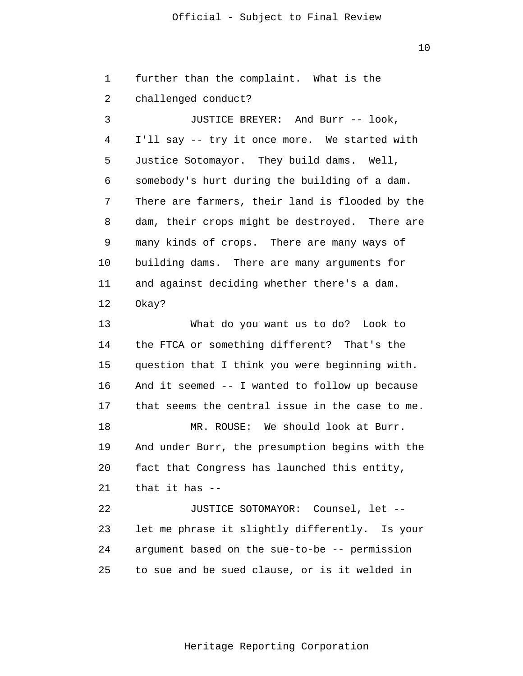10

 1 2 3 4 **5**  $\overline{6}$  7 8 9 10 11 12 13 14 15 16 17 18 19 20 21 22 23 24 25 further than the complaint. What is the challenged conduct? JUSTICE BREYER: And Burr -- look, I'll say -- try it once more. We started with Justice Sotomayor. They build dams. Well, somebody's hurt during the building of a dam. There are farmers, their land is flooded by the dam, their crops might be destroyed. There are many kinds of crops. There are many ways of building dams. There are many arguments for and against deciding whether there's a dam. Okay? What do you want us to do? Look to the FTCA or something different? That's the question that I think you were beginning with. And it seemed -- I wanted to follow up because that seems the central issue in the case to me. MR. ROUSE: We should look at Burr. And under Burr, the presumption begins with the fact that Congress has launched this entity, that it has -- JUSTICE SOTOMAYOR: Counsel, let - let me phrase it slightly differently. Is your argument based on the sue-to-be -- permission to sue and be sued clause, or is it welded in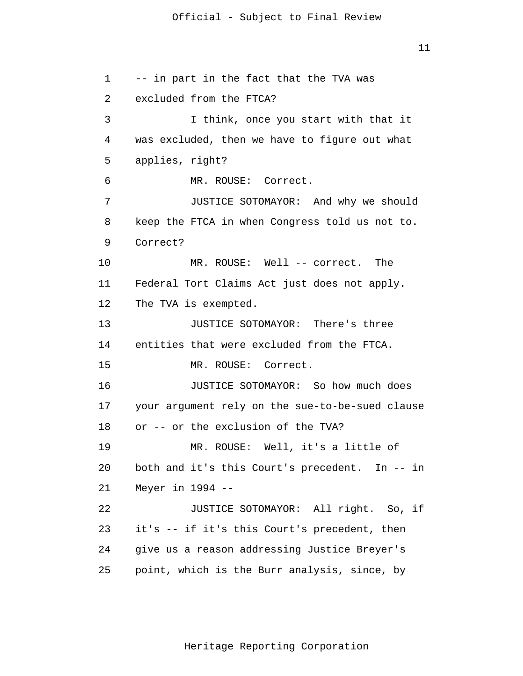```
 1 
 2 
 3 
 4 
5
\overline{6} 7 
 8 
 9 
            10 
            11 
            12 
            13 
            14 
            15 
            16 
            17 
            18 
            19 
            20 
            21 
            22 
            23 
            24 
            25 
                 -- in part in the fact that the TVA was 
                 excluded from the FTCA? 
                          I think, once you start with that it 
                 was excluded, then we have to figure out what 
                 applies, right? 
                         MR. ROUSE: Correct. 
                          JUSTICE SOTOMAYOR: And why we should 
                 keep the FTCA in when Congress told us not to. 
                 Correct? 
                         MR. ROUSE: Well -- correct. The 
                 Federal Tort Claims Act just does not apply. 
                 The TVA is exempted. 
                          JUSTICE SOTOMAYOR: There's three 
                 entities that were excluded from the FTCA. 
                          MR. ROUSE: Correct. 
                          JUSTICE SOTOMAYOR: So how much does 
                 your argument rely on the sue-to-be-sued clause 
                 or -- or the exclusion of the TVA? 
                          MR. ROUSE: Well, it's a little of 
                 both and it's this Court's precedent. In -- in 
                 Meyer in 1994 --
                          JUSTICE SOTOMAYOR: All right. So, if 
                 it's -- if it's this Court's precedent, then 
                 give us a reason addressing Justice Breyer's 
                 point, which is the Burr analysis, since, by
```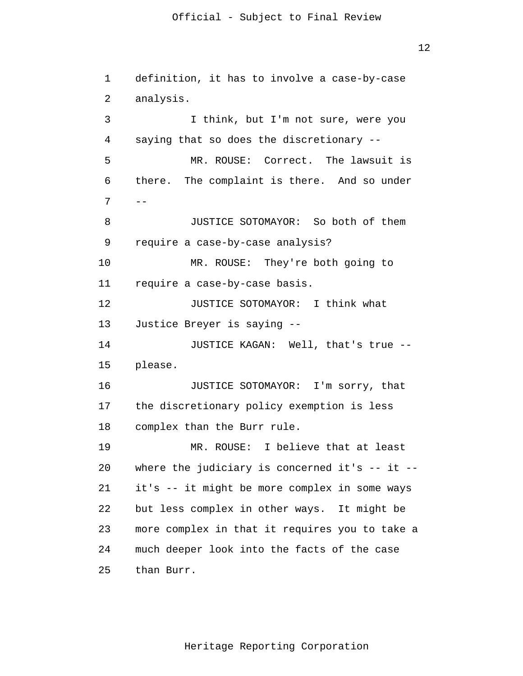definition, it has to involve a case-by-case analysis. I think, but I'm not sure, were you saying that so does the discretionary -- MR. ROUSE: Correct. The lawsuit is there. The complaint is there. And so under  $-$ JUSTICE SOTOMAYOR: So both of them require a case-by-case analysis? MR. ROUSE: They're both going to require a case-by-case basis. JUSTICE SOTOMAYOR: I think what Justice Breyer is saying -- JUSTICE KAGAN: Well, that's true - please. JUSTICE SOTOMAYOR: I'm sorry, that the discretionary policy exemption is less complex than the Burr rule. MR. ROUSE: I believe that at least where the judiciary is concerned it's  $--$  it  $-$ it's -- it might be more complex in some ways but less complex in other ways. It might be more complex in that it requires you to take a

 25 than Burr.

1

2

3

4

**5** 

 $\overline{6}$ 

7

8

9

10

11

12

13

14

15

16

17

18

19

20

21

22

23

24

Heritage Reporting Corporation

much deeper look into the facts of the case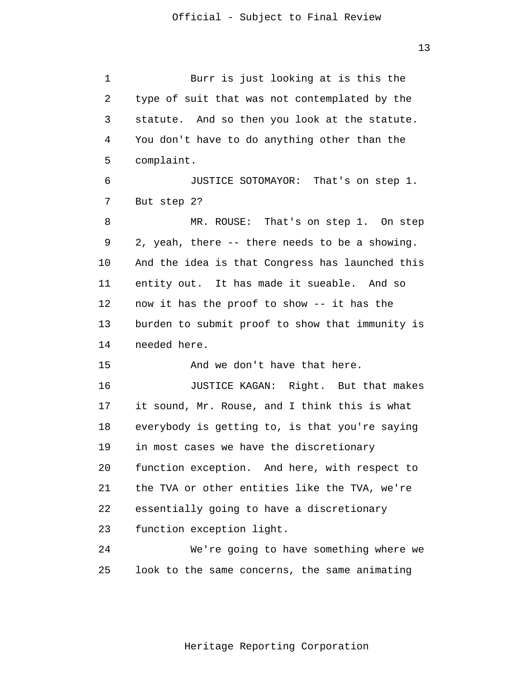1 2 3 4 **5**  $\overline{6}$  7 8 9 10 11 12 13 14 15 16 17 18 19 20 21 22 23 24 25 Burr is just looking at is this the type of suit that was not contemplated by the statute. And so then you look at the statute. You don't have to do anything other than the complaint. JUSTICE SOTOMAYOR: That's on step 1. But step 2? MR. ROUSE: That's on step 1. On step 2, yeah, there -- there needs to be a showing. And the idea is that Congress has launched this entity out. It has made it sueable. And so now it has the proof to show -- it has the burden to submit proof to show that immunity is needed here. And we don't have that here. JUSTICE KAGAN: Right. But that makes it sound, Mr. Rouse, and I think this is what everybody is getting to, is that you're saying in most cases we have the discretionary function exception. And here, with respect to the TVA or other entities like the TVA, we're essentially going to have a discretionary function exception light. We're going to have something where we look to the same concerns, the same animating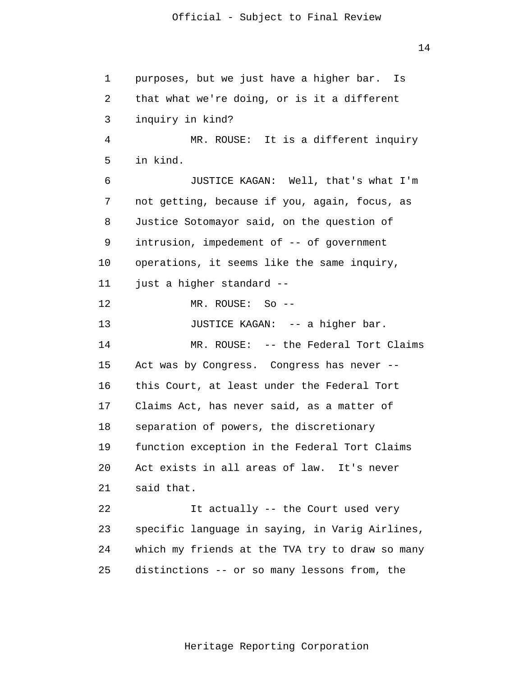14

| $\mathbf 1$ | purposes, but we just have a higher bar.<br>Is  |
|-------------|-------------------------------------------------|
| 2           | that what we're doing, or is it a different     |
| 3           | inquiry in kind?                                |
| 4           | MR. ROUSE: It is a different inquiry            |
| 5           | in kind.                                        |
| 6           | JUSTICE KAGAN: Well, that's what I'm            |
| 7           | not getting, because if you, again, focus, as   |
| 8           | Justice Sotomayor said, on the question of      |
| 9           | intrusion, impedement of -- of government       |
| 10          | operations, it seems like the same inquiry,     |
| 11          | just a higher standard --                       |
| 12          | MR. ROUSE: So --                                |
| 13          | JUSTICE KAGAN: -- a higher bar.                 |
| 14          | MR. ROUSE: -- the Federal Tort Claims           |
| 15          | Act was by Congress. Congress has never --      |
| 16          | this Court, at least under the Federal Tort     |
| 17          | Claims Act, has never said, as a matter of      |
| 18          | separation of powers, the discretionary         |
| 19          | function exception in the Federal Tort Claims   |
| 20          | Act exists in all areas of law. It's never      |
| 21          | said that.                                      |
| 22          | It actually -- the Court used very              |
| 23          | specific language in saying, in Varig Airlines, |
| 24          | which my friends at the TVA try to draw so many |
| 25          | distinctions -- or so many lessons from, the    |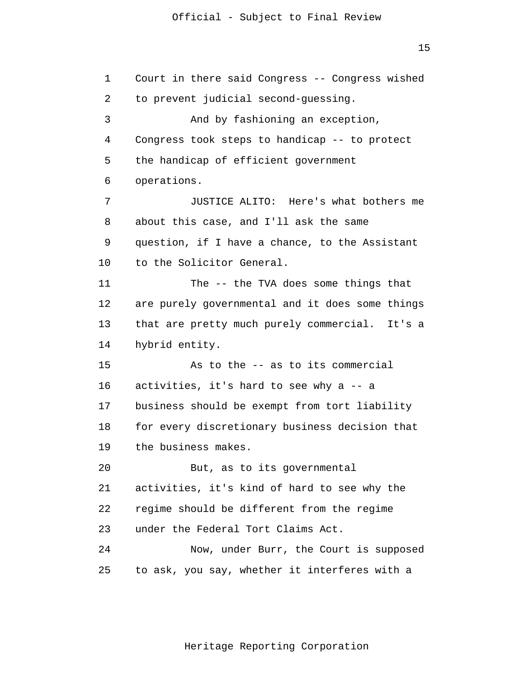15

 1 2 3 4 **5**  $\overline{6}$  7 8 9 10 11 12 13 14 15 16 17 18 19 20 21 22 23 24 25 Court in there said Congress -- Congress wished to prevent judicial second-guessing. And by fashioning an exception, Congress took steps to handicap -- to protect the handicap of efficient government operations. JUSTICE ALITO: Here's what bothers me about this case, and I'll ask the same question, if I have a chance, to the Assistant to the Solicitor General. The -- the TVA does some things that are purely governmental and it does some things that are pretty much purely commercial. It's a hybrid entity. As to the -- as to its commercial activities, it's hard to see why a -- a business should be exempt from tort liability for every discretionary business decision that the business makes. But, as to its governmental activities, it's kind of hard to see why the regime should be different from the regime under the Federal Tort Claims Act. Now, under Burr, the Court is supposed to ask, you say, whether it interferes with a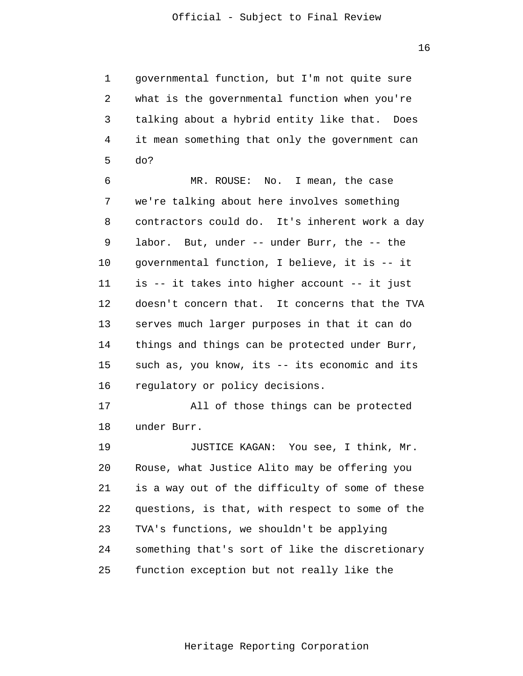1 2 3 4 **5** governmental function, but I'm not quite sure what is the governmental function when you're talking about a hybrid entity like that. Does it mean something that only the government can do?

 $\overline{6}$  7 8 9 10 11 12 13 14 15 16 MR. ROUSE: No. I mean, the case we're talking about here involves something contractors could do. It's inherent work a day labor. But, under -- under Burr, the -- the governmental function, I believe, it is -- it is -- it takes into higher account -- it just doesn't concern that. It concerns that the TVA serves much larger purposes in that it can do things and things can be protected under Burr, such as, you know, its -- its economic and its regulatory or policy decisions.

> 17 18 All of those things can be protected under Burr.

 19 20 21 22 23 24 25 JUSTICE KAGAN: You see, I think, Mr. Rouse, what Justice Alito may be offering you is a way out of the difficulty of some of these questions, is that, with respect to some of the TVA's functions, we shouldn't be applying something that's sort of like the discretionary function exception but not really like the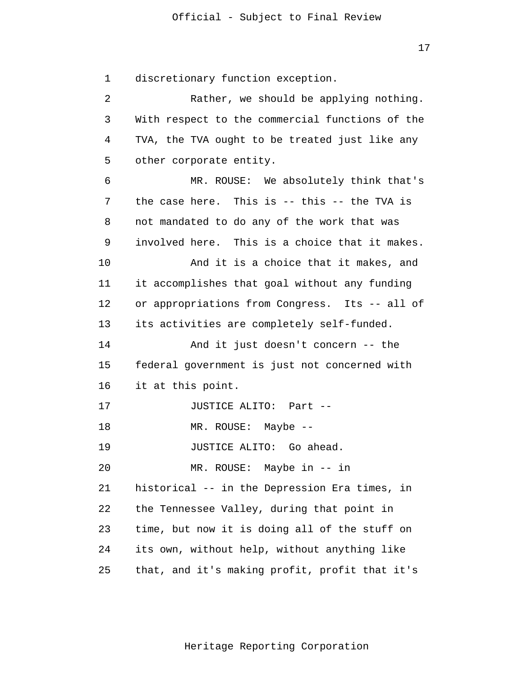1 2 3 4 **5**  $\overline{6}$  7 8 9 10 11 12 13 14 15 16 17 18 19 20 21 22 23 24 25 discretionary function exception. Rather, we should be applying nothing. With respect to the commercial functions of the TVA, the TVA ought to be treated just like any other corporate entity. MR. ROUSE: We absolutely think that's the case here. This is -- this -- the TVA is not mandated to do any of the work that was involved here. This is a choice that it makes. And it is a choice that it makes, and it accomplishes that goal without any funding or appropriations from Congress. Its -- all of its activities are completely self-funded. And it just doesn't concern -- the federal government is just not concerned with it at this point. JUSTICE ALITO: Part -- MR. ROUSE: Maybe -- JUSTICE ALITO: Go ahead. MR. ROUSE: Maybe in -- in historical -- in the Depression Era times, in the Tennessee Valley, during that point in time, but now it is doing all of the stuff on its own, without help, without anything like that, and it's making profit, profit that it's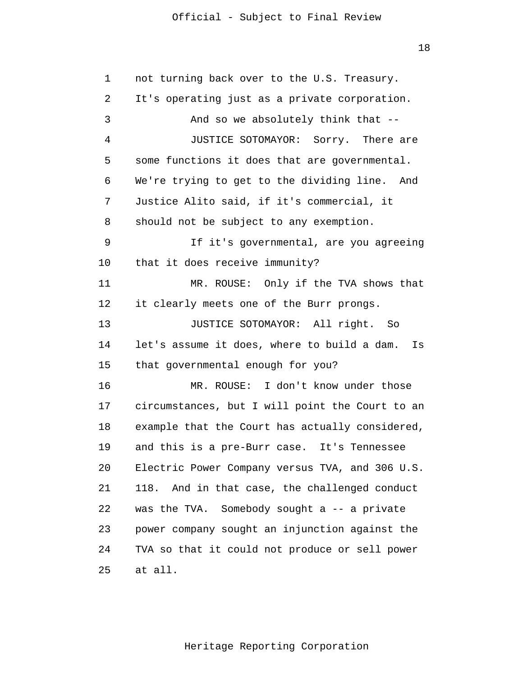18

 1 2 3 4 **5**  $\overline{6}$  7 8 9 10 11 12 13 14 15 16 17 18 19 20 21 22 23 24 25 not turning back over to the U.S. Treasury. It's operating just as a private corporation. And so we absolutely think that -- JUSTICE SOTOMAYOR: Sorry. There are some functions it does that are governmental. We're trying to get to the dividing line. And Justice Alito said, if it's commercial, it should not be subject to any exemption. If it's governmental, are you agreeing that it does receive immunity? MR. ROUSE: Only if the TVA shows that it clearly meets one of the Burr prongs. JUSTICE SOTOMAYOR: All right. So let's assume it does, where to build a dam. Is that governmental enough for you? MR. ROUSE: I don't know under those circumstances, but I will point the Court to an example that the Court has actually considered, and this is a pre-Burr case. It's Tennessee Electric Power Company versus TVA, and 306 U.S. 118. And in that case, the challenged conduct was the TVA. Somebody sought a -- a private power company sought an injunction against the TVA so that it could not produce or sell power at all.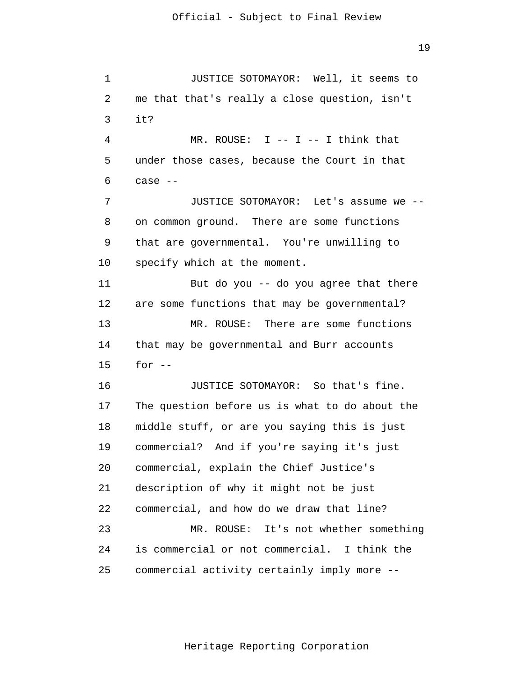1 2 3 4 **5**  $\overline{6}$  7 8 9 10 11 12 13 14 15 16 17 18 19 20 21 22 23 24 25 JUSTICE SOTOMAYOR: Well, it seems to me that that's really a close question, isn't it? MR. ROUSE:  $I$  --  $I$  --  $I$  think that under those cases, because the Court in that case -- JUSTICE SOTOMAYOR: Let's assume we - on common ground. There are some functions that are governmental. You're unwilling to specify which at the moment. But do you -- do you agree that there are some functions that may be governmental? MR. ROUSE: There are some functions that may be governmental and Burr accounts for  $--$ JUSTICE SOTOMAYOR: So that's fine. The question before us is what to do about the middle stuff, or are you saying this is just commercial? And if you're saying it's just commercial, explain the Chief Justice's description of why it might not be just commercial, and how do we draw that line? MR. ROUSE: It's not whether something is commercial or not commercial. I think the commercial activity certainly imply more --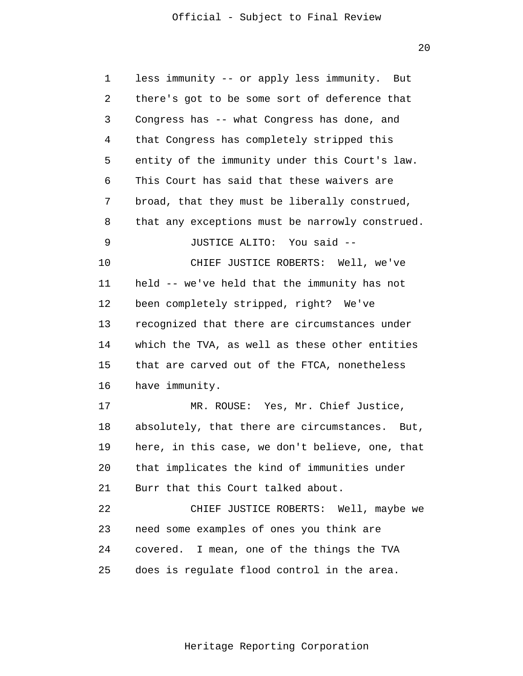20

| 1  | less immunity -- or apply less immunity.<br>But |
|----|-------------------------------------------------|
| 2  | there's got to be some sort of deference that   |
| 3  | Congress has -- what Congress has done, and     |
| 4  | that Congress has completely stripped this      |
| 5  | entity of the immunity under this Court's law.  |
| 6  | This Court has said that these waivers are      |
| 7  | broad, that they must be liberally construed,   |
| 8  | that any exceptions must be narrowly construed. |
| 9  | JUSTICE ALITO: You said --                      |
| 10 | CHIEF JUSTICE ROBERTS: Well, we've              |
| 11 | held -- we've held that the immunity has not    |
| 12 | been completely stripped, right? We've          |
| 13 | recognized that there are circumstances under   |
| 14 | which the TVA, as well as these other entities  |
| 15 | that are carved out of the FTCA, nonetheless    |
| 16 | have immunity.                                  |
| 17 | MR. ROUSE: Yes, Mr. Chief Justice,              |
| 18 | absolutely, that there are circumstances. But,  |
| 19 | here, in this case, we don't believe, one, that |
| 20 | that implicates the kind of immunities under    |
| 21 | Burr that this Court talked about.              |
| 22 | CHIEF JUSTICE ROBERTS: Well, maybe we           |
| 23 | need some examples of ones you think are        |
| 24 | covered. I mean, one of the things the TVA      |
| 25 | does is regulate flood control in the area.     |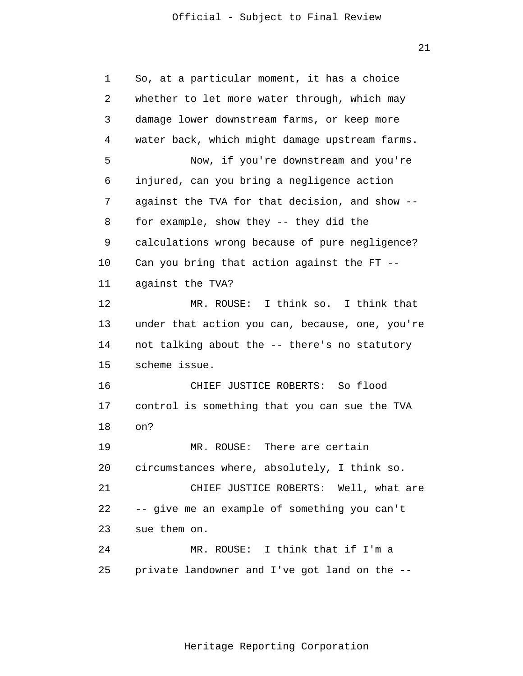21

| 1  | So, at a particular moment, it has a choice     |
|----|-------------------------------------------------|
| 2  | whether to let more water through, which may    |
| 3  | damage lower downstream farms, or keep more     |
| 4  | water back, which might damage upstream farms.  |
| 5  | Now, if you're downstream and you're            |
| 6  | injured, can you bring a negligence action      |
| 7  | against the TVA for that decision, and show --  |
| 8  | for example, show they -- they did the          |
| 9  | calculations wrong because of pure negligence?  |
| 10 | Can you bring that action against the FT --     |
| 11 | against the TVA?                                |
| 12 | MR. ROUSE: I think so. I think that             |
| 13 | under that action you can, because, one, you're |
| 14 | not talking about the -- there's no statutory   |
| 15 | scheme issue.                                   |
| 16 | CHIEF JUSTICE ROBERTS: So flood                 |
| 17 | control is something that you can sue the TVA   |
| 18 | on?                                             |
| 19 | There are certain<br>MR. ROUSE:                 |
| 20 | circumstances where, absolutely, I think so.    |
| 21 | CHIEF JUSTICE ROBERTS: Well, what are           |
| 22 | -- give me an example of something you can't    |
| 23 | sue them on.                                    |
| 24 | MR. ROUSE: I think that if I'm a                |
| 25 | private landowner and I've got land on the --   |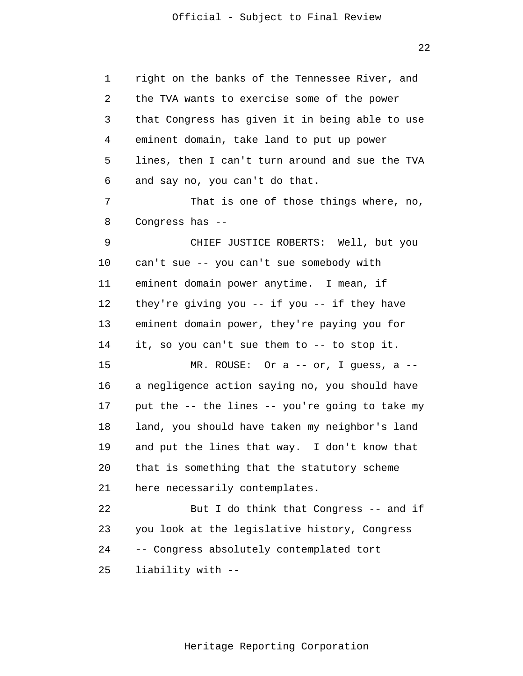1 2 3 4 **5**  $\overline{6}$  7 8 9 10 11 12 13 14 15 16 17 18 19 20 21 22 23 24 25 right on the banks of the Tennessee River, and the TVA wants to exercise some of the power that Congress has given it in being able to use eminent domain, take land to put up power lines, then I can't turn around and sue the TVA and say no, you can't do that. That is one of those things where, no, Congress has -- CHIEF JUSTICE ROBERTS: Well, but you can't sue -- you can't sue somebody with eminent domain power anytime. I mean, if they're giving you -- if you -- if they have eminent domain power, they're paying you for it, so you can't sue them to -- to stop it. MR. ROUSE: Or a -- or, I guess, a - a negligence action saying no, you should have put the -- the lines -- you're going to take my land, you should have taken my neighbor's land and put the lines that way. I don't know that that is something that the statutory scheme here necessarily contemplates. But I do think that Congress -- and if you look at the legislative history, Congress -- Congress absolutely contemplated tort liability with --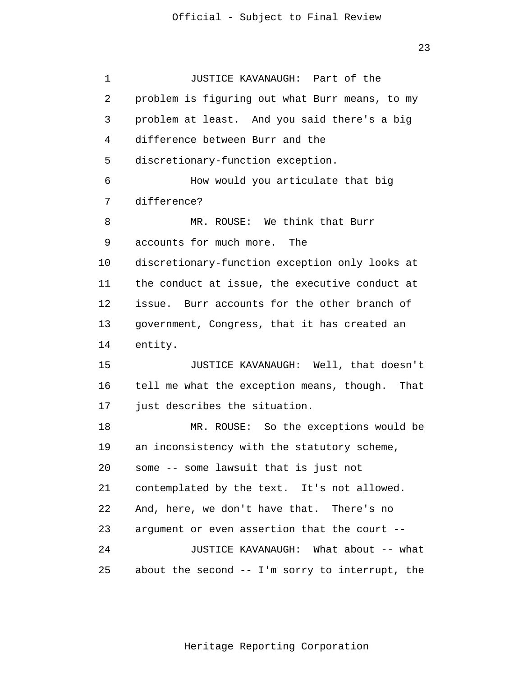1 2 3 4 **5**  $\overline{6}$  7 8 9 10 11 12 13 14 15 16 17 18 19 20 21 22 23 24 25 JUSTICE KAVANAUGH: Part of the problem is figuring out what Burr means, to my problem at least. And you said there's a big difference between Burr and the discretionary-function exception. How would you articulate that big difference? MR. ROUSE: We think that Burr accounts for much more. The discretionary-function exception only looks at the conduct at issue, the executive conduct at issue. Burr accounts for the other branch of government, Congress, that it has created an entity. JUSTICE KAVANAUGH: Well, that doesn't tell me what the exception means, though. That just describes the situation. MR. ROUSE: So the exceptions would be an inconsistency with the statutory scheme, some -- some lawsuit that is just not contemplated by the text. It's not allowed. And, here, we don't have that. There's no argument or even assertion that the court -- JUSTICE KAVANAUGH: What about -- what about the second -- I'm sorry to interrupt, the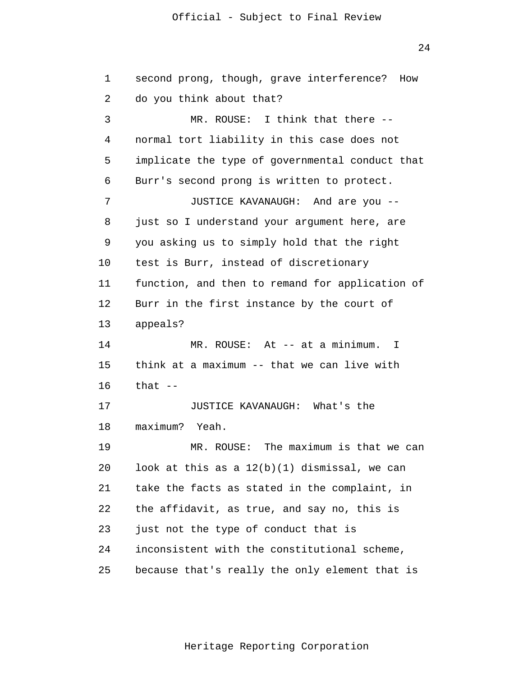24

| 1  | second prong, though, grave interference?<br>How |
|----|--------------------------------------------------|
| 2  | do you think about that?                         |
| 3  | MR. ROUSE: I think that there --                 |
| 4  | normal tort liability in this case does not      |
| 5  | implicate the type of governmental conduct that  |
| 6  | Burr's second prong is written to protect.       |
| 7  | JUSTICE KAVANAUGH: And are you --                |
| 8  | just so I understand your argument here, are     |
| 9  | you asking us to simply hold that the right      |
| 10 | test is Burr, instead of discretionary           |
| 11 | function, and then to remand for application of  |
| 12 | Burr in the first instance by the court of       |
| 13 | appeals?                                         |
| 14 | MR. ROUSE: At -- at a minimum.<br>$\mathbf{I}$   |
| 15 | think at a maximum -- that we can live with      |
| 16 | that $--$                                        |
| 17 | JUSTICE KAVANAUGH: What's the                    |
| 18 | maximum?<br>Yeah.                                |
| 19 | MR. ROUSE: The maximum is that we can            |
| 20 | look at this as a $12(b)(1)$ dismissal, we can   |
| 21 | take the facts as stated in the complaint, in    |
| 22 | the affidavit, as true, and say no, this is      |
| 23 | just not the type of conduct that is             |
| 24 | inconsistent with the constitutional scheme,     |
| 25 | because that's really the only element that is   |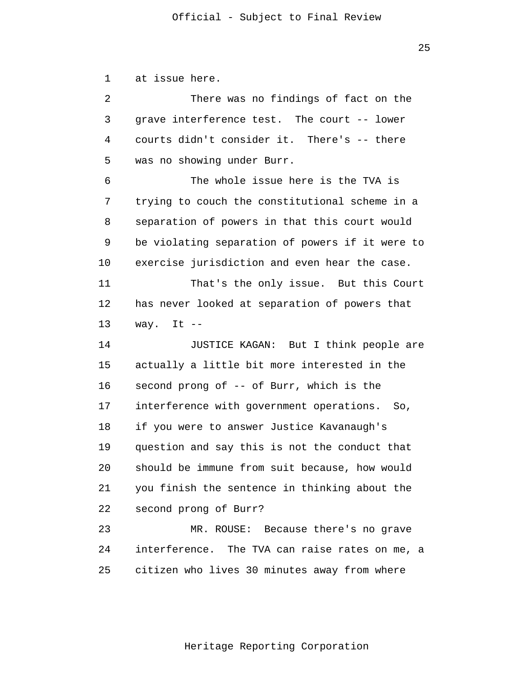<u>25 and 25 and 25 and 25 and 25 and 25 and 25 and 25 and 25 and 25 and 25 and 25 and 25 and 25 and 25 and 25 and 25 and 25 and 25 and 25 and 25 and 25 and 25 and 25 and 25 and 26 and 26 and 26 and 26 and 26 and 26 and 26 a</u>

 1 2 3 4 **5**  $\overline{6}$  7 8 9 10 11 12 13 14 15 16 17 18 19 20 21 22 23 24 25 at issue here. There was no findings of fact on the grave interference test. The court -- lower courts didn't consider it. There's -- there was no showing under Burr. The whole issue here is the TVA is trying to couch the constitutional scheme in a separation of powers in that this court would be violating separation of powers if it were to exercise jurisdiction and even hear the case. That's the only issue. But this Court has never looked at separation of powers that way. It  $-$ JUSTICE KAGAN: But I think people are actually a little bit more interested in the second prong of -- of Burr, which is the interference with government operations. So, if you were to answer Justice Kavanaugh's question and say this is not the conduct that should be immune from suit because, how would you finish the sentence in thinking about the second prong of Burr? MR. ROUSE: Because there's no grave interference. The TVA can raise rates on me, a citizen who lives 30 minutes away from where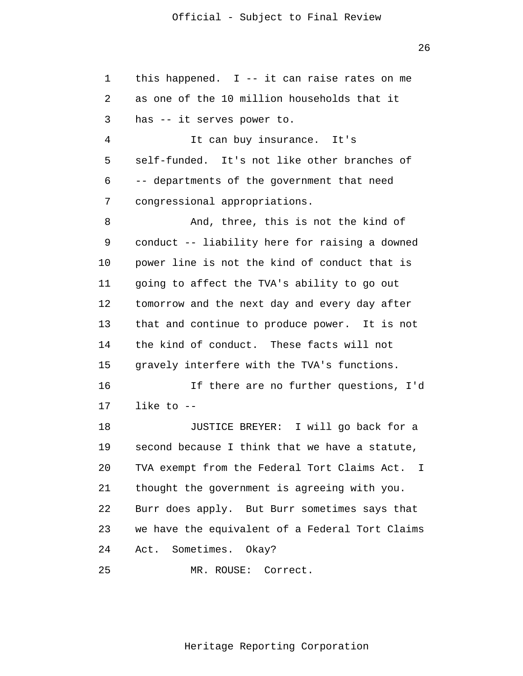| $\mathbf 1$ | this happened. $I$ -- it can raise rates on me  |
|-------------|-------------------------------------------------|
| 2           | as one of the 10 million households that it     |
| 3           | has -- it serves power to.                      |
| 4           | It can buy insurance. It's                      |
| 5           | self-funded. It's not like other branches of    |
| 6           | -- departments of the government that need      |
| 7           | congressional appropriations.                   |
| 8           | And, three, this is not the kind of             |
| 9           | conduct -- liability here for raising a downed  |
| 10          | power line is not the kind of conduct that is   |
| 11          | going to affect the TVA's ability to go out     |
| 12          | tomorrow and the next day and every day after   |
| 13          | that and continue to produce power. It is not   |
| 14          | the kind of conduct. These facts will not       |
| 15          | gravely interfere with the TVA's functions.     |
| 16          | If there are no further questions, I'd          |
| 17          | like to $-$                                     |
| 18          | JUSTICE BREYER: I will go back for a            |
| 19          | second because I think that we have a statute,  |
| 20          | TVA exempt from the Federal Tort Claims Act. I  |
| 21          | thought the government is agreeing with you.    |
| 22          | Burr does apply. But Burr sometimes says that   |
| 23          | we have the equivalent of a Federal Tort Claims |
| 24          | Sometimes. Okay?<br>Act.                        |
| 25          | MR. ROUSE:<br>Correct.                          |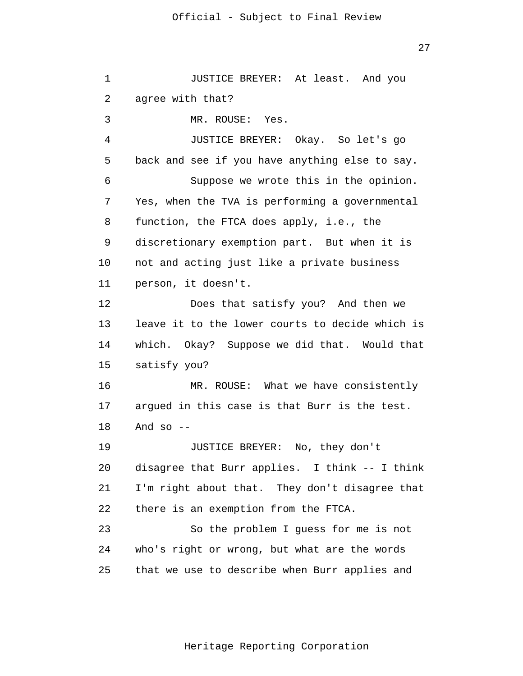| 1  | JUSTICE BREYER: At least. And you               |
|----|-------------------------------------------------|
| 2  | agree with that?                                |
| 3  | MR. ROUSE: Yes.                                 |
| 4  | JUSTICE BREYER: Okay. So let's go               |
| 5  | back and see if you have anything else to say.  |
| 6  | Suppose we wrote this in the opinion.           |
| 7  | Yes, when the TVA is performing a governmental  |
| 8  | function, the FTCA does apply, i.e., the        |
| 9  | discretionary exemption part. But when it is    |
| 10 | not and acting just like a private business     |
| 11 | person, it doesn't.                             |
| 12 | Does that satisfy you? And then we              |
| 13 | leave it to the lower courts to decide which is |
| 14 | which. Okay? Suppose we did that. Would that    |
| 15 | satisfy you?                                    |
| 16 | MR. ROUSE: What we have consistently            |
| 17 | argued in this case is that Burr is the test.   |
| 18 | And so $-$                                      |
| 19 | JUSTICE BREYER: No, they don't                  |
| 20 | disagree that Burr applies. I think -- I think  |
| 21 | I'm right about that. They don't disagree that  |
| 22 | there is an exemption from the FTCA.            |
| 23 | So the problem I guess for me is not            |
| 24 | who's right or wrong, but what are the words    |
| 25 | that we use to describe when Burr applies and   |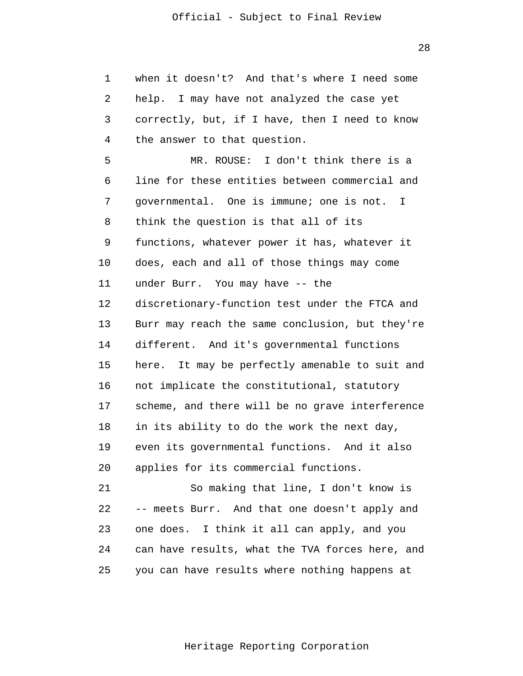1 2 3 4 **5**  $\overline{6}$  7 8 9 10 11 12 13 14 15 16 17 18 19 20 21 22 23 24 25 when it doesn't? And that's where I need some help. I may have not analyzed the case yet correctly, but, if I have, then I need to know the answer to that question. MR. ROUSE: I don't think there is a line for these entities between commercial and governmental. One is immune; one is not. I think the question is that all of its functions, whatever power it has, whatever it does, each and all of those things may come under Burr. You may have -- the discretionary-function test under the FTCA and Burr may reach the same conclusion, but they're different. And it's governmental functions here. It may be perfectly amenable to suit and not implicate the constitutional, statutory scheme, and there will be no grave interference in its ability to do the work the next day, even its governmental functions. And it also applies for its commercial functions. So making that line, I don't know is -- meets Burr. And that one doesn't apply and one does. I think it all can apply, and you can have results, what the TVA forces here, and you can have results where nothing happens at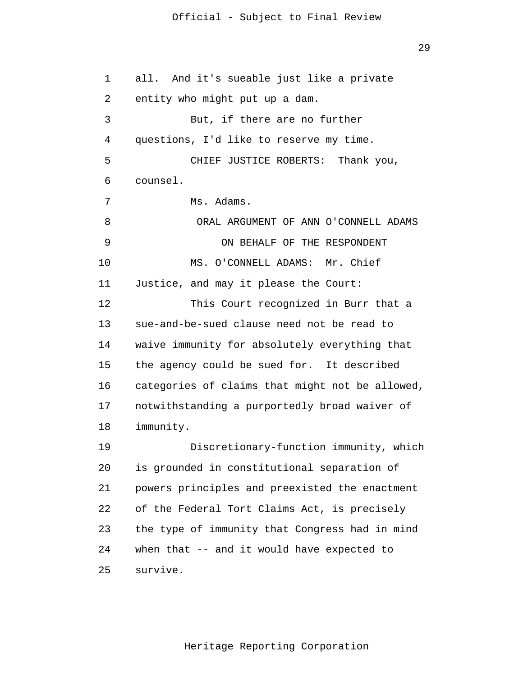```
 1 
 2 
 3 
 4 
5
\overline{6} 7 
 8 
 9 
            10 
            11 
            12 
            13 
            14 
            15 
            16 
            17 
            18 
            19 
            20 
            21 
            22 
            23 
            24 
            25 
                 all. And it's sueable just like a private 
                 entity who might put up a dam. 
                          But, if there are no further 
                 questions, I'd like to reserve my time. 
                          CHIEF JUSTICE ROBERTS: Thank you, 
                 counsel. 
                          Ms. Adams. 
                           ORAL ARGUMENT OF ANN O'CONNELL ADAMS 
                               ON BEHALF OF THE RESPONDENT 
                          MS. O'CONNELL ADAMS: Mr. Chief 
                 Justice, and may it please the Court: 
                          This Court recognized in Burr that a 
                 sue-and-be-sued clause need not be read to 
                 waive immunity for absolutely everything that 
                 the agency could be sued for. It described 
                 categories of claims that might not be allowed, 
                 notwithstanding a purportedly broad waiver of 
                 immunity. 
                          Discretionary-function immunity, which 
                 is grounded in constitutional separation of 
                 powers principles and preexisted the enactment 
                 of the Federal Tort Claims Act, is precisely 
                 the type of immunity that Congress had in mind 
                 when that -- and it would have expected to 
                 survive.
```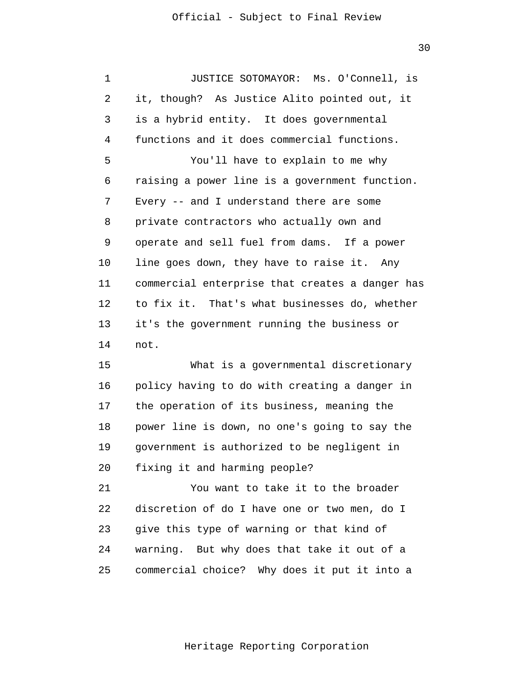30

 1 2 3 4 **5**  $\overline{6}$  7 8 9 10 11 12 13 14 15 16 17 18 19 20 21 22 23 24 JUSTICE SOTOMAYOR: Ms. O'Connell, is it, though? As Justice Alito pointed out, it is a hybrid entity. It does governmental functions and it does commercial functions. You'll have to explain to me why raising a power line is a government function. Every -- and I understand there are some private contractors who actually own and operate and sell fuel from dams. If a power line goes down, they have to raise it. Any commercial enterprise that creates a danger has to fix it. That's what businesses do, whether it's the government running the business or not. What is a governmental discretionary policy having to do with creating a danger in the operation of its business, meaning the power line is down, no one's going to say the government is authorized to be negligent in fixing it and harming people? You want to take it to the broader discretion of do I have one or two men, do I give this type of warning or that kind of warning. But why does that take it out of a

> 25 commercial choice? Why does it put it into a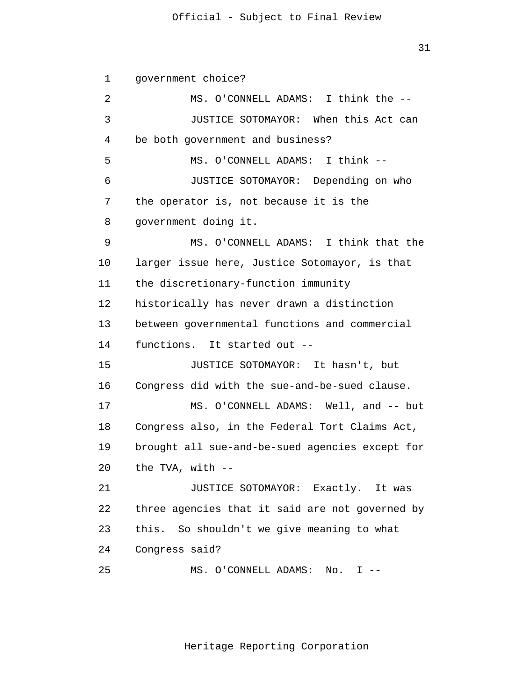1 2 3 4 **5**  $\overline{6}$  7 8 9 10 11 12 13 14 15 16 17 18 19 20 21 22 23 24 25 government choice? MS. O'CONNELL ADAMS: I think the -- JUSTICE SOTOMAYOR: When this Act can be both government and business? MS. O'CONNELL ADAMS: I think -- JUSTICE SOTOMAYOR: Depending on who the operator is, not because it is the government doing it. MS. O'CONNELL ADAMS: I think that the larger issue here, Justice Sotomayor, is that the discretionary-function immunity historically has never drawn a distinction between governmental functions and commercial functions. It started out -- JUSTICE SOTOMAYOR: It hasn't, but Congress did with the sue-and-be-sued clause. MS. O'CONNELL ADAMS: Well, and -- but Congress also, in the Federal Tort Claims Act, brought all sue-and-be-sued agencies except for the TVA, with -- JUSTICE SOTOMAYOR: Exactly. It was three agencies that it said are not governed by this. So shouldn't we give meaning to what Congress said? MS. O'CONNELL ADAMS: No. I --

Heritage Reporting Corporation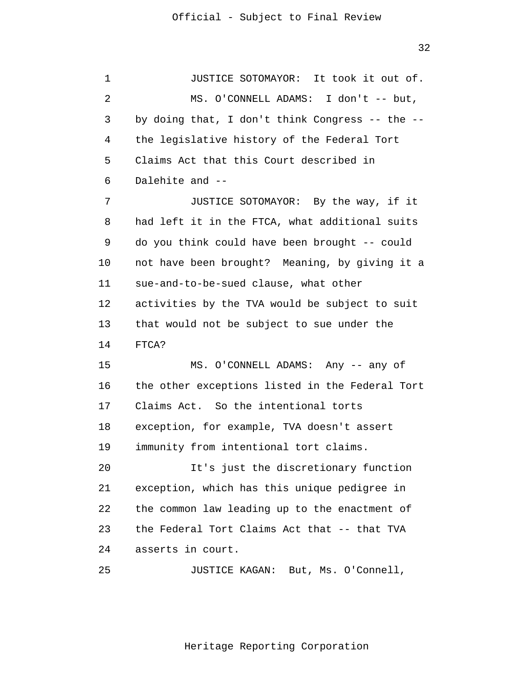1 2 3 4 **5**  $\overline{6}$  7 8 9 10 11 12 13 14 15 16 17 18 19 20 21 22 23 24 JUSTICE SOTOMAYOR: It took it out of. MS. O'CONNELL ADAMS: I don't -- but, by doing that, I don't think Congress -- the - the legislative history of the Federal Tort Claims Act that this Court described in Dalehite and -- JUSTICE SOTOMAYOR: By the way, if it had left it in the FTCA, what additional suits do you think could have been brought -- could not have been brought? Meaning, by giving it a sue-and-to-be-sued clause, what other activities by the TVA would be subject to suit that would not be subject to sue under the FTCA? MS. O'CONNELL ADAMS: Any -- any of the other exceptions listed in the Federal Tort Claims Act. So the intentional torts exception, for example, TVA doesn't assert immunity from intentional tort claims. It's just the discretionary function exception, which has this unique pedigree in the common law leading up to the enactment of the Federal Tort Claims Act that -- that TVA asserts in court.

> 25 JUSTICE KAGAN: But, Ms. O'Connell,

> > Heritage Reporting Corporation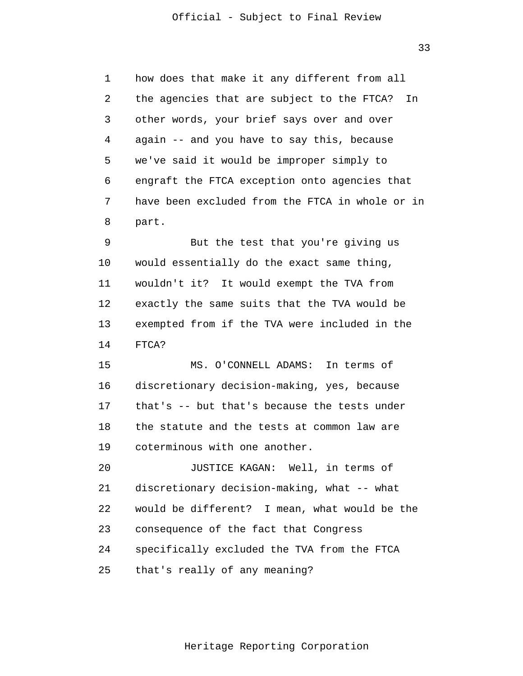1 2 3 4 **5**  $\overline{6}$  7 8 how does that make it any different from all the agencies that are subject to the FTCA? In other words, your brief says over and over again -- and you have to say this, because we've said it would be improper simply to engraft the FTCA exception onto agencies that have been excluded from the FTCA in whole or in part.

 9 10 11 12 13 14 But the test that you're giving us would essentially do the exact same thing, wouldn't it? It would exempt the TVA from exactly the same suits that the TVA would be exempted from if the TVA were included in the FTCA?

> 15 16 17 18 19 MS. O'CONNELL ADAMS: In terms of discretionary decision-making, yes, because that's -- but that's because the tests under the statute and the tests at common law are coterminous with one another.

 20 21 22 23 24 25 JUSTICE KAGAN: Well, in terms of discretionary decision-making, what -- what would be different? I mean, what would be the consequence of the fact that Congress specifically excluded the TVA from the FTCA that's really of any meaning?

33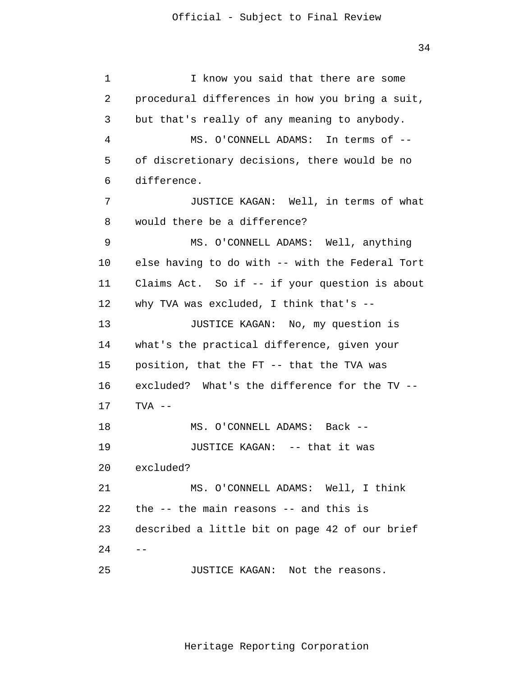1 2 3 4 **5**  $\overline{6}$  7 8 9 10 11 12 13 14 15 16 17 18 19 20 21 22 23 24 25 -- I know you said that there are some procedural differences in how you bring a suit, but that's really of any meaning to anybody. MS. O'CONNELL ADAMS: In terms of - of discretionary decisions, there would be no difference. JUSTICE KAGAN: Well, in terms of what would there be a difference? MS. O'CONNELL ADAMS: Well, anything else having to do with -- with the Federal Tort Claims Act. So if -- if your question is about why TVA was excluded, I think that's -- JUSTICE KAGAN: No, my question is what's the practical difference, given your position, that the FT -- that the TVA was excluded? What's the difference for the TV -- TVA -- MS. O'CONNELL ADAMS: Back -- JUSTICE KAGAN: -- that it was excluded? MS. O'CONNELL ADAMS: Well, I think the -- the main reasons -- and this is described a little bit on page 42 of our brief JUSTICE KAGAN: Not the reasons.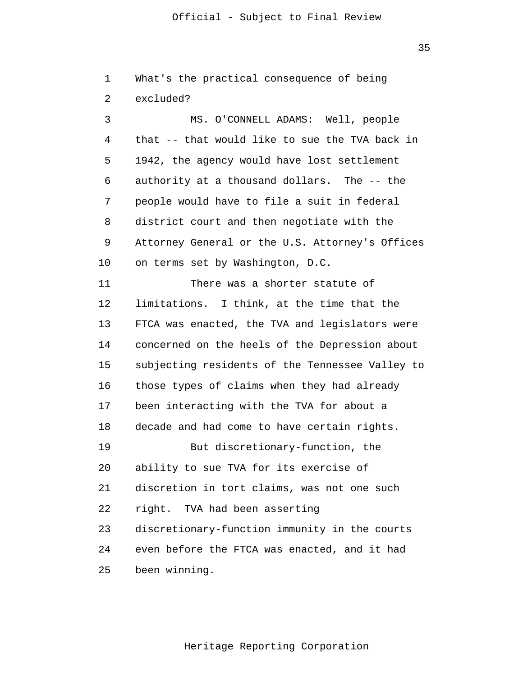| $\mathbf 1$ | What's the practical consequence of being       |
|-------------|-------------------------------------------------|
| 2           | excluded?                                       |
| 3           | MS. O'CONNELL ADAMS: Well, people               |
| 4           | that -- that would like to sue the TVA back in  |
| 5           | 1942, the agency would have lost settlement     |
| 6           | authority at a thousand dollars. The -- the     |
| 7           | people would have to file a suit in federal     |
| 8           | district court and then negotiate with the      |
| 9           | Attorney General or the U.S. Attorney's Offices |
| 10          | on terms set by Washington, D.C.                |
| 11          | There was a shorter statute of                  |
| 12          | limitations. I think, at the time that the      |
| 13          | FTCA was enacted, the TVA and legislators were  |
| 14          | concerned on the heels of the Depression about  |
| 15          | subjecting residents of the Tennessee Valley to |
| 16          | those types of claims when they had already     |
| 17          | been interacting with the TVA for about a       |
| 18          | decade and had come to have certain rights.     |
| 19          | But discretionary-function, the                 |
| 20          | ability to sue TVA for its exercise of          |
| 21          | discretion in tort claims, was not one such     |
| 22          | right. TVA had been asserting                   |
| 23          | discretionary-function immunity in the courts   |
| 24          | even before the FTCA was enacted, and it had    |
| 25          | been winning.                                   |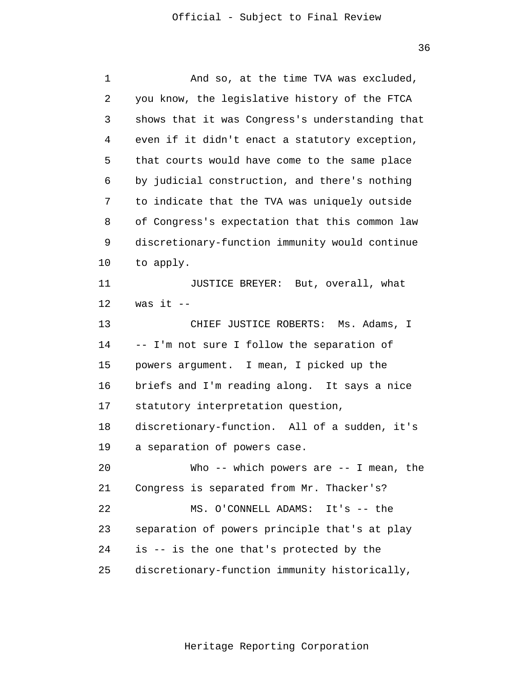| $\mathbf 1$ | And so, at the time TVA was excluded,           |
|-------------|-------------------------------------------------|
| 2           | you know, the legislative history of the FTCA   |
| 3           | shows that it was Congress's understanding that |
| 4           | even if it didn't enact a statutory exception,  |
| 5           | that courts would have come to the same place   |
| 6           | by judicial construction, and there's nothing   |
| 7           | to indicate that the TVA was uniquely outside   |
| 8           | of Congress's expectation that this common law  |
| 9           | discretionary-function immunity would continue  |
| 10          | to apply.                                       |
| 11          | JUSTICE BREYER: But, overall, what              |
| 12          | was it $--$                                     |
| 13          | CHIEF JUSTICE ROBERTS: Ms. Adams, I             |
| 14          | -- I'm not sure I follow the separation of      |
| 15          | powers argument. I mean, I picked up the        |
| 16          | briefs and I'm reading along. It says a nice    |
| 17          | statutory interpretation question,              |
| 18          | discretionary-function. All of a sudden, it's   |
| 19          | a separation of powers case.                    |
| 20          | Who -- which powers are -- I mean, the          |
| 21          | Congress is separated from Mr. Thacker's?       |
| 22          | MS. O'CONNELL ADAMS: It's -- the                |
| 23          | separation of powers principle that's at play   |
| 24          | is -- is the one that's protected by the        |
| 25          | discretionary-function immunity historically,   |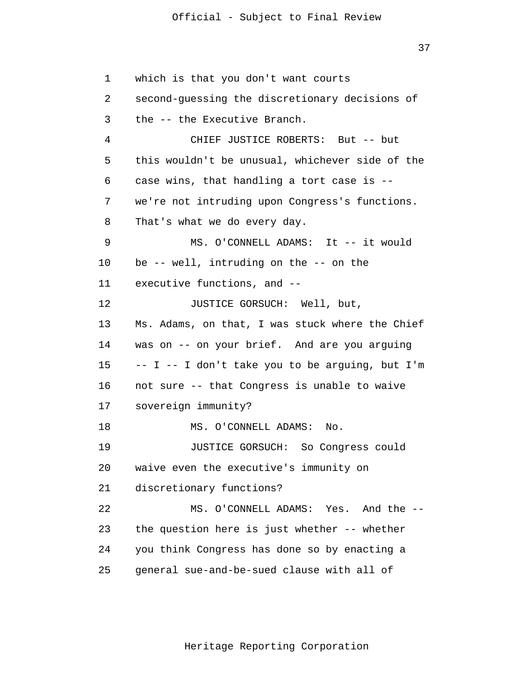37

 1 2 3 4 **5**  $\overline{6}$  7 8 9 10 11 12 13 14 15 16 17 18 19 20 21 22 23 24 25 which is that you don't want courts second-guessing the discretionary decisions of the -- the Executive Branch. CHIEF JUSTICE ROBERTS: But -- but this wouldn't be unusual, whichever side of the case wins, that handling a tort case is - we're not intruding upon Congress's functions. That's what we do every day. MS. O'CONNELL ADAMS: It -- it would be -- well, intruding on the -- on the executive functions, and -- JUSTICE GORSUCH: Well, but, Ms. Adams, on that, I was stuck where the Chief was on -- on your brief. And are you arguing  $-$  I  $-$  I don't take you to be arguing, but I'm not sure -- that Congress is unable to waive sovereign immunity? MS. O'CONNELL ADAMS: No. JUSTICE GORSUCH: So Congress could waive even the executive's immunity on discretionary functions? MS. O'CONNELL ADAMS: Yes. And the - the question here is just whether -- whether you think Congress has done so by enacting a general sue-and-be-sued clause with all of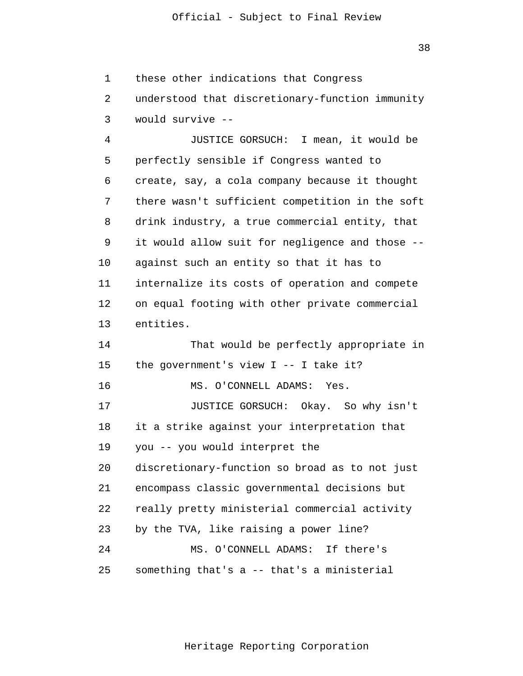1 these other indications that Congress

 2 3 understood that discretionary-function immunity would survive --

 4 **5**  $\overline{6}$  7 8 9 10 11 12 13 JUSTICE GORSUCH: I mean, it would be perfectly sensible if Congress wanted to create, say, a cola company because it thought there wasn't sufficient competition in the soft drink industry, a true commercial entity, that it would allow suit for negligence and those - against such an entity so that it has to internalize its costs of operation and compete on equal footing with other private commercial entities.

> 14 15 16 17 18 19 20 21 22 23 24 25 That would be perfectly appropriate in the government's view I -- I take it? MS. O'CONNELL ADAMS: Yes. JUSTICE GORSUCH: Okay. So why isn't it a strike against your interpretation that you -- you would interpret the discretionary-function so broad as to not just encompass classic governmental decisions but really pretty ministerial commercial activity by the TVA, like raising a power line? MS. O'CONNELL ADAMS: If there's something that's a -- that's a ministerial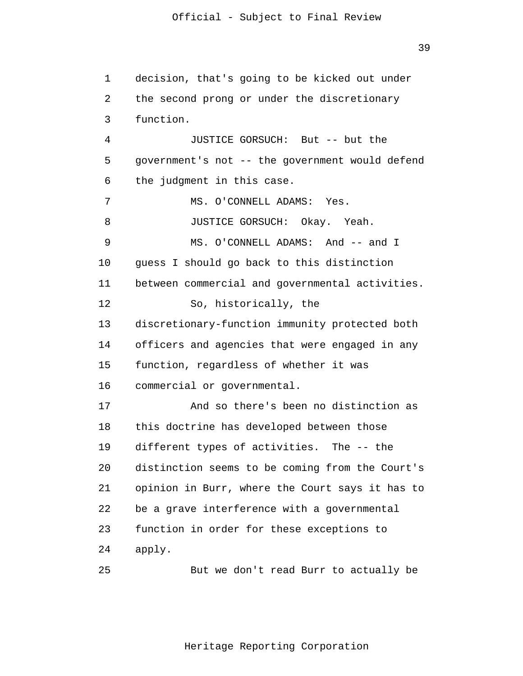1 2 3 4 **5**  $\overline{6}$  7 8 9 10 11 12 13 14 15 16 17 18 19 20 21 22 23 24 25 decision, that's going to be kicked out under the second prong or under the discretionary function. JUSTICE GORSUCH: But -- but the government's not -- the government would defend the judgment in this case. MS. O'CONNELL ADAMS: Yes. JUSTICE GORSUCH: Okay. Yeah. MS. O'CONNELL ADAMS: And -- and I guess I should go back to this distinction between commercial and governmental activities. So, historically, the discretionary-function immunity protected both officers and agencies that were engaged in any function, regardless of whether it was commercial or governmental. And so there's been no distinction as this doctrine has developed between those different types of activities. The -- the distinction seems to be coming from the Court's opinion in Burr, where the Court says it has to be a grave interference with a governmental function in order for these exceptions to apply. But we don't read Burr to actually be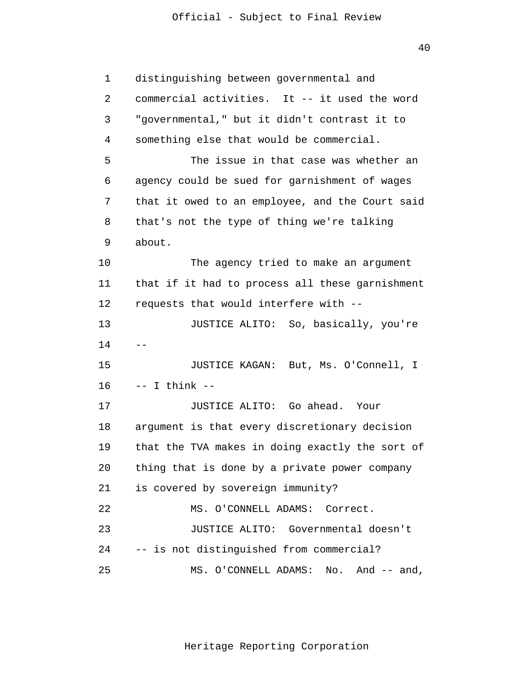40

| $\mathbf 1$ | distinguishing between governmental and         |
|-------------|-------------------------------------------------|
| 2           | commercial activities. It -- it used the word   |
| 3           | "governmental," but it didn't contrast it to    |
| 4           | something else that would be commercial.        |
| 5           | The issue in that case was whether an           |
| 6           | agency could be sued for garnishment of wages   |
| 7           | that it owed to an employee, and the Court said |
| 8           | that's not the type of thing we're talking      |
| 9           | about.                                          |
| 10          | The agency tried to make an argument            |
| 11          | that if it had to process all these garnishment |
| 12          | requests that would interfere with --           |
| 13          | JUSTICE ALITO: So, basically, you're            |
| 14          |                                                 |
| 15          | JUSTICE KAGAN: But, Ms. O'Connell, I            |
| 16          | $--$ I think $--$                               |
| 17          | JUSTICE ALITO: Go ahead. Your                   |
| 18          | argument is that every discretionary decision   |
| 19          | that the TVA makes in doing exactly the sort of |
| 20          | thing that is done by a private power company   |
| 21          | is covered by sovereign immunity?               |
| 22          | MS. O'CONNELL ADAMS: Correct.                   |
| 23          | JUSTICE ALITO:<br>Governmental doesn't          |
| 24          | -- is not distinguished from commercial?        |
| 25          | MS. O'CONNELL ADAMS:<br>No.<br>And $--$ and,    |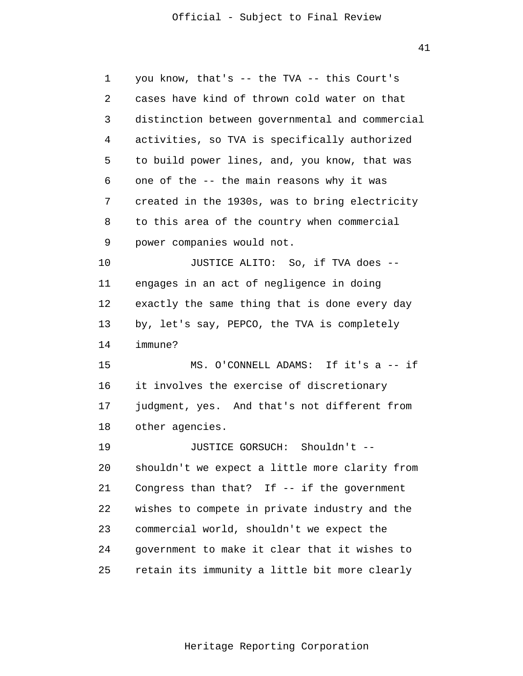41

 1 2 3 4 **5**  $\overline{6}$  7 8 9 10 11 12 13 14 15 16 17 18 19 20 21 22 23 24 25 you know, that's -- the TVA -- this Court's cases have kind of thrown cold water on that distinction between governmental and commercial activities, so TVA is specifically authorized to build power lines, and, you know, that was one of the -- the main reasons why it was created in the 1930s, was to bring electricity to this area of the country when commercial power companies would not. JUSTICE ALITO: So, if TVA does - engages in an act of negligence in doing exactly the same thing that is done every day by, let's say, PEPCO, the TVA is completely immune? MS. O'CONNELL ADAMS: If it's a -- if it involves the exercise of discretionary judgment, yes. And that's not different from other agencies. JUSTICE GORSUCH: Shouldn't - shouldn't we expect a little more clarity from Congress than that? If -- if the government wishes to compete in private industry and the commercial world, shouldn't we expect the government to make it clear that it wishes to retain its immunity a little bit more clearly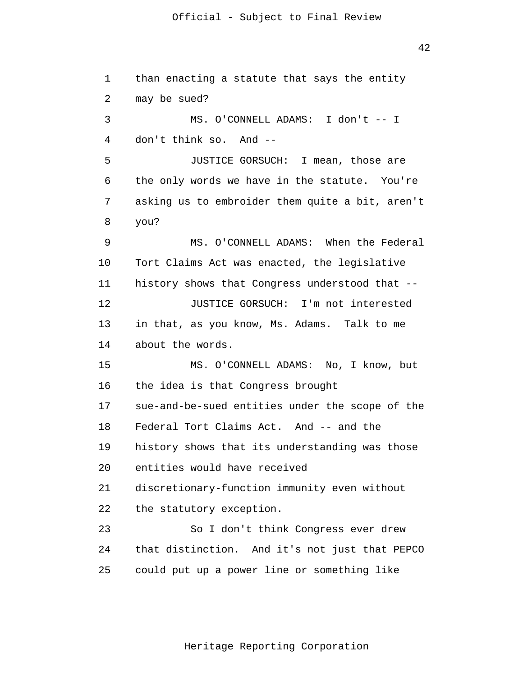42

| $\mathbf 1$ | than enacting a statute that says the entity    |
|-------------|-------------------------------------------------|
| 2           | may be sued?                                    |
| 3           | MS. O'CONNELL ADAMS: I don't -- I               |
| 4           | don't think so. And --                          |
| 5           | JUSTICE GORSUCH: I mean, those are              |
| 6           | the only words we have in the statute. You're   |
| 7           | asking us to embroider them quite a bit, aren't |
| 8           | you?                                            |
| 9           | MS. O'CONNELL ADAMS: When the Federal           |
| 10          | Tort Claims Act was enacted, the legislative    |
| 11          | history shows that Congress understood that --  |
| 12          | JUSTICE GORSUCH: I'm not interested             |
| 13          | in that, as you know, Ms. Adams. Talk to me     |
| 14          | about the words.                                |
| 15          | MS. O'CONNELL ADAMS: No, I know, but            |
| 16          | the idea is that Congress brought               |
| 17          | sue-and-be-sued entities under the scope of the |
| 18          | Federal Tort Claims Act. And -- and the         |
| 19          | history shows that its understanding was those  |
| 20          | entities would have received                    |
| 21          | discretionary-function immunity even without    |
| 22          | the statutory exception.                        |
| 23          | So I don't think Congress ever drew             |
| 24          | that distinction. And it's not just that PEPCO  |
| 25          | could put up a power line or something like     |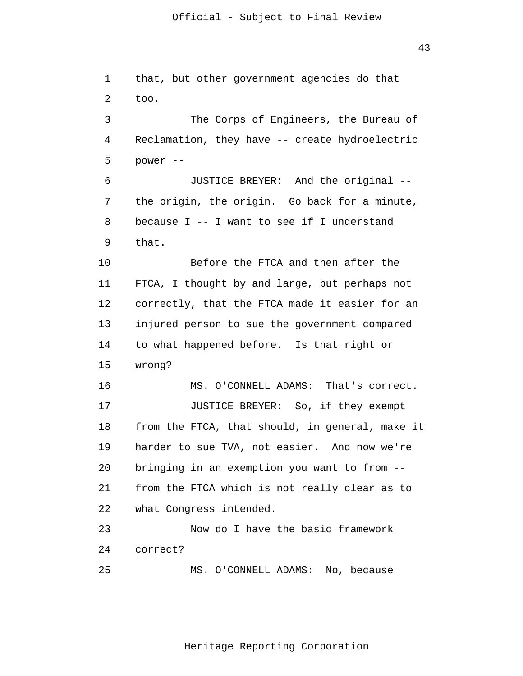1

2

too.

power --

that.

3

4

**5** 

 $\overline{6}$ 

7

8

9

 43 that, but other government agencies do that The Corps of Engineers, the Bureau of Reclamation, they have -- create hydroelectric JUSTICE BREYER: And the original - the origin, the origin. Go back for a minute, because I -- I want to see if I understand

 10 11 12 13 14 15 Before the FTCA and then after the FTCA, I thought by and large, but perhaps not correctly, that the FTCA made it easier for an injured person to sue the government compared to what happened before. Is that right or wrong?

 16 17 18 19 20 21 22 MS. O'CONNELL ADAMS: That's correct. JUSTICE BREYER: So, if they exempt from the FTCA, that should, in general, make it harder to sue TVA, not easier. And now we're bringing in an exemption you want to from - from the FTCA which is not really clear as to what Congress intended.

 23 24 Now do I have the basic framework correct?

 25 MS. O'CONNELL ADAMS: No, because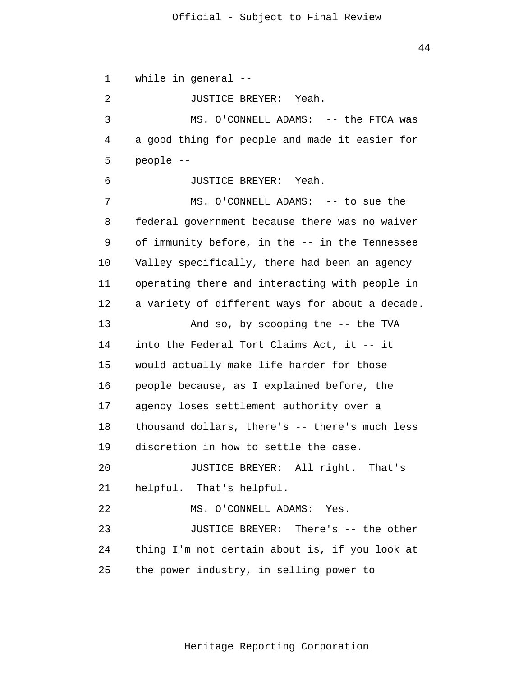1 2 3 4 **5**  $\overline{6}$  7 8 9 10 11 12 13 14 15 16 17 18 19 20 21 22 23 24 25 while in general -- JUSTICE BREYER: Yeah. MS. O'CONNELL ADAMS: -- the FTCA was a good thing for people and made it easier for people -- JUSTICE BREYER: Yeah. MS. O'CONNELL ADAMS: -- to sue the federal government because there was no waiver of immunity before, in the -- in the Tennessee Valley specifically, there had been an agency operating there and interacting with people in a variety of different ways for about a decade. And so, by scooping the -- the TVA into the Federal Tort Claims Act, it -- it would actually make life harder for those people because, as I explained before, the agency loses settlement authority over a thousand dollars, there's -- there's much less discretion in how to settle the case. JUSTICE BREYER: All right. That's helpful. That's helpful. MS. O'CONNELL ADAMS: Yes. JUSTICE BREYER: There's -- the other thing I'm not certain about is, if you look at the power industry, in selling power to

Heritage Reporting Corporation

44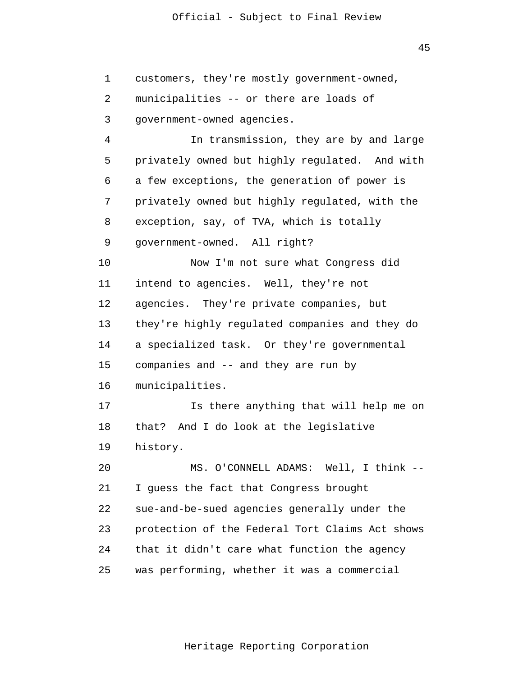45 customers, they're mostly government-owned, municipalities -- or there are loads of In transmission, they are by and large privately owned but highly regulated. And with a few exceptions, the generation of power is privately owned but highly regulated, with the exception, say, of TVA, which is totally

 9 government-owned. All right?

government-owned agencies.

 10 11 12 13 14 15 16 17 18 Now I'm not sure what Congress did intend to agencies. Well, they're not agencies. They're private companies, but they're highly regulated companies and they do a specialized task. Or they're governmental companies and -- and they are run by municipalities. Is there anything that will help me on that? And I do look at the legislative

 19 history.

1

2

3

4

**5** 

6

7

8

 20 21 22 23 24 25 MS. O'CONNELL ADAMS: Well, I think -- I guess the fact that Congress brought sue-and-be-sued agencies generally under the protection of the Federal Tort Claims Act shows that it didn't care what function the agency was performing, whether it was a commercial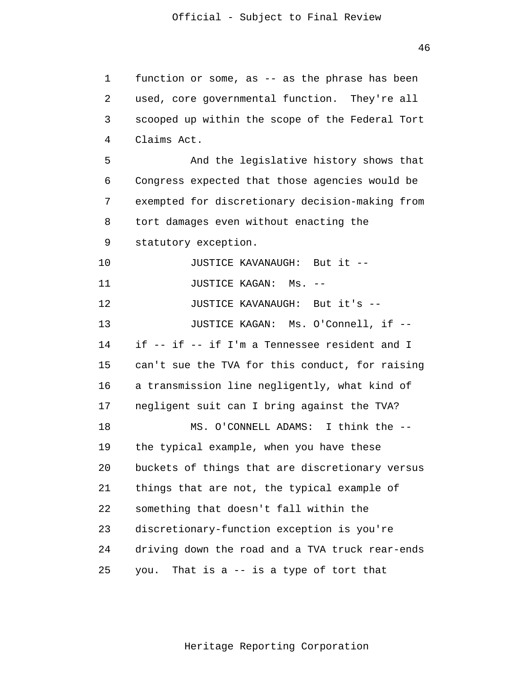1 2 3 4 **5**  6 7 8 9 10 11 12 13 14 15 16 17 18 19 20 21 22 23 24 25 function or some, as -- as the phrase has been used, core governmental function. They're all scooped up within the scope of the Federal Tort Claims Act. And the legislative history shows that Congress expected that those agencies would be exempted for discretionary decision-making from tort damages even without enacting the statutory exception. JUSTICE KAVANAUGH: But it -- JUSTICE KAGAN: Ms. -- JUSTICE KAVANAUGH: But it's -- JUSTICE KAGAN: Ms. O'Connell, if - if -- if -- if I'm a Tennessee resident and I can't sue the TVA for this conduct, for raising a transmission line negligently, what kind of negligent suit can I bring against the TVA? MS. O'CONNELL ADAMS: I think the - the typical example, when you have these buckets of things that are discretionary versus things that are not, the typical example of something that doesn't fall within the discretionary-function exception is you're driving down the road and a TVA truck rear-ends you. That is a -- is a type of tort that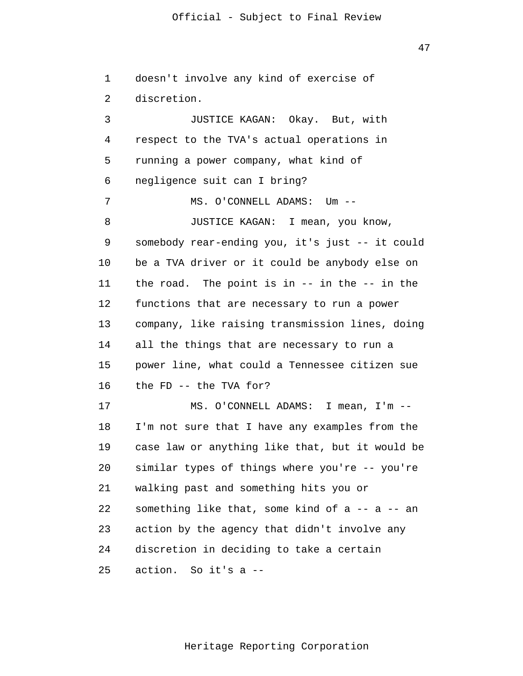47

 1 2 3 4 **5**  6 7 8 9 10 11 12 13 14 15 16 17 18 19 20 21 22 23 24 25 doesn't involve any kind of exercise of discretion. JUSTICE KAGAN: Okay. But, with respect to the TVA's actual operations in running a power company, what kind of negligence suit can I bring? MS. O'CONNELL ADAMS: Um -- JUSTICE KAGAN: I mean, you know, somebody rear-ending you, it's just -- it could be a TVA driver or it could be anybody else on the road. The point is in -- in the -- in the functions that are necessary to run a power company, like raising transmission lines, doing all the things that are necessary to run a power line, what could a Tennessee citizen sue the FD -- the TVA for? MS. O'CONNELL ADAMS: I mean, I'm -- I'm not sure that I have any examples from the case law or anything like that, but it would be similar types of things where you're -- you're walking past and something hits you or something like that, some kind of a -- a -- an action by the agency that didn't involve any discretion in deciding to take a certain action. So it's a --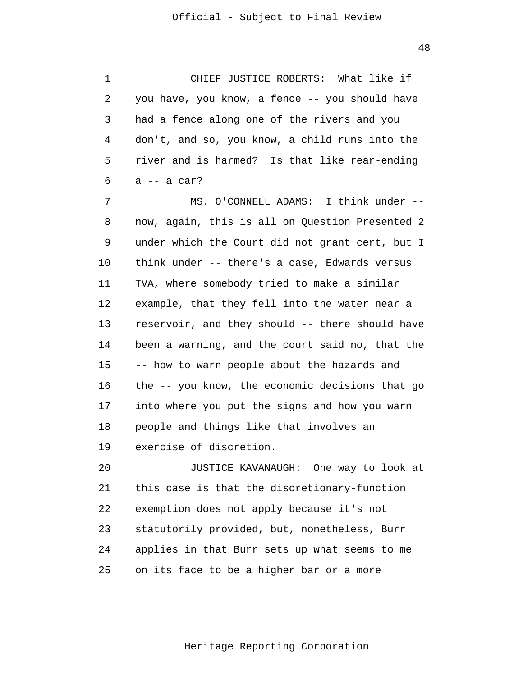1 2 3 4 **5**  6 CHIEF JUSTICE ROBERTS: What like if you have, you know, a fence -- you should have had a fence along one of the rivers and you don't, and so, you know, a child runs into the river and is harmed? Is that like rear-ending a -- a car?

 7 8 9 10 11 12 13 14 15 16 17 18 19 MS. O'CONNELL ADAMS: I think under - now, again, this is all on Question Presented 2 under which the Court did not grant cert, but I think under -- there's a case, Edwards versus TVA, where somebody tried to make a similar example, that they fell into the water near a reservoir, and they should -- there should have been a warning, and the court said no, that the -- how to warn people about the hazards and the -- you know, the economic decisions that go into where you put the signs and how you warn people and things like that involves an exercise of discretion.

> 20 21 22 23 24 25 JUSTICE KAVANAUGH: One way to look at this case is that the discretionary-function exemption does not apply because it's not statutorily provided, but, nonetheless, Burr applies in that Burr sets up what seems to me on its face to be a higher bar or a more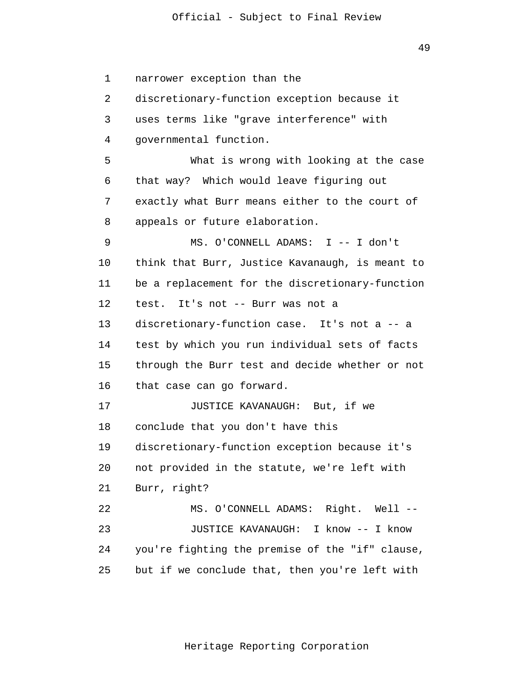49

 1 2 3 4 **5**  6 7 8 9 10 11 12 13 14 15 16 17 18 19 20 21 22 23 24 25 narrower exception than the discretionary-function exception because it uses terms like "grave interference" with governmental function. What is wrong with looking at the case that way? Which would leave figuring out exactly what Burr means either to the court of appeals or future elaboration. MS. O'CONNELL ADAMS: I -- I don't think that Burr, Justice Kavanaugh, is meant to be a replacement for the discretionary-function test. It's not -- Burr was not a discretionary-function case. It's not a -- a test by which you run individual sets of facts through the Burr test and decide whether or not that case can go forward. JUSTICE KAVANAUGH: But, if we conclude that you don't have this discretionary-function exception because it's not provided in the statute, we're left with Burr, right? MS. O'CONNELL ADAMS: Right. Well -- JUSTICE KAVANAUGH: I know -- I know you're fighting the premise of the "if" clause, but if we conclude that, then you're left with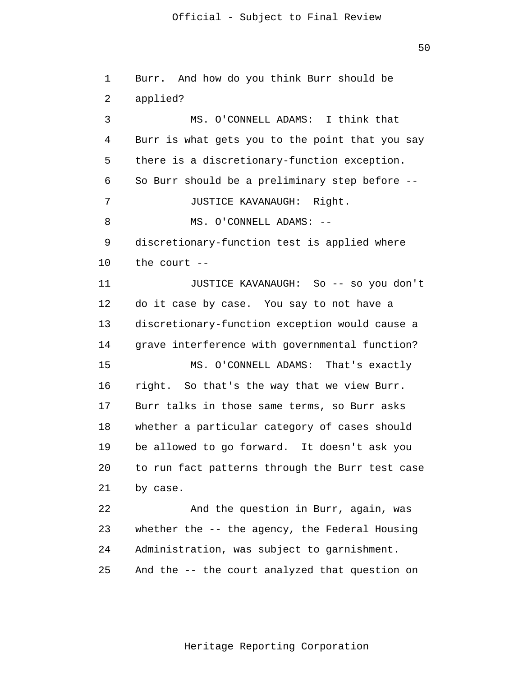1 2 3 4 **5**  6 7 8 9 10 11 12 13 14 15 16 17 18 19 20 21 22 23 Burr. And how do you think Burr should be applied? MS. O'CONNELL ADAMS: I think that Burr is what gets you to the point that you say there is a discretionary-function exception. So Burr should be a preliminary step before -- JUSTICE KAVANAUGH: Right. MS. O'CONNELL ADAMS: - discretionary-function test is applied where the court -- JUSTICE KAVANAUGH: So -- so you don't do it case by case. You say to not have a discretionary-function exception would cause a grave interference with governmental function? MS. O'CONNELL ADAMS: That's exactly right. So that's the way that we view Burr. Burr talks in those same terms, so Burr asks whether a particular category of cases should be allowed to go forward. It doesn't ask you to run fact patterns through the Burr test case by case. And the question in Burr, again, was whether the -- the agency, the Federal Housing

> 25 And the -- the court analyzed that question on

Administration, was subject to garnishment.

24

Heritage Reporting Corporation

50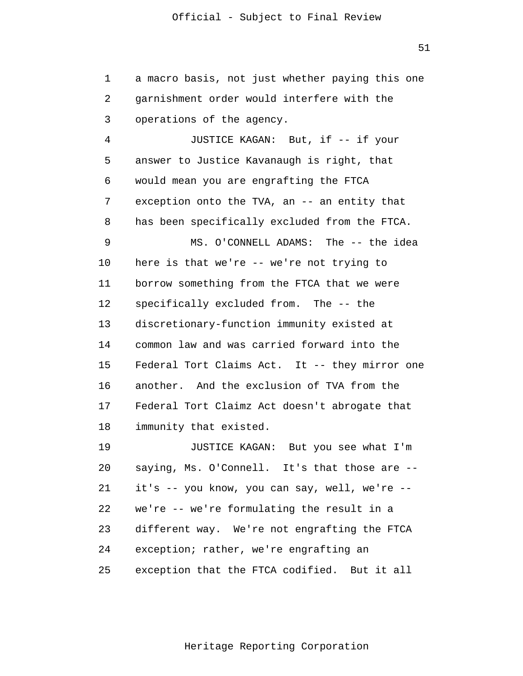1 2 3 a macro basis, not just whether paying this one garnishment order would interfere with the operations of the agency.

 4 **5**  6 7 8 9 10 11 12 13 14 15 16 17 18 JUSTICE KAGAN: But, if -- if your answer to Justice Kavanaugh is right, that would mean you are engrafting the FTCA exception onto the TVA, an -- an entity that has been specifically excluded from the FTCA. MS. O'CONNELL ADAMS: The -- the idea here is that we're -- we're not trying to borrow something from the FTCA that we were specifically excluded from. The -- the discretionary-function immunity existed at common law and was carried forward into the Federal Tort Claims Act. It -- they mirror one another. And the exclusion of TVA from the Federal Tort Claimz Act doesn't abrogate that immunity that existed.

> 19 20 21 22 23 24 25 JUSTICE KAGAN: But you see what I'm saying, Ms. O'Connell. It's that those are - it's -- you know, you can say, well, we're - we're -- we're formulating the result in a different way. We're not engrafting the FTCA exception; rather, we're engrafting an exception that the FTCA codified. But it all

51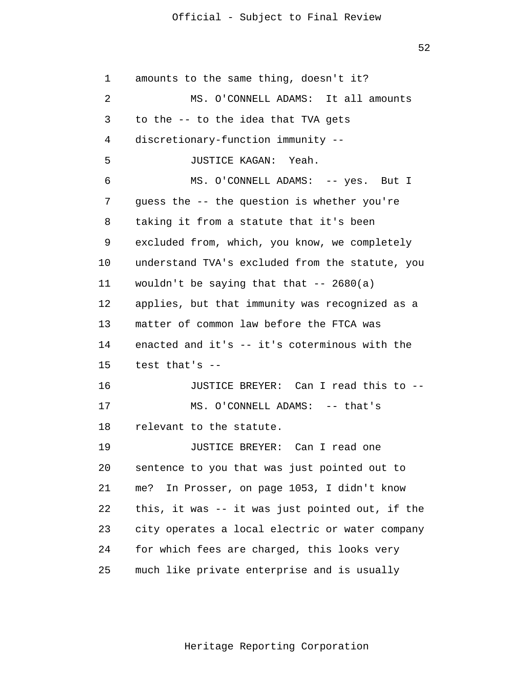52

 1 2 3 4 **5**  6 7 8 9 10 11 12 13 14 15 16 17 18 19 20 21 22 23 24 25 amounts to the same thing, doesn't it? MS. O'CONNELL ADAMS: It all amounts to the -- to the idea that TVA gets discretionary-function immunity -- JUSTICE KAGAN: Yeah. MS. O'CONNELL ADAMS: -- yes. But I guess the -- the question is whether you're taking it from a statute that it's been excluded from, which, you know, we completely understand TVA's excluded from the statute, you wouldn't be saying that that  $-2680(a)$ applies, but that immunity was recognized as a matter of common law before the FTCA was enacted and it's -- it's coterminous with the test that's -- JUSTICE BREYER: Can I read this to -- MS. O'CONNELL ADAMS: -- that's relevant to the statute. JUSTICE BREYER: Can I read one sentence to you that was just pointed out to me? In Prosser, on page 1053, I didn't know this, it was -- it was just pointed out, if the city operates a local electric or water company for which fees are charged, this looks very much like private enterprise and is usually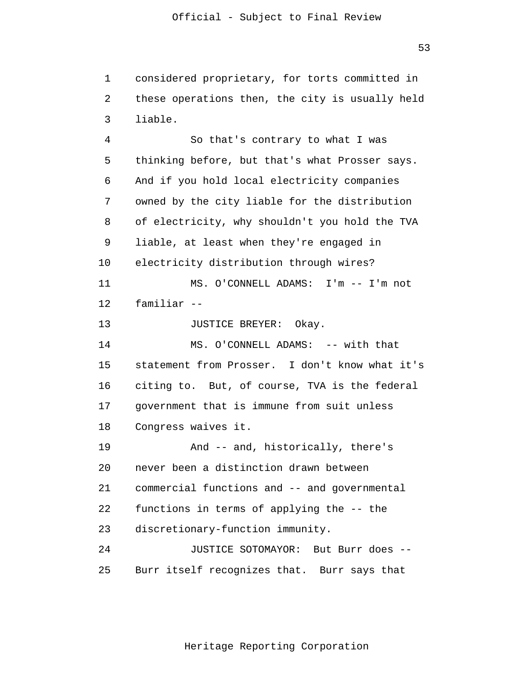1 2 3 considered proprietary, for torts committed in these operations then, the city is usually held liable.

 4 **5**  $\overline{6}$  7 8 9 10 11 12 13 14 15 16 17 18 19 20 21 22 23 24 25 So that's contrary to what I was thinking before, but that's what Prosser says. And if you hold local electricity companies owned by the city liable for the distribution of electricity, why shouldn't you hold the TVA liable, at least when they're engaged in electricity distribution through wires? MS. O'CONNELL ADAMS: I'm -- I'm not familiar -- JUSTICE BREYER: Okay. MS. O'CONNELL ADAMS: -- with that statement from Prosser. I don't know what it's citing to. But, of course, TVA is the federal government that is immune from suit unless Congress waives it. And -- and, historically, there's never been a distinction drawn between commercial functions and -- and governmental functions in terms of applying the -- the discretionary-function immunity. JUSTICE SOTOMAYOR: But Burr does -- Burr itself recognizes that. Burr says that

Heritage Reporting Corporation

53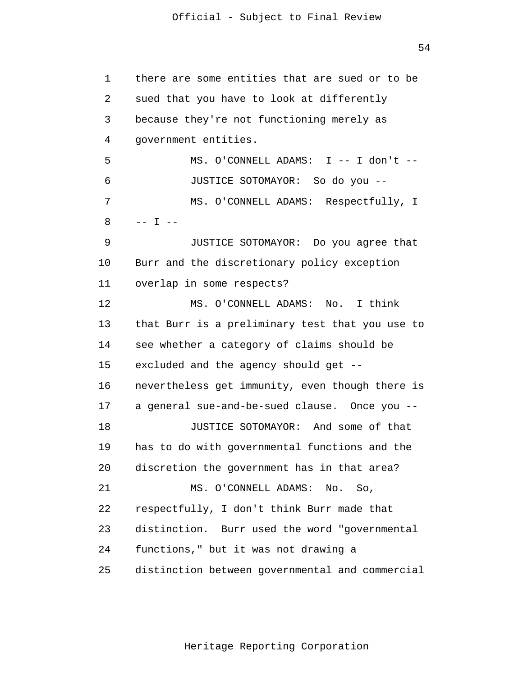54

 1 2 3 4 **5**  $\overline{6}$  7 8 9 10 11 12 13 14 15 16 17 18 19 20 21 22 23 24 25 there are some entities that are sued or to be sued that you have to look at differently because they're not functioning merely as government entities. MS. O'CONNELL ADAMS: I -- I don't -- JUSTICE SOTOMAYOR: So do you -- MS. O'CONNELL ADAMS: Respectfully, I  $---$  I  $---$ JUSTICE SOTOMAYOR: Do you agree that Burr and the discretionary policy exception overlap in some respects? MS. O'CONNELL ADAMS: No. I think that Burr is a preliminary test that you use to see whether a category of claims should be excluded and the agency should get - nevertheless get immunity, even though there is a general sue-and-be-sued clause. Once you -- JUSTICE SOTOMAYOR: And some of that has to do with governmental functions and the discretion the government has in that area? MS. O'CONNELL ADAMS: No. So, respectfully, I don't think Burr made that distinction. Burr used the word "governmental functions," but it was not drawing a distinction between governmental and commercial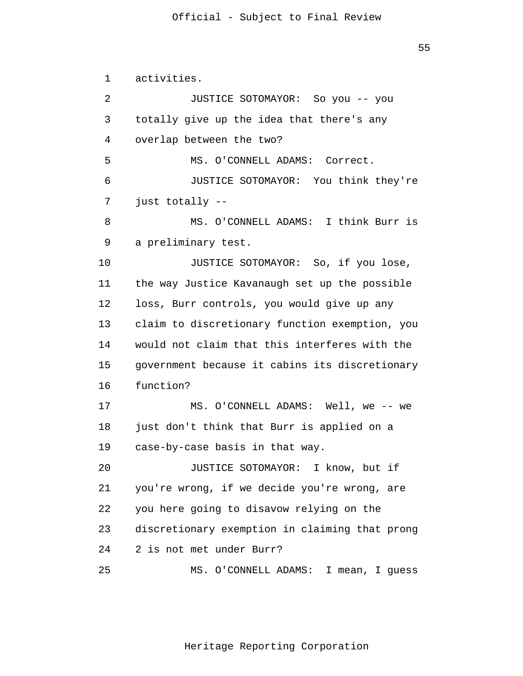$55$ 

 1 2 3 4 **5**  $\overline{6}$  7 8 9 10 11 12 13 14 15 16 17 18 19 20 21 22 23 24 25 activities. JUSTICE SOTOMAYOR: So you -- you totally give up the idea that there's any overlap between the two? MS. O'CONNELL ADAMS: Correct. JUSTICE SOTOMAYOR: You think they're just totally -- MS. O'CONNELL ADAMS: I think Burr is a preliminary test. JUSTICE SOTOMAYOR: So, if you lose, the way Justice Kavanaugh set up the possible loss, Burr controls, you would give up any claim to discretionary function exemption, you would not claim that this interferes with the government because it cabins its discretionary function? MS. O'CONNELL ADAMS: Well, we -- we just don't think that Burr is applied on a case-by-case basis in that way. JUSTICE SOTOMAYOR: I know, but if you're wrong, if we decide you're wrong, are you here going to disavow relying on the discretionary exemption in claiming that prong 2 is not met under Burr? MS. O'CONNELL ADAMS: I mean, I guess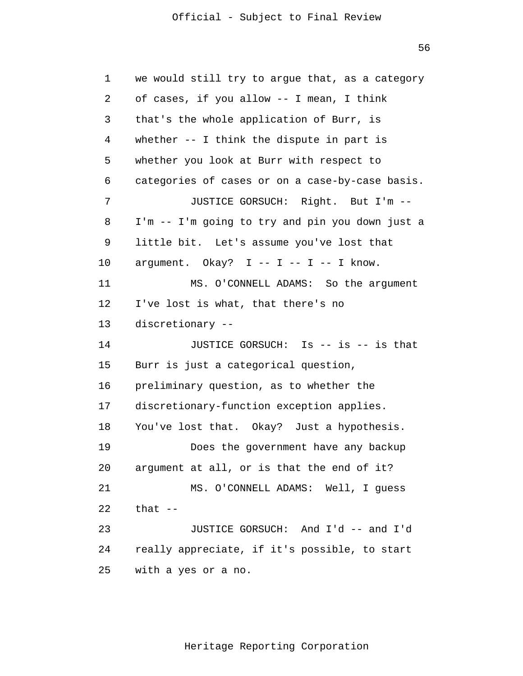$56$ 

```
 1 
 2 
 3 
 4 
5
\overline{6} 7 
 8 
 9 
            10 
            11 
            12 
            13 
            14 
            15 
            16 
            17 
            18 
            19 
            20 
            21 
            22 
            23 
            24 
            25 
                 we would still try to argue that, as a category 
                 of cases, if you allow -- I mean, I think 
                 that's the whole application of Burr, is 
                 whether -- I think the dispute in part is 
                 whether you look at Burr with respect to 
                 categories of cases or on a case-by-case basis. 
                         JUSTICE GORSUCH: Right. But I'm --
                 I'm -- I'm going to try and pin you down just a 
                 little bit. Let's assume you've lost that 
                 argument. Okay? I -- I -- I -- I know.
                         MS. O'CONNELL ADAMS: So the argument 
                 I've lost is what, that there's no 
                 discretionary --
                         JUSTICE GORSUCH: Is -- is -- is that 
                 Burr is just a categorical question, 
                 preliminary question, as to whether the 
                 discretionary-function exception applies. 
                 You've lost that. Okay? Just a hypothesis.
                         Does the government have any backup 
                 argument at all, or is that the end of it? 
                         MS. O'CONNELL ADAMS: Well, I guess 
                 that --JUSTICE GORSUCH: And I'd -- and I'd 
                 really appreciate, if it's possible, to start 
                 with a yes or a no.
```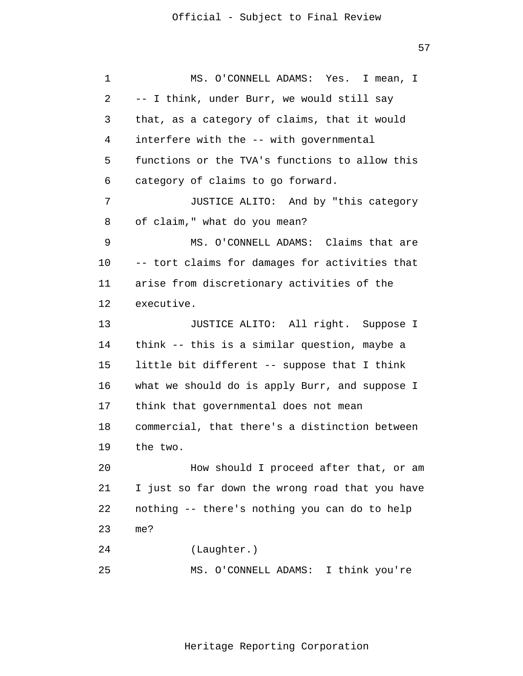57

 1 2 3 4 **5**  6 7 8 9 10 11 12 13 14 15 16 17 18 19 20 21 22 23 24 25 MS. O'CONNELL ADAMS: Yes. I mean, I -- I think, under Burr, we would still say that, as a category of claims, that it would interfere with the -- with governmental functions or the TVA's functions to allow this category of claims to go forward. JUSTICE ALITO: And by "this category of claim," what do you mean? MS. O'CONNELL ADAMS: Claims that are -- tort claims for damages for activities that arise from discretionary activities of the executive. JUSTICE ALITO: All right. Suppose I think -- this is a similar question, maybe a little bit different -- suppose that I think what we should do is apply Burr, and suppose I think that governmental does not mean commercial, that there's a distinction between the two. How should I proceed after that, or am I just so far down the wrong road that you have nothing -- there's nothing you can do to help me? (Laughter.) MS. O'CONNELL ADAMS: I think you're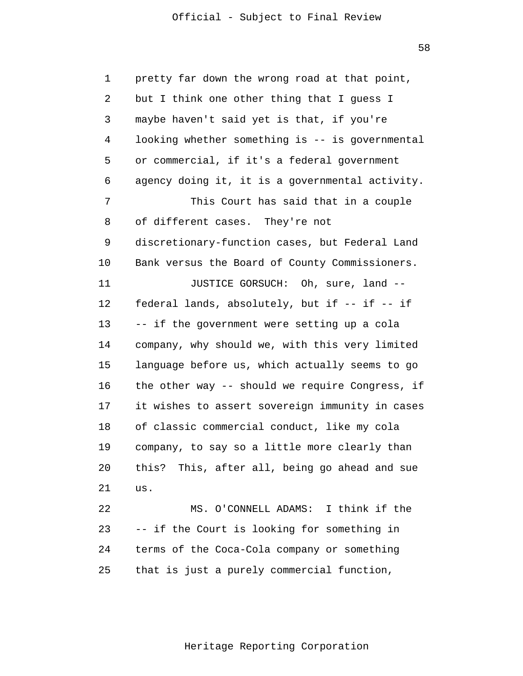58

 1 2 3 4 **5**  6 7 8 9 10 11 12 13 14 15 16 17 18 19 20 21 22 23 24 25 pretty far down the wrong road at that point, but I think one other thing that I guess I maybe haven't said yet is that, if you're looking whether something is -- is governmental or commercial, if it's a federal government agency doing it, it is a governmental activity. This Court has said that in a couple of different cases. They're not discretionary-function cases, but Federal Land Bank versus the Board of County Commissioners. JUSTICE GORSUCH: Oh, sure, land - federal lands, absolutely, but if -- if -- if -- if the government were setting up a cola company, why should we, with this very limited language before us, which actually seems to go the other way -- should we require Congress, if it wishes to assert sovereign immunity in cases of classic commercial conduct, like my cola company, to say so a little more clearly than this? This, after all, being go ahead and sue us. MS. O'CONNELL ADAMS: I think if the -- if the Court is looking for something in terms of the Coca-Cola company or something that is just a purely commercial function,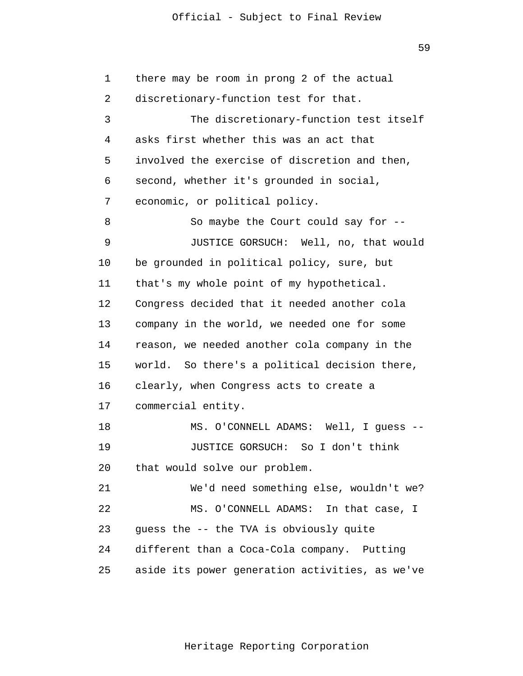59

 1 2 3 4 **5**  6 7 8 9 10 11 12 13 14 15 16 17 18 19 20 21 22 23 24 25 there may be room in prong 2 of the actual discretionary-function test for that. The discretionary-function test itself asks first whether this was an act that involved the exercise of discretion and then, second, whether it's grounded in social, economic, or political policy. So maybe the Court could say for -- JUSTICE GORSUCH: Well, no, that would be grounded in political policy, sure, but that's my whole point of my hypothetical. Congress decided that it needed another cola company in the world, we needed one for some reason, we needed another cola company in the world. So there's a political decision there, clearly, when Congress acts to create a commercial entity. MS. O'CONNELL ADAMS: Well, I guess -- JUSTICE GORSUCH: So I don't think that would solve our problem. We'd need something else, wouldn't we? MS. O'CONNELL ADAMS: In that case, I guess the -- the TVA is obviously quite different than a Coca-Cola company. Putting aside its power generation activities, as we've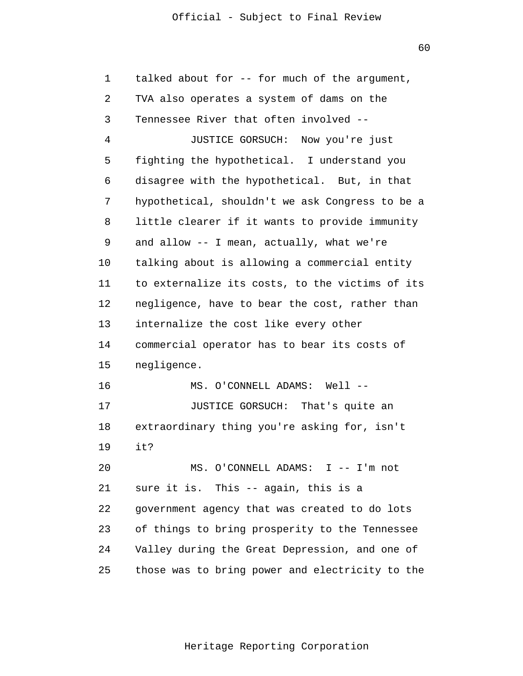| $\mathbf 1$ | talked about for -- for much of the argument,   |
|-------------|-------------------------------------------------|
| 2           | TVA also operates a system of dams on the       |
| 3           | Tennessee River that often involved --          |
| 4           | JUSTICE GORSUCH:<br>Now you're just             |
| 5           | fighting the hypothetical. I understand you     |
| 6           | disagree with the hypothetical. But, in that    |
| 7           | hypothetical, shouldn't we ask Congress to be a |
| 8           | little clearer if it wants to provide immunity  |
| 9           | and allow -- I mean, actually, what we're       |
| 10          | talking about is allowing a commercial entity   |
| 11          | to externalize its costs, to the victims of its |
| 12          | negligence, have to bear the cost, rather than  |
| 13          | internalize the cost like every other           |
| 14          | commercial operator has to bear its costs of    |
| 15          | negligence.                                     |
| 16          | MS. O'CONNELL ADAMS: Well --                    |
| 17          | JUSTICE GORSUCH: That's quite an                |
| 18          | extraordinary thing you're asking for, isn't    |
| 19          | it?                                             |
| 20          | MS. O'CONNELL ADAMS: I -- I'm not               |
| 21          | sure it is. This -- again, this is a            |
| 22          | government agency that was created to do lots   |
| 23          | of things to bring prosperity to the Tennessee  |
| 24          | Valley during the Great Depression, and one of  |
| 25          | those was to bring power and electricity to the |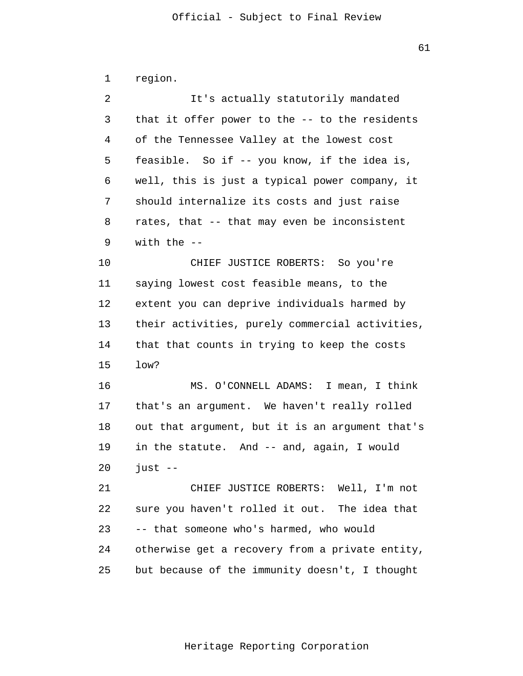| 1              | region.                                         |
|----------------|-------------------------------------------------|
| $\overline{a}$ | It's actually statutorily mandated              |
| 3              | that it offer power to the -- to the residents  |
| 4              | of the Tennessee Valley at the lowest cost      |
| 5              | feasible. So if -- you know, if the idea is,    |
| 6              | well, this is just a typical power company, it  |
| 7              | should internalize its costs and just raise     |
| 8              | rates, that -- that may even be inconsistent    |
| 9              | with the $-$                                    |
| 10             | CHIEF JUSTICE ROBERTS: So you're                |
| 11             | saying lowest cost feasible means, to the       |
| 12             | extent you can deprive individuals harmed by    |
| 13             | their activities, purely commercial activities, |
| 14             | that that counts in trying to keep the costs    |
| 15             | low?                                            |
| 16             | MS. O'CONNELL ADAMS: I mean, I think            |
| 17             | that's an argument. We haven't really rolled    |
| 18             | out that argument, but it is an argument that's |
| 19             | in the statute. And -- and, again, I would      |
| 20             | just $-$                                        |
| 21             | CHIEF JUSTICE ROBERTS: Well, I'm not            |
| 22             | sure you haven't rolled it out. The idea that   |
| 23             | -- that someone who's harmed, who would         |
| 24             | otherwise get a recovery from a private entity, |
| 25             | but because of the immunity doesn't, I thought  |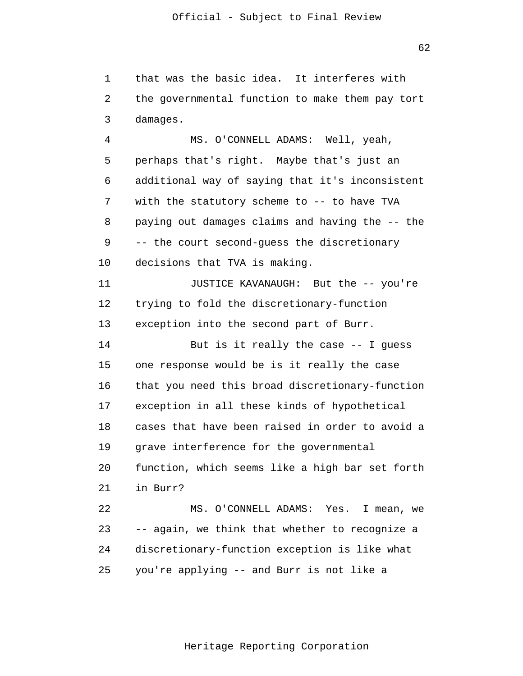1 2 3 that was the basic idea. It interferes with the governmental function to make them pay tort damages.

 4 **5**  $\overline{6}$  7 8 9 10 MS. O'CONNELL ADAMS: Well, yeah, perhaps that's right. Maybe that's just an additional way of saying that it's inconsistent with the statutory scheme to -- to have TVA paying out damages claims and having the -- the -- the court second-guess the discretionary decisions that TVA is making.

> 11 12 13 JUSTICE KAVANAUGH: But the -- you're trying to fold the discretionary-function exception into the second part of Burr.

 14 15 16 17 18 19 20 21 22 23 But is it really the case -- I guess one response would be is it really the case that you need this broad discretionary-function exception in all these kinds of hypothetical cases that have been raised in order to avoid a grave interference for the governmental function, which seems like a high bar set forth in Burr? MS. O'CONNELL ADAMS: Yes. I mean, we -- again, we think that whether to recognize a

 24 discretionary-function exception is like what

 25 you're applying -- and Burr is not like a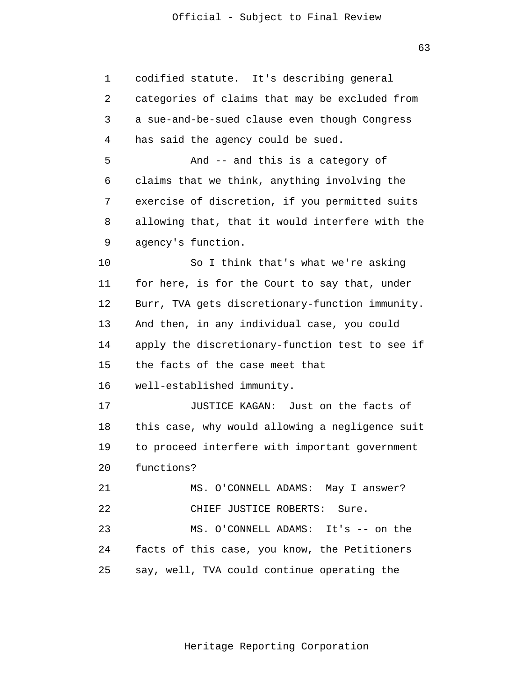| 1  | It's describing general<br>codified statute.    |
|----|-------------------------------------------------|
| 2  | categories of claims that may be excluded from  |
| 3  | a sue-and-be-sued clause even though Congress   |
| 4  | has said the agency could be sued.              |
| 5  | And -- and this is a category of                |
| 6  | claims that we think, anything involving the    |
| 7  | exercise of discretion, if you permitted suits  |
| 8  | allowing that, that it would interfere with the |
| 9  | agency's function.                              |
| 10 | So I think that's what we're asking             |
| 11 | for here, is for the Court to say that, under   |
| 12 | Burr, TVA gets discretionary-function immunity. |
| 13 | And then, in any individual case, you could     |
| 14 | apply the discretionary-function test to see if |
| 15 | the facts of the case meet that                 |
| 16 | well-established immunity.                      |
| 17 | JUSTICE KAGAN: Just on the facts of             |
| 18 | this case, why would allowing a negligence suit |
| 19 | to proceed interfere with important government  |
| 20 | functions?                                      |
| 21 | MS. O'CONNELL ADAMS: May I answer?              |
| 22 | CHIEF JUSTICE ROBERTS: Sure.                    |
| 23 | MS. O'CONNELL ADAMS: It's -- on the             |
| 24 | facts of this case, you know, the Petitioners   |
| 25 | say, well, TVA could continue operating the     |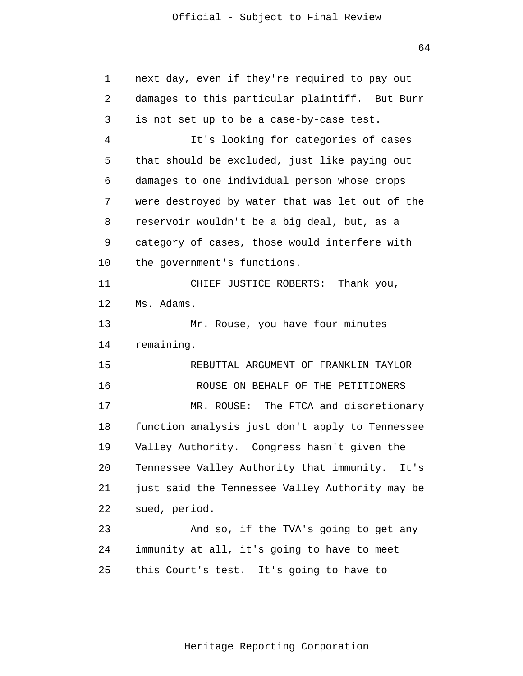64

| 1  | next day, even if they're required to pay out     |
|----|---------------------------------------------------|
| 2  | damages to this particular plaintiff. But Burr    |
| 3  | is not set up to be a case-by-case test.          |
| 4  | It's looking for categories of cases              |
| 5  | that should be excluded, just like paying out     |
| 6  | damages to one individual person whose crops      |
| 7  | were destroyed by water that was let out of the   |
| 8  | reservoir wouldn't be a big deal, but, as a       |
| 9  | category of cases, those would interfere with     |
| 10 | the government's functions.                       |
| 11 | CHIEF JUSTICE ROBERTS:<br>Thank you,              |
| 12 | Ms. Adams.                                        |
| 13 | Mr. Rouse, you have four minutes                  |
| 14 | remaining.                                        |
| 15 | REBUTTAL ARGUMENT OF FRANKLIN TAYLOR              |
| 16 | ROUSE ON BEHALF OF THE PETITIONERS                |
| 17 | The FTCA and discretionary<br>MR. ROUSE:          |
| 18 | function analysis just don't apply to Tennessee   |
| 19 | Valley Authority. Congress hasn't given the       |
| 20 | Tennessee Valley Authority that immunity.<br>It's |
| 21 | just said the Tennessee Valley Authority may be   |
| 22 | sued, period.                                     |
| 23 | And so, if the TVA's going to get any             |
| 24 | immunity at all, it's going to have to meet       |
| 25 | this Court's test. It's going to have to          |
|    |                                                   |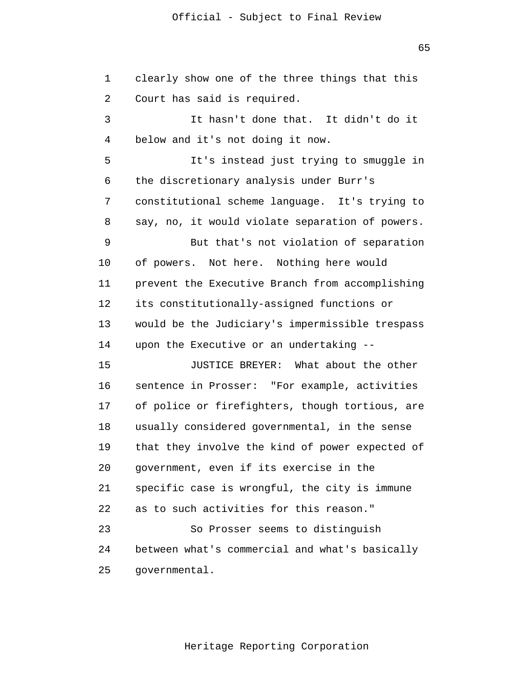$65$ 

| $\mathbf 1$ | clearly show one of the three things that this  |
|-------------|-------------------------------------------------|
| 2           | Court has said is required.                     |
| 3           | It hasn't done that. It didn't do it            |
| 4           | below and it's not doing it now.                |
| 5           | It's instead just trying to smuggle in          |
| 6           | the discretionary analysis under Burr's         |
| 7           | constitutional scheme language. It's trying to  |
| 8           | say, no, it would violate separation of powers. |
| 9           | But that's not violation of separation          |
| 10          | Not here. Nothing here would<br>of powers.      |
| 11          | prevent the Executive Branch from accomplishing |
| 12          | its constitutionally-assigned functions or      |
| 13          | would be the Judiciary's impermissible trespass |
| 14          | upon the Executive or an undertaking --         |
| 15          | JUSTICE BREYER: What about the other            |
| 16          | sentence in Prosser: "For example, activities   |
| 17          | of police or firefighters, though tortious, are |
| 18          | usually considered governmental, in the sense   |
| 19          | that they involve the kind of power expected of |
| 20          | government, even if its exercise in the         |
| 21          | specific case is wrongful, the city is immune   |
| 22          | as to such activities for this reason."         |
| 23          | So Prosser seems to distinguish                 |
| 24          | between what's commercial and what's basically  |
| 25          | governmental.                                   |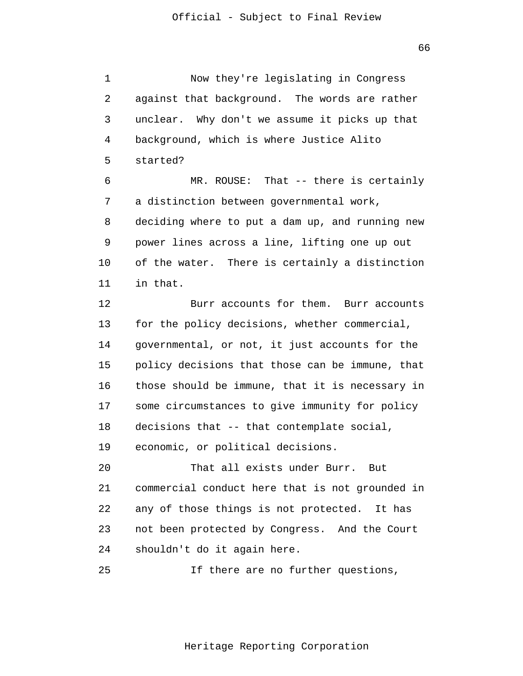1 2 3 4 **5**  $\overline{6}$  7 8 9 10 11 12 13 14 15 16 17 18 19 20 21 22 23 24 25 Now they're legislating in Congress against that background. The words are rather unclear. Why don't we assume it picks up that background, which is where Justice Alito started? MR. ROUSE: That -- there is certainly a distinction between governmental work, deciding where to put a dam up, and running new power lines across a line, lifting one up out of the water. There is certainly a distinction in that. Burr accounts for them. Burr accounts for the policy decisions, whether commercial, governmental, or not, it just accounts for the policy decisions that those can be immune, that those should be immune, that it is necessary in some circumstances to give immunity for policy decisions that -- that contemplate social, economic, or political decisions. That all exists under Burr. But commercial conduct here that is not grounded in any of those things is not protected. It has not been protected by Congress. And the Court shouldn't do it again here. If there are no further questions,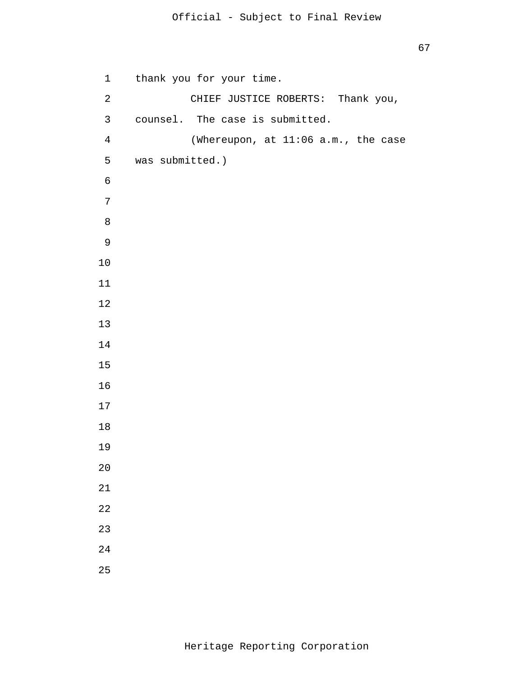```
 1 
             2 
             3 
             4 
             5 
\overline{6} 7
 8
 9
            10
            11
            12
            13
            14
            15
            16
            17
            18
            19
            20
            21
            22
            23
            24
            25
                 thank you for your time. 
                         CHIEF JUSTICE ROBERTS: Thank you, 
                 counsel. The case is submitted. 
                         (Whereupon, at 11:06 a.m., the case 
                was submitted.)
```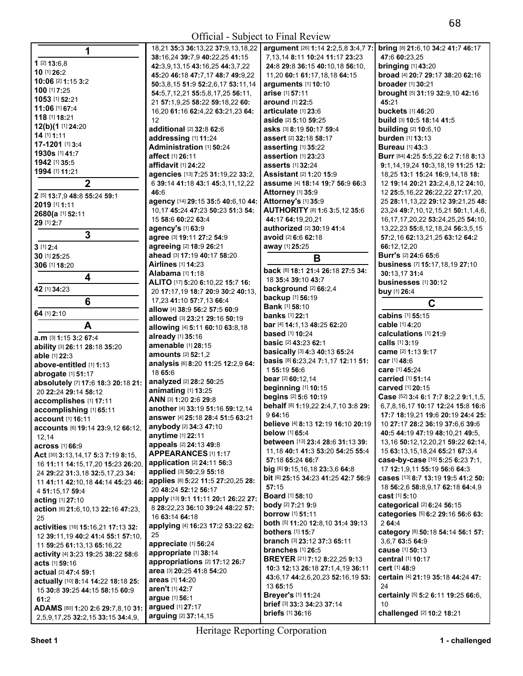|                                                          | 18,21 35:3 36:13,22 37:9,13,18,22   | argument [26] 1:14 2:2,5,8 3:4,7 7:                  | <b>bring</b> [8] 21:6,10 34:2 |
|----------------------------------------------------------|-------------------------------------|------------------------------------------------------|-------------------------------|
| 1                                                        | 38:16,24 39:7,9 40:22,25 41:15      | 7, 13, 14 8: 11 10: 24 11: 17 23: 23                 | 47:6 60:23.25                 |
| $1$ [2] $13:6,8$                                         |                                     | 24:8 29:8 36:15 40:10,18 56:10,                      |                               |
| 10 [1] 26:2                                              | 42:3,9,13,15 43:16,25 44:3,7,22     |                                                      | <b>bringing</b> [1] 43:20     |
| 10:06 [2] 1:15 3:2                                       | 45:20 46:18 47:7,17 48:7 49:9,22    | 11,20 60:1 61:17,18,18 64:15                         | broad [4] 20:7 29:17 3        |
| 100 [1] 7:25                                             | 50:3,8,15 51:9 52:2,6,17 53:11,14   | arguments [1] 10:10                                  | <b>broader</b> [1] 30:21      |
| 1053 [1] 52:21                                           | 54:5,7,12,21 55:5,8,17,25 56:11,    | arise [1] 57:11                                      | brought [5] 31:19 32:9        |
| 11:06 [1] 67:4                                           | 21 57:1,9,25 58:22 59:18,22 60:     | <b>around</b> [1] 22:5                               | 45:21                         |
| 118 [1] 18:21                                            | 16,20 61:16 62:4,22 63:21,23 64:    | articulate [1] 23:6                                  | buckets [1] 46:20             |
|                                                          | 12                                  | aside [2] 5:10 59:25                                 | build [3] 10:5 18:14 41       |
| 12(b)(1 [1] 24:20                                        | additional [2] 32:8 62:6            | asks [3] 8:19 50:17 59:4                             | <b>building</b> [2] 10:6,10   |
| 14 [1] 1:11                                              | addressing [1] 11:24                | <b>assert</b> [2] <b>32:18 58:17</b>                 | burden [1] 13:13              |
| 17-1201 [1] 3:4                                          | Administration [1] 50:24            | asserting [1] 35:22                                  | <b>Bureau</b> [1] 43:3        |
| 1930s [1] 41:7                                           | affect [1] 26:11                    | assertion [1] 23:23                                  | Burr [84] 4:25 5:5,22 6       |
| 1942 [1] 35:5                                            | affidavit [1] 24:22                 | asserts [1] 32:24                                    | $9:1,14,19,24$ 10:3,18,       |
| 1994 [1] 11:21                                           | agencies [13] 7:25 31:19,22 33:2,   | <b>Assistant [2] 1:20 15:9</b>                       | 18,25 13:1 15:24 16:9         |
| $\mathbf 2$                                              | 6 39:14 41:18 43:1 45:3,11,12,22    | assume [4] 18:14 19:7 56:9 66:3                      | 12 19:14 20:21 23:2,4         |
| 2 [5] 13:7,9 48:8 55:24 59:1                             | 46:6                                | Attorney [1] 35:9                                    | 12 25:5, 16, 22 26: 22, 2     |
| 2019 [1] 1:11                                            | agency [14] 29:15 35:5 40:6,10 44:  | Attorney's [1] 35:9                                  | 25 28:11, 13, 22 29:12        |
|                                                          | 10,17 45:24 47:23 50:23 51:3 54:    | AUTHORITY [8] 1:6 3:5,12 35:6                        | 23,24 49:7,10,12,15,2         |
| 2680(a [1] 52:11                                         | 15 58:6 60:22 63:4                  | 44:17 64:19,20,21                                    | 16, 17, 17, 20, 22 53: 24,    |
| 29 [1] 2:7                                               | agency's [1] 63:9                   | authorized [2] 30:19 41:4                            | 13,22,23 55:8,12,18,2         |
| 3                                                        | agree [3] 19:11 27:2 54:9           | avoid [2] 6:6 62:18                                  | 57:2,16 62:13,21,25 6         |
| $3$ [1] $2:4$                                            | agreeing [2] 18:9 26:21             | away [1] 25:25                                       | 66:12,12,20                   |
| 30 [1] 25:25                                             | ahead [3] 17:19 40:17 58:20         |                                                      | <b>Burr's [2] 24:6 65:6</b>   |
| 306 [1] 18:20                                            | <b>Airlines</b> [1] 14:23           | B                                                    | business [7] 15:17,18         |
|                                                          | Alabama [1] 1:18                    | back [8] 18:1 21:4 26:18 27:5 34:                    | 30:13.17 31:4                 |
| $\overline{\mathbf{4}}$                                  | ALITO [17] 5:20 6:10,22 15:7 16:    | 18 35:4 39:10 43:7                                   | businesses [1] 30:12          |
| 42 [1] 34:23                                             |                                     | background [2] 66:2,4                                |                               |
|                                                          | 20 17:17,19 18:7 20:9 30:2 40:13,   | backup [1] 56:19                                     | buy [1] 26:4                  |
| 6                                                        | 17,23 41:10 57:7,13 66:4            | <b>Bank</b> [1] 58:10                                | C                             |
| 64 [1] 2:10                                              | allow [4] 38:9 56:2 57:5 60:9       | <b>banks</b> [1] 22:1                                | cabins [1] 55:15              |
| A                                                        | allowed [3] 23:21 29:16 50:19       | bar [4] 14:1,13 48:25 62:20                          | cable [1] 4:20                |
|                                                          | allowing [4] 5:11 60:10 63:8,18     | <b>based</b> [1] 10:24                               | calculations [1] 21:9         |
| a.m [3] 1:15 3:2 67:4                                    | already [1] 35:16                   | <b>basic</b> [2] 43:23 62:1                          | calls [1] 3:19                |
| ability [3] 26:11 28:18 35:20                            | amenable [1] 28:15                  | basically [3] 4:3 40:13 65:24                        | came [2] 1:13 9:17            |
| able [1] 22:3                                            | amounts [2] 52:1,2                  | basis [8] 6:23,24 7:1,17 12:11 51:                   | car [1] 48:6                  |
| above-entitled [1] 1:13                                  | analysis [6] 8:20 11:25 12:2,9 64:  | 155:19 56:6                                          | care [1] 45:24                |
| abrogate [1] 51:17                                       | 18 65:6                             | bear [2] 60:12.14                                    | carried [1] 51:14             |
| absolutely [7] 17:6 18:3 20:18 21:                       | analyzed [2] 28:2 50:25             | beginning [1] 10:15                                  | carved [1] 20:15              |
| 20 22:24 29:14 58:12                                     | animating [1] 13:25                 | begins [2] 5:6 10:19                                 | Case [52] 3:4 6:1 7:7 8       |
| accomplishes [1] 17:11                                   | ANN [3] 1:20 2:6 29:8               | behalf [8] 1:19,22 2:4,7,10 3:8 29:                  | 6,7,8,16,17 10:17 12:         |
| accomplishing [1] 65:11                                  | another [4] 33:19 51:16 59:12,14    | 9 64:16                                              | 17:7 18:19,21 19:6 20         |
| account [1] 16:11                                        | answer [4] 25:18 28:4 51:5 63:21    |                                                      | 10 27:17 28:2 36:19 3         |
| <b>accounts</b> [6] <b>19:14 23:</b> 9,12 <b>66:12</b> , | anybody [2] 34:3 47:10              | believe [4] 8:13 12:19 16:10 20:19<br>below [1] 65:4 |                               |
| 12,14                                                    | anytime [1] 22:11                   |                                                      | 40:5 44:19 47:19 48:1         |
| across [1] 66:9                                          | appeals [2] 24:13 49:8              | between [13] 23:4 28:6 31:13 39:                     | 13,16 50:12,12,20,21          |
| Act [30] 3:13,14,17 5:3 7:19 8:15,                       | <b>APPEARANCES [1] 1:17</b>         | 11, 18 40:1 41:3 53:20 54:25 55:4                    | 15 63:13,15,18,24 65:         |
| 16 11:11 14:15,17,20 15:23 26:20,                        | application [2] 24:11 56:3          | 57:18 65:24 66:7                                     | case-by-case [10] 5:2         |
| 24 29:22 31:3,18 32:5,17,23 34:                          | applied [3] 50:2,9 55:18            | big [6] $9:15,16,18$ 23:3,6 64:8                     | 17 12:1,9,11 55:19 56         |
| 11 41:11 42:10,18 44:14 45:23 46:                        | applies [8] 5:22 11:5 27:20,25 28:  | bit [6] 25:15 34:23 41:25 42:7 56:9                  | cases [13] 8:7 13:19 1        |
| 4 51:15,17 59:4                                          | 20 48:24 52:12 56:17                | 57:15                                                | 18 56:2,6 58:8,9,17 6         |
| acting [1] 27:10                                         | apply [13] 9:1 11:11 20:1 26:22 27: | <b>Board</b> [1] 58:10                               | cast [1] 5:10                 |
| action [6] 21:6,10,13 22:16 47:23,                       | 8 28:22,23 36:10 39:24 48:22 57:    | <b>body</b> [2] 7:21 9:9                             | categorical [2] 6:24 5        |
| 25                                                       | 16 63:14 64:18                      | <b>borrow</b> [1] <b>51:11</b>                       | categories [5] 6:2 29:        |
| activities [16] 15:16,21 17:13 32:                       | applying [4] 16:23 17:2 53:22 62:   | both [5] 11:20 12:8,10 31:4 39:13                    | 264:4                         |
| 12 39:11, 19 40:2 41:4 55:1 57:10,                       | 25                                  | <b>bothers</b> [1] 15:7                              | category [8] 50:18 54:        |
| 11 59:25 61:13,13 65:16,22                               | appreciate [1] 56:24                | branch [3] 23:12 37:3 65:11                          | 3,6,7 63:5 64:9               |
| activity [4] 3:23 19:25 38:22 58:6                       | appropriate [1] 38:14               | branches $[1]$ 26:5                                  | cause [1] 50:13               |
| <b>acts</b> [1] 59:16                                    | appropriations [2] 17:12 26:7       | <b>BREYER</b> [21] <b>7:12 8:22,25 9:13</b>          | <b>central</b> [1] 10:17      |
|                                                          | area [3] 20:25 41:8 54:20           | 10:3 12:13 26:18 27:1,4,19 36:11                     | <b>cert</b> [1] 48:9          |
| actual [2] 47:4 59:1                                     | areas [1] 14:20                     | 43:6,17 44:2,6,20,23 52:16,19 53:                    | certain [4] 21:19 35:18       |
| actually [10] 8:14 14:22 18:18 25:                       | aren't [1] 42:7                     | 13 65:15                                             | 24                            |
| 15 30:8 39:25 44:15 58:15 60:9                           |                                     | <b>Breyer's [1] 11:24</b>                            | certainly [5] 5:2 6:11        |
|                                                          |                                     |                                                      |                               |
| 61:2<br>ADAMS [80] 1:20 2:6 29:7,8,10 31:                | argue [1] 56:1<br>argued [1] 27:17  | brief [3] 33:3 34:23 37:14                           | 10                            |

**38:**16,24 **39:**7,9 **40:**22,25 **41:**15 **10:06** [2] **1:**15 **3:**2 **50:**3,8,15 **51:**9 **52:**2,6,17 **53:**11,14 **arguments** [1] **10:**10 **broader** [1] **30:**<sup>21</sup> **1053** [1] **52:**21 21 **57:**1,9,25 **58:**22 **59:**18,22 **60: around** [1] **22:**5 **45:**<sup>21</sup> **11:06** [1] **67:**4 16,20 **61:**16 **62:**4,22 **63:**21,23 **64: articulate** [1] **23:**6 **buckets** [1] **46:**<sup>20</sup> **17-1201** [1] **3:**4 **Administration** [1] **50:**24 **asserting** [1] **35:**22 **Bureau** [1] **43:**<sup>3</sup> **agency's** [1] **63:**9 **1 1 1 18:20 Alternatives in the property of the Bill <b>B**<br>111:18 **back** [8] **18:1 21:4 26:18 27:5 34: business** [7] **15:**17,18,19 27:10 **ALITO** [17] **5:**20 **6:**10,22 **15:**7 **16:**  17,23 **41:**10 **57:**7,13 **66:**4 **allow** [4] **38:**9 **56:**2 **57:**5 **60:**9 **allowed** [3] **23:**21 **29:**16 **50:**19 **acting** [1] **27:**10 **apply** [13] **9:**1 **11:**11 **20:**1 **26:**22 **27: Board** [1] **58:**10 **cast** [1] **5:**<sup>10</sup>

**back** [8] **18:**1 **21:**4 **26:**18 **27:**5 **34:**  18 **35:**4 **39:**10 **43:**7 **42** [1] **34:**23 20 **17:**17,19 **18:**7 **20:**9 **30:**2 **40:**13, **background** [2] **66:**2,4 **buy** [1] **26:**<sup>4</sup> **backup** [1] **56:**19 **Bank** [1] **58:**10 **banks** [1] **22:**1 **A allowing** [4] **5:**11 **60:**10 **63:**8,18 **bar** [4] **14:**1,13 **48:**25 **62:**20 **cable** [1] **4:**<sup>20</sup> **able** [1] **22:**3 **amounts** [2] **52:**1,2 **basically** [3] **4:**3 **40:**13 **65:**24 **came** [2] **1:**13 **9:**<sup>17</sup> **basis** [8] **6:**23,24 **7:1,17 12:11 51: car** [1] **48:**6<br>1 **55:19 56:**6 **accomplishes** [1] **17:**11 **ANN** [3] **1:**20 **2:**6 **29:**8 **begins** [2] **5:**6 **10:**19 **Case** [52] **3:**4 **6:**1 **7:**7 **8:**2,2 **9:**1,1,5, **accomplishing** [1] **65:**11 **another** [4] **33:**19 **51:**16 **59:**12,14 **behalf** [8] **1:**19,22 **2:**4,7,10 **3:**8 **29:** 6,7,8,16,17 **10:**17 **12:**24 **15:**8 **16:**<sup>6</sup> **account 16:**<br>25:18 28:4 51:5 63:21 **believe** [4] 8:13 12:19 16:10 20:19 10 27:17 28:2 36:19 37:6,6 39:6 34:3 47:10<br>134:3 47:10<br>22:11<br>**below** [1] 65:4 12,14 **anytime** [1] **22:**11 **below** [1] **65:**4 **40:**5 **44:**19 **47:**19 **48:**10,21 **49:**5, **across across 31:13 <b>appear c between** [13] **23:4 28:6 31:13 <b>39:**  $\begin{bmatrix} 13,16 \text{ } 50:12,12,20,21 \text{ } 59:22 \text{ } 62:14, \\ 11,18 \text{ } 40:1 \text{ } 41:3 \text{ } 53:20 \text{ } 54:25 \text{ } 55:4 \end{bmatrix}$  15 **63**:13,15,18,24 **65**:21 **67:**3, **Act** [30] **3:**13,14,17 **5:**3 **7:**19 **8:**15, **APPEARANCES** [1] **1:**17 11,18 **40:**1 **41:**3 **53:**20 **54:**25 **55:**4 15 **63:**13,15,18,24 **65:**21 **67:**3,4 11 **121 16:**3<br>
16 **16:3**<br> **17** 12:1,9,11 **55:18 64:8**<br> **50**:2 9 **55:**18 **big** [6] **9:**15,16,18 **23:3,6 64:8**<br> **17** 12:1,9,11 **55:19 56:6 64:3** 122.1.1.1.2000<br>50:2,9 **55:**18 **big 69:15,16,18 23:3,6 64:8** 17 12:1,9,11 **55:19 56:6 64:3**<br>5:22 11:5 27:20.25 28: **bit** 69 25:15 34:23 41:25 42:7 **56:9 cases** [13] 8:7 13:19 19:5 41:2 **50:** 5:22 11:5 27:20,25 28: bit [6] 25:15 34:23 41:25 42:7 56:9<br>2:12 56:17 <sup>4</sup>**51:**15,17 **59:**4 20 **48:**24 **52:**12 **56:**17 **57:**15 18 **56:**2,6 **58:**8,9,17 **62:**18 **64:**4,9 **action** [6] **21:**6,10,13 **22:**16 **47:**23, 8 **28:**22,23 **36:**10 **39:**24 **48:**22 **57: body** [2] **7:**21 **9:**9 **categorical** [2] **6:**24 **56:**<sup>15</sup> 25 16 **63:**14 **64:**18 **borrow** [1] **51:**11 **categories** [5] **6:**2 **29:**16 **56:**6 **63: both** [5] **11:**20 **12:8,10 31:4 39:13 bothers** [1] **15:**7 12120 1112 **50:22 bothers** [1] **15:7 category** [8] **50:18 54:14 56:1 <b>57:**<br>11.12.10, **branch** [3] 23:12 37:3 65:11 **68:15** 23:5 64:9 <sup>11</sup>**59:**25 **61:**13,13 **65:**16,22 **appreciate** [1] **56:**24 **branch** [3] **23:**12 **37:**3 **65:**11 3,6,7 **63:**5 **64:**<sup>9</sup> **acts** [1] **59:**16 **appropriations** [2] **17:**12 **26:**7 **BREYER** [21] **7:**12 **8:**22,25 **9:**13 **central** [1] **10:**<sup>17</sup> **actual** [2] **47:**4 **59:**1 **area** [3] **20:**25 **41:**8 **54:**20 **10:**3 **12:**13 **26:**18 **27:**1,4,19 **36:**11 **cert** [1] **48:**<sup>9</sup> **actually actually actually <b>43:**6,17 **44:**2,6,20,23 **52:**16,19 **53: certain 13:**<br>**2:**7 **13:65:15 44: 14: 24 61:**2 **argue** [1] **56:**1 **Breyer's** [1] **11:**24 **certainly** [5] **5:**2 **6:**11 **19:**25 **66:**6, **ADAMSPED ADDRESS ARE:**<br> **ADDRES 19 33:3 34:23 37:14** 10<br> **ADDRES** 19 36:16 **2016 challenged** <sup>[2]</sup> 10:2 18:21

**10** [1] **26:**2 **45:**20 **46:**18 **47:**7,17 **48:**7 **49:**9,22 11,20 **60:**1 **61:**17,18,18 **64:**15 **broad** [4] **20:**7 **29:**17 **38:**20 **62:**<sup>16</sup> **100** [1] **7:**25 **54:**5,7,12,21 **55:**5,8,17,25 **56:**11, **arise** [1] **57:**11 **brought** [5] **31:**19 **32:**9,10 **42:**<sup>16</sup> **1930s** [1] **41:**7 **affect** [1] **26:**11 **assertion** [1] **23:**23 **Burr** [84] **4:**25 **5:**5,22 **6:**2 **7:**18 **8:**<sup>13</sup> **1942** [1] **35:**5 **affidavit** [1] **24:**22 **asserts** [1] **32:**24 **9:**1,14,19,24 **10:**3,18,19 **11:**25 **12: 1994** [1] **11:**21 **agencies** [13] **7:**25 **31:**19,22 **33:**2, **Assistant** [2] **1:**20 **15:**9 18,25 **13:**1 **15:**24 **16:**9,14,18 **18: 2 & 3 & 3 & 3 & 43:14 19:7 56:9 66:3** 12 19:14 20:21 23:2,4,8,12 24:10,<br> **2 2 & 2 2 (2 : 2 = 2 = 2 = 2 : 1** : 2 2 = 4 : 12 2 = 5:5,16,22 2 = 2 : 22 = 27:17,20, **29:15 35:5 40:6,10 <b>44: Attorney** [1] **35:9** 12 **12 25:5,16,22 <b>26:22,22 27:17,20,** 29:15 **46:** 25:348 **<sup>2019</sup>**[1] **1:**11 **agency** [14] **29:**15 **35:**5 **40:**6,10 **44: Attorney's** [1] **35:**9 25 **28:**11,13,22 **29:**12 **39:**21,25 **48: 26811 10,12,15,21 10,12,15,21 10,17 11,14,6,**<br>122 **63:**4 **45:25 <b>44:17 64:19.20.21 10,17,17,20.22 <b>53:24.25.25 54:10** 16,17,17,20,22 **53:**24,25,25 **54:**10, 13,22,23 **55:**8,12,18,24 **56:**3,5,15 **3 agree** [3] **19:**11 **27:**2 **54:**9 **avoid** [2] **6:**6 **62:**18 **57:**2,16 **62:**13,21,25 **63:**12 **64:**<sup>2</sup> **30:**13,17 **31:**4 **businesses** [1] **30:**12

**bring** [8] **21:**6,10 **34:**2 **41:**7 **46:**17

**C cabins** [1] **55:**15

2,5,9,17,25 **32:**2,15 **33:**15 **34:**4,9, **arguing** [2] **37:**14,15 **briefs** [1] **36:**16 **challenged** [2] **10:**2 **18:**<sup>21</sup>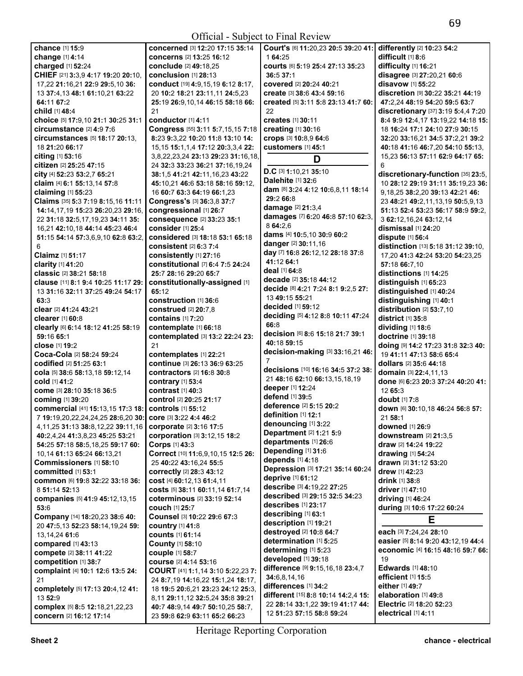| chance [1] 15:9                           | concerned [3] 12:20 17:15 35:14           | Court's [6] 11:20,23 20:5 39:20 41: | differently [2] 10:23 54:2            |
|-------------------------------------------|-------------------------------------------|-------------------------------------|---------------------------------------|
| change [1] 4:14                           | concerns [2] 13:25 16:12                  | 1 64:25                             | difficult [1] 8:6                     |
| charged [1] 52:24                         | conclude [2] 49:18,25                     | courts [6] 5:19 25:4 27:13 35:23    | difficulty [1] 16:21                  |
| CHIEF [21] 3:3,9 4:17 19:20 20:10,        | conclusion [1] 28:13                      | 36:537:1                            | disagree [3] 27:20,21 60:6            |
|                                           |                                           |                                     |                                       |
| 17,22 21:16,21 22:9 29:5,10 36:           | conduct [19] 4:9,15,19 6:12 8:17,         | covered [2] 20:24 40:21             | disavow [1] 55:22                     |
| 13 37:4,13 48:1 61:10,21 63:22            | 20 10:2 18:21 23:11,11 24:5,23            | create [3] 38:6 43:4 59:16          | discretion [9] 30:22 35:21 44:19      |
| 64:11 67:2                                | 25:19 26:9,10,14 46:15 58:18 66:          | created [5] 3:11 5:8 23:13 41:7 60: | 47:2,24 48:19 54:20 59:5 63:7         |
| <b>child</b> [1] 48:4                     | 21                                        | 22                                  | discretionary [37] 3:19 5:4,4 7:20    |
| choice [5] 17:9,10 21:1 30:25 31:1        | conductor [1] 4:11                        | creates [1] 30:11                   | 8:4 9:9 12:4,17 13:19,22 14:18 15:    |
|                                           |                                           |                                     |                                       |
| circumstance [2] 4:9 7:6                  | Congress [55] 3:11 5:7,15,15 7:18         | creating [1] 30:16                  | 18 16:24 17:1 24:10 27:9 30:15        |
| circumstances [5] 18:17 20:13.            | 8:23 9:3,22 10:20 11:8 13:10 14:          | crops [3] 10:8,9 64:6               | 32:20 33:16,21 34:5 37:2,21 39:2      |
| 18 21:20 66:17                            | 15, 15 15: 1, 1, 4 17: 12 20: 3, 3, 4 22: | <b>customers</b> [1] 45:1           | 40:18 41:16 46:7,20 54:10 55:13,      |
| citing $[1]$ 53:16                        | 3,8,22,23,24 23:13 29:23 31:16,18,        |                                     | 15,23 56:13 57:11 62:9 64:17 65:      |
| citizen [2] 25:25 47:15                   | 24 32:3 33:23 36:21 37:16,19,24           | D                                   | 6                                     |
|                                           |                                           | D.C [3] 1:10,21 35:10               |                                       |
| city [4] 52:23 53:2,7 65:21               | 38:1,5 41:21 42:11,16,23 43:22            | Dalehite [1] 32:6                   | discretionary-function [35] 23:5,     |
| claim [4] 6:1 55:13,14 57:8               | 45:10,21 46:6 53:18 58:16 59:12,          |                                     | 10 28:12 29:19 31:11 35:19,23 36:     |
| claiming [1] 55:23                        | 16 60:7 63:3 64:19 66:1,23                | dam [8] 3:24 4:12 10:6,8,11 18:14   | 9, 18, 25 38: 2, 20 39: 13 42: 21 46: |
| Claims [35] 5:3 7:19 8:15,16 11:11        | Congress's [3] 36:3,8 37:7                | 29:2 66:8                           | 23 48:21 49:2,11,13,19 50:5,9,13      |
| 14:14,17,19 15:23 26:20,23 29:16,         | congressional [1] 26:7                    | damage [2] 21:3,4                   | 51:13 52:4 53:23 56:17 58:9 59:2,     |
|                                           |                                           | damages [7] 6:20 46:8 57:10 62:3,   |                                       |
| 22 31:18 32:5,17,19,23 34:11 35:          | consequence [2] 33:23 35:1                | 8 64:2.6                            | 3 62:12, 16, 24 63:12, 14             |
| 16,21 42:10,18 44:14 45:23 46:4           | consider [1] 25:4                         |                                     | dismissal [1] 24:20                   |
| 51:15 54:14 57:3,6,9,10 62:8 63:2,        | considered [3] 18:18 53:1 65:18           | dams [4] 10:5,10 30:9 60:2          | dispute $[1]$ 56:4                    |
| 6                                         | consistent $[2]$ 6:3 7:4                  | danger [2] 30:11,16                 | distinction [13] 5:18 31:12 39:10,    |
| <b>Claimz</b> [1] 51:17                   | consistently [1] 27:16                    | day [7] 16:8 26:12,12 28:18 37:8    | 17,20 41:3 42:24 53:20 54:23,25       |
|                                           |                                           | 41:12 64:1                          |                                       |
| clarity [1] 41:20                         | constitutional [7] 6:4 7:5 24:24          | deal [1] 64:8                       | 57:18 66:7,10                         |
| classic [2] 38:21 58:18                   | 25:7 28:16 29:20 65:7                     |                                     | distinctions [1] 14:25                |
| clause [11] 8:1 9:4 10:25 11:17 29:       | constitutionally-assigned [1]             | decade [2] 35:18 44:12              | distinguish [1] 65:23                 |
| 13 31:16 32:11 37:25 49:24 54:17          | 65:12                                     | decide [8] 4:21 7:24 8:1 9:2,5 27:  | distinguished [1] 40:24               |
| 63:3                                      | construction [1] 36:6                     | 13 49:15 55:21                      | distinguishing [1] 40:1               |
| clear [2] 41:24 43:21                     | construed [2] 20:7,8                      | <b>decided</b> [1] <b>59:12</b>     | distribution [2] 53:7,10              |
|                                           |                                           | deciding [5] 4:12 8:8 10:11 47:24   |                                       |
| <b>clearer</b> [1] 60:8                   | <b>contains</b> [1] 7:20                  |                                     | district [1] 35:8                     |
| clearly [6] 6:14 18:12 41:25 58:19        | contemplate [1] 66:18                     | 66:8                                | dividing [1] 18:6                     |
| 59:16 65:1                                | contemplated [3] 13:2 22:24 23:           | decision [6] 8:6 15:18 21:7 39:1    | doctrine [1] 39:18                    |
| close [1] 19:2                            | 21                                        | 40:18 59:15                         | doing [9] 14:2 17:23 31:8 32:3 40:    |
| Coca-Cola [2] 58:24 59:24                 | contemplates [1] 22:21                    | decision-making [3] 33:16,21 46:    | 19 41:11 47:13 58:6 65:4              |
|                                           |                                           | 7                                   |                                       |
| codified [2] 51:25 63:1                   | continue [3] 26:13 36:9 63:25             | decisions [10] 16:16 34:5 37:2 38:  | dollars [2] 35:6 44:18                |
| cola [5] 38:6 58:13,18 59:12,14           | <b>contractors</b> [2] <b>16:8 30:8</b>   |                                     | domain [3] 22:4,11,13                 |
| <b>cold</b> [1] <b>41:</b> 2              | contrary [1] 53:4                         | 21 48:16 62:10 66:13,15,18,19       | done [6] 6:23 20:3 37:24 40:20 41:    |
| Come [3] 28:10 35:18 36:5                 | contrast [1] 40:3                         | deeper [1] 12:24                    | 12 65:3                               |
| coming [1] 39:20                          | control [2] 20:25 21:17                   | defend [1] 39:5                     | doubt [1] 7:8                         |
|                                           |                                           | deference [2] 5:15 20:2             |                                       |
| commercial [41] 15:13,15 17:3 18:         | controls [1] 55:12                        | definition [1] 12:1                 | down [6] 30:10,18 46:24 56:8 57:      |
| 7 19:19,20,22,24,24,25 28:6,20 30:        | core [3] 3:22 4:4 46:2                    |                                     | 21 58:1                               |
| 4, 11, 25 31: 13 38: 8, 12, 22 39: 11, 16 | corporate [2] 3:16 17:5                   | denouncing [1] 3:22                 | downed [1] 26:9                       |
| 40:2,4,24 41:3,8,23 45:25 53:21           | corporation [3] 3:12,15 18:2              | Department [2] 1:21 5:9             | downstream [2] 21:3,5                 |
| 54:25 57:18 58:5,18,25 59:17 60:          | Corps [1] 43:3                            | departments [1] 26:6                | draw [2] 14:24 19:22                  |
|                                           |                                           | Depending [1] 31:6                  |                                       |
| 10,14 61:13 65:24 66:13,21                | Correct [10] 11:6,9,10,15 12:5 26:        | depends [1] 4:18                    | drawing $[1]$ 54:24                   |
| Commissioners [1] 58:10                   | 25 40:22 43:16,24 55:5                    | Depression [3] 17:21 35:14 60:24    | drawn [2] 31:12 53:20                 |
| committed [1] 53:1                        | correctly [2] 28:3 43:12                  |                                     | drew [1] 42:23                        |
| COMMON [6] 19:8 32:22 33:18 36:           | cost [4] 60:12,13 61:4,11                 | deprive [1] 61:12                   | drink [1] 38:8                        |
| 8 51:14 52:13                             | costs [5] 38:11 60:11,14 61:7,14          | describe [3] 4:19,22 27:25          | driver [1] 47:10                      |
| companies [5] 41:9 45:12,13,15            | coterminous [2] 33:19 52:14               | described [3] 29:15 32:5 34:23      | <b>driving</b> [1] 46:24              |
|                                           |                                           | describes [1] 23:17                 |                                       |
| 53:6                                      | couch [1] 25:7                            | describing [1] 63:1                 | during [3] 10:6 17:22 60:24           |
| Company [14] 18:20,23 38:6 40:            | Counsel [3] 10:22 29:6 67:3               |                                     | Е                                     |
| 20 47:5,13 52:23 58:14,19,24 59:          | <b>country</b> [1] 41:8                   | description [1] 19:21               |                                       |
| 13, 14, 24 61: 6                          | <b>counts</b> [1] 61:14                   | destroyed [2] 10:8 64:7             | each [3] 7:24,24 28:10                |
| compared [1] 43:13                        | <b>County [1] 58:10</b>                   | determination [1] 5:25              | easier [5] 8:14 9:20 43:12,19 44:4    |
|                                           |                                           | determining [1] 5:23                | economic [4] 16:15 48:16 59:7 66:     |
| compete [2] 38:11 41:22                   | couple [1] 58:7                           | developed [1] 39:18                 | 19                                    |
| competition [1] 38:7                      | course [2] 4:14 53:16                     |                                     |                                       |
| complaint [4] 10:1 12:6 13:5 24:          | COURT [41] 1:1,14 3:10 5:22,23 7:         | difference [9] 9:15,16,18 23:4,7    | <b>Edwards</b> [1] 48:10              |
| 21                                        | 24 8:7,19 14:16,22 15:1,24 18:17,         | 34:6,8,14,16                        | efficient [1] 15:5                    |
| completely [5] 17:13 20:4,12 41:          | 18 19:5 20:6,21 23:23 24:12 25:3,         | differences [1] 34:2                | either [1] 49:7                       |
| 13 52:9                                   | 8,11 29:11,12 32:5,24 35:8 39:21          | different [15] 8:8 10:14 14:2,4 15: | elaboration [1] 49:8                  |
|                                           |                                           | 22 28:14 33:1,22 39:19 41:17 44:    | Electric [2] 18:20 52:23              |
| complex [5] 8:5 12:18,21,22,23            | 40:7 48:9,14 49:7 50:10,25 58:7,          | 12 51:23 57:15 58:8 59:24           | electrical [1] 4:11                   |
| concern [2] 16:12 17:14                   | 23 59:8 62:9 63:11 65:2 66:23             |                                     |                                       |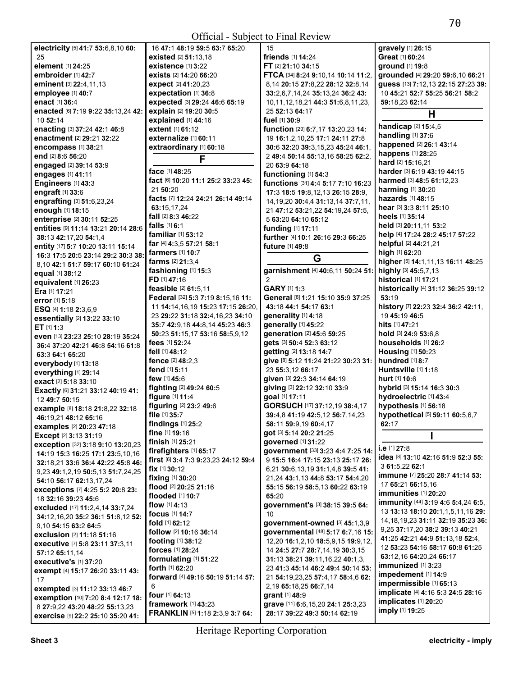| electricity [5] 41:7 53:6,8,10 60:                      | 16 47:1 48:19                    |
|---------------------------------------------------------|----------------------------------|
| 25                                                      | existed [2] 51                   |
| element [1] 24:25                                       | existence [1]                    |
| embroider [1] 42:7                                      | exists [2] 14:2                  |
| eminent [3] 22:4,11,13                                  | expect [2] 41:                   |
| employee [1] 40:7                                       | expectation                      |
| enact [1] 36:4                                          | expected [3] :                   |
| enacted [6] 7:19 9:22 35:13,24 42:                      | explain [2] 19                   |
| 10 52:14                                                | explained [1]                    |
| enacting [3] 37:24 42:1 46:8                            | extent [1] 61:1                  |
| enactment [2] 29:21 32:22                               | externalize [                    |
| encompass [1] 38:21                                     | extraordinar                     |
| end [2] 8:6 56:20                                       |                                  |
| engaged [2] 39:14 53:9                                  | face [1] 48:25                   |
| engages [1] 41:11                                       | fact [6] 10:20 '                 |
| Engineers [1] 43:3<br>engraft [1] 33:6                  | 21 50:20                         |
| engrafting [3] 51:6,23,24                               | facts [7] 12:24                  |
| enough [1] 18:15                                        | 63:15.17.24                      |
| enterprise [2] 30:11 52:25                              | fall [2] 8:3 46:2                |
| entities [9] 11:14 13:21 20:14 28:6                     | falls [1] 6:1                    |
| 38:13 42:17,20 54:1,4                                   | familiar [1] 53                  |
| entity [17] 5:7 10:20 13:11 15:14                       | far [4] 4:3.5 57                 |
| 16:3 17:5 20:5 23:14 29:2 30:3 38:                      | farmers [1] 10                   |
| 8,10 42:1 51:7 59:17 60:10 61:24                        | <b>farms</b> [2] <b>21:</b> 3    |
| equal [1] 38:12                                         | fashioning [                     |
| equivalent [1] 26:23                                    | FD [1] 47:16                     |
| Era [1] 17:21                                           | feasible [2] 61                  |
| error [1] 5:18                                          | Federal [32] 5                   |
| <b>ESQ</b> [4] 1:18 2:3.6.9                             | 11 14:14,16,1                    |
| essentially [2] 13:22 33:10                             | 23 29:22 31:1                    |
| ET $[1]$ 1:3                                            | 35:7 42:9.18                     |
| even [13] 23:23 25:10 28:19 35:24                       | 50:23 51:15,1                    |
| 36:4 37:20 42:21 46:8 54:16 61:8                        | fees [1] 52:24<br>fell [1] 48:12 |
| 63:3 64:1 65:20                                         | fence [2] 48:2                   |
| everybody [1] 13:18                                     | fend [1] 5:11                    |
| everything [1] 29:14                                    | few [1] 45:6                     |
| exact [2] 5:18 33:10                                    | fighting [2] 49                  |
| Exactly [6] 31:21 33:12 40:19 41:                       | figure [1] 11:4                  |
| 12 49:7 50:15                                           | figuring [2] 23                  |
| example [8] 18:18 21:8,22 32:18<br>46:19,21 48:12 65:16 | file [1] 35:7                    |
| examples [2] 20:23 47:18                                | findings [1] 2                   |
| Except [2] 3:13 31:19                                   | fine [1] 19:16                   |
| exception [32] 3:18 9:10 13:20,23                       | finish [1] 25:2                  |
| 14:19 15:3 16:25 17:1 23:5,10,16                        | firefighters [                   |
| 32:18,21 33:6 36:4 42:22 45:8 46:                       | first [6] 3:4 7:3                |
| 9,23 49:1,2,19 50:5,13 51:7,24,25                       | fix [1] 30:12                    |
| 54:10 56:17 62:13,17,24                                 | fixing [1] 30:2                  |
| exceptions [7] 4:25 5:2 20:8 23:                        | flood [2] 20:25                  |
| 18 32:16 39:23 45:6                                     | flooded [1] 10                   |
| excluded [17] 11:2,4,14 33:7,24                         | flow $[1]$ 4:13                  |
| 34:12,16,20 35:2 36:1 51:8,12 52:                       | <b>focus</b> [1] 14:7            |
| 9,10 54:15 63:2 64:5                                    | fold [1] 62:12                   |
| exclusion [2] 11:18 51:16                               | follow [2] 10:1                  |
| executive [7] 5:8 23:11 37:3,11                         | footing [1] 38:                  |
| 57:12 65:11,14                                          | forces [1] 28:2                  |
| executive's [1] 37:20                                   | formulating<br>forth [1] 62:20   |
| exempt [4] 15:17 26:20 33:11 43:                        | forward [4] 49                   |
| 17                                                      | 6                                |
| exempted [3] 11:12 33:13 46:7                           | <b>four</b> [1] <b>64:</b> 13    |
| exemption [10] 7:20 8:4 12:17 18:                       | framework ['                     |
| 8 27:9,22 43:20 48:22 55:13,23                          | <b>FRANKLIN IS</b>               |
| exercise [9] 22:2 25:10 35:20 41:                       |                                  |

| 16 47:1 48:19 59:5 63:7 65:20                                                   | 15                                                                |
|---------------------------------------------------------------------------------|-------------------------------------------------------------------|
| existed [2] 51:13,18                                                            | friends [1] 14:24                                                 |
| existence [1] 3:22                                                              | FT [2] 21:10 34:15                                                |
| <b>exists</b> [2] 14:20 66:20                                                   | FTCA [34] 8:24 9:10,14 10:14 1                                    |
| expect [2] 41:20,23                                                             | 8,14 20:15 27:8,22 28:12 32:8                                     |
| expectation [1] 36:8                                                            | 33:2,6,7,14,24 35:13,24 36:24                                     |
| expected [3] 29:24 46:6 65:19                                                   | 10,11,12,18,21 44:3 51:6,8,11                                     |
| explain [2] 19:20 30:5                                                          | 25 52:13 64:17                                                    |
| explained [1] 44:16                                                             | fuel [1] 30:9                                                     |
| extent [1] 61:12                                                                | function [29] 6:7,17 13:20,23 1                                   |
| externalize [1] 60:11                                                           | 19 16:1,2,10,25 17:1 24:11 27                                     |
| extraordinary [1] 60:18                                                         | 30:6 32:20 39:3,15,23 45:24 4                                     |
| F                                                                               | 2 49:4 50:14 55:13,16 58:25 6                                     |
| <b>face</b> [1] <b>48:</b> 25                                                   | 20 63:9 64:18                                                     |
| fact [6] 10:20 11:1 25:2 33:23 45:                                              | functioning [1] 54:3                                              |
| 21 50:20                                                                        | functions [31] 4:4 5:17 7:10 1                                    |
| facts [7] 12:24 24:21 26:14 49:14                                               | 17:3 18:5 19:8,12,13 26:15 28                                     |
| 63:15.17.24                                                                     | 14, 19, 20 30: 4, 4 31: 13, 14 37: 7                              |
| fall [2] 8:3 46:22                                                              | 21 47:12 53:21,22 54:19,24 57                                     |
| falls [1] 6:1                                                                   | 5 63:20 64:10 65:12                                               |
| familiar [1] 53:12                                                              | funding [1] 17:11                                                 |
| far [4] 4:3,5 57:21 58:1                                                        | further [4] 10:1 26:16 29:3 66:                                   |
| farmers [1] 10:7                                                                | future [1] 49:8                                                   |
| farms [2] 21:3,4                                                                | G                                                                 |
|                                                                                 |                                                                   |
| fashioning [1] 15:3<br>FD [1] 47:16                                             | garnishment [4] 40:6,11 50:2<br>2                                 |
| feasible [2] 61:5,11                                                            | <b>GARY [1] 1:3</b>                                               |
|                                                                                 | General [8] 1:21 15:10 35:9 37                                    |
| Federal [32] 5:3 7:19 8:15,16 11:                                               |                                                                   |
| 11 14:14,16,19 15:23 17:15 26:20,                                               | 43:18 44:1 54:17 63:1                                             |
| 23 29:22 31:18 32:4,16,23 34:10                                                 | generality [1] 4:18                                               |
| 35:7 42:9,18 44:8,14 45:23 46:3                                                 | generally [1] 45:22                                               |
| 50:23 51:15,17 53:16 58:5,9,12                                                  | generation [2] 45:6 59:25                                         |
| <b>fees</b> [1] <b>52:</b> 24                                                   | gets [3] 50:4 52:3 63:12                                          |
| fell [1] 48:12                                                                  | getting [2] 13:18 14:7                                            |
| fence [2] 48:2.3                                                                | give [8] 5:12 11:24 21:22 30:23                                   |
| fend [1] 5:11                                                                   | 23 55:3,12 66:17                                                  |
| few [1] 45:6                                                                    | given [3] 22:3 34:14 64:19                                        |
| fighting [2] 49:24 60:5                                                         | giving [3] 22:12 32:10 33:9                                       |
| figure [1] 11:4                                                                 | goal [1] 17:11                                                    |
| figuring [2] 23:2 49:6                                                          | GORSUCH [17] 37:12,19 38:4,                                       |
| file [1] 35:7                                                                   | 39:4,8 41:19 42:5,12 56:7,14,2                                    |
| findings [1] 25:2                                                               | 58:11 59:9,19 60:4,17                                             |
| fine [1] 19:16                                                                  | got [3] 5:14 20:2 21:25                                           |
| finish [1] 25:21                                                                | governed [1] 31:22                                                |
| firefighters [1] 65:17                                                          | government [33] 3:23 4:4 7:2                                      |
| first [6] 3:4 7:3 9:23,23 24:12 59:4                                            | 9 15:5 16:4 17:15 23:13 25:17                                     |
| fix [1] 30:12                                                                   | 6,21 30:6,13,19 31:1,4,8 39:5                                     |
| fixing [1] 30:20                                                                |                                                                   |
| <b>flood</b> [2] <b>20:</b> 25 <b>21:</b> 16                                    | 21,24 43:1,13 44:8 53:17 54:4                                     |
|                                                                                 | 55:15 56:19 58:5,13 60:22 63:                                     |
| flooded [1] 10:7                                                                | 65:20                                                             |
| <b>flow</b> [1] <b>4:</b> 13                                                    | <b>government's [3] 38:15 39:5</b>                                |
| <b>focus</b> [1] 14:7                                                           | 10                                                                |
| fold [1] 62:12                                                                  | government-owned [3] 45:1                                         |
| follow [2] 10:16 36:14                                                          | governmental [48] 5:17 6:7,1                                      |
| <b>footing</b> [1] 38:12                                                        | 12,20 16:1,2,10 18:5,9,15 19:9                                    |
| forces [1] 28:24                                                                | 14 24:5 27:7 28:7,14,19 30:3,                                     |
|                                                                                 | 31:13 38:21 39:11,16,22 40:1,                                     |
| formulating [1] 51:22<br><b>forth</b> [1] <b>62:</b> 20                         | 23 41:3 45:14 46:2 49:4 50:14                                     |
| <b>forward</b> [4] <b>49:</b> 16 <b>50:</b> 19 <b>51:</b> 14 <b>57:</b>         | 21 54:19,23,25 57:4,17 58:4,6                                     |
| 6                                                                               | 2,19 65:18,25 66:7,14                                             |
|                                                                                 | grant [1] 48:9                                                    |
| four [1] 64:13<br><b>framework</b> [1] 43:23<br>FRANKLIN [5] 1:18 2:3,9 3:7 64: | grave [11] 6:6, 15, 20 24:1 25:3,<br>28:17 39:22 49:3 50:14 62:19 |

15 **friends** [1] **14:**24 **FT** [2] **21:**10 **34:**15 **FTCA** [34] **8:**24 **9:**10,14 **10:**14 **11:**2, 8,14 **20:**15 **27:**8,22 **28:**12 **32:**8,14 **33:**2,6,7,14,24 **35:**13,24 **36:**2 **43:**  10,11,12,18,21 **44:**3 **51:**6,8,11,23, 25 **52:**13 **64:**17 **fuel** [1] **30:**9 **function** [29] **6:**7,17 **13:**20,23 **14:**  19 **16:**1,2,10,25 **17:**1 **24:**11 **27:**8 **30:**6 **32:**20 **39:**3,15,23 **45:**24 **46:**1, 2 **49:**4 **50:**14 **55:**13,16 **58:**25 **62:**2, 20 **63:**9 **64:**18 **functioning** [1] **54:**3 **functions** [31] **4:**4 **5:**17 **7:**10 **16:**23 **17:**3 **18:**5 **19:**8,12,13 **26:**15 **28:**9, 14,19,20 **30:**4,4 **31:**13,14 **37:**7,11, 21 **47:**12 **53:**21,22 **54:**19,24 **57:**5, 5 **63:**20 **64:**10 **65:**12 **funding** [1] **17:**11 **further** [4] **10:**1 **26:**16 **29:**3 **66:**25 **future** [1] **49:**8 **G garnishment** [4] **40:**6,11 **50:**24 **51: GARY** [1] **1:**3 **General** [8] **1:**21 **15:**10 **35:**9 **37:**25 **43:**18 **44:**1 **54:**17 **63:**1 **generality** [1] **4:**18 **generally** [1] **45:**22 **generation** [2] **45:**6 **59:**25 **gets** [3] **50:**4 **52:**3 **63:**12 **getting** [2] **13:**18 **14:**7 **give** [8] **5:**12 **11:**24 **21:**22 **30:**23 **31:**  23 **55:**3,12 **66:**17 **given** [3] **22:**3 **34:**14 **64:**19 **giving** [3] **22:**12 **32:**10 **33:**9 **goal** [1] **17:**11 **GORSUCH** [17] **37:**12,19 **38:**4,17 **39:**4,8 **41:**19 **42:**5,12 **56:**7,14,23 **58:**11 **59:**9,19 **60:**4,17 **got** [3] **5:**14 **20:**2 **21:**25 **governed** [1] **31:**22 **government** [33] **3:**23 **4:**4 **7:**25 **14:**  9 **15:**5 **16:**4 **17:**15 **23:**13 **25:**17 **26:**  6,21 **30:**6,13,19 **31:**1,4,8 **39:**5 **41:**  21,24 **43:**1,13 **44:**8 **53:**17 **54:**4,20 **55:**15 **56:**19 **58:**5,13 **60:**22 **63:**19 **government's** [3] **38:**15 **39:**5 **64: government-owned** [3] **45:**1,3,9 **governmental** [48] **5:**17 **6:**7,16 **15:**  12,20 **16:**1,2,10 **18:**5,9,15 **19:**9,12, 14 **24:**5 **27:**7 **28:**7,14,19 **30:**3,15 **31:**13 **38:**21 **39:**11,16,22 **40:**1,3, 23 **41:**3 **45:**14 **46:**2 **49:**4 **50:**14 **53:**  21 **54:**19,23,25 **57:**4,17 **58:**4,6 **62:**  2,19 **65:**18,25 **66:**7,14 **g**:9 **grave** [11] **6:**6,15,20 **24:**1 **25:**3,23 **gravely** [1] **26:**15 **Great** [1] **60:**24 **heels** [1] **35:**14 **high** [1] **62:**20 **53:**19 19 **45:**19 **46:**5 **hits** [1] **47:**21 **hurt** [1] **10:**6 **62:**17 **i.e** [1] **27:**8 3 **61:**5,22 **62:**1 **immunized** [1] **3:**23 **impedement** [1] **14:**9 **impermissible** [1] **65:**13 **implicate** [4] **4:**16 **5:**3 **24:**5 **28:**16 **implicates** [1] **20:**20

**ground** [1] **19:**8 **grounded** [4] **29:**20 **59:**6,10 **66:**21 **guess** [13] **7:**12,13 **22:**15 **27:**23 **39:**  10 **45:**21 **52:**7 **55:**25 **56:**21 **58:**2 **59:**18,23 **62:**14 **H handicap** [2] **15:**4,5 **handling** [1] **37:**6 **happened** [2] **26:**1 **43:**14 **happens** [1] **28:**25 **hard** [2] **15:**16,21 **harder** [3] **6:**19 **43:**19 **44:**15 **harmed** [3] **48:**5 **61:**12,23 **harming** [1] **30:**20 **hazards** [1] **48:**15 **hear** [3] **3:**3 **8:**11 **25:**10 **held** [3] **20:**11,11 **53:**2 **help** [4] **17:**24 **28:**2 **45:**17 **57:**22 **helpful** [2] **44:**21,21 **higher** [5] **14:**1,11,13 **16:**11 **48:**25 **highly** [3] **45:**5,7,13 **historical** [1] **17:**21 **historically** [4] **31:**12 **36:**25 **39:**12 **history** [7] **22:**23 **32:**4 **36:**2 **42:**11, **hold** [3] **24:**9 **53:**6,8 **households** [1] **26:**2 **Housing** [1] **50:**23 **hundred** [1] **8:**7 **Huntsville** [1] **1:**18 **hybrid** [3] **15:**14 **16:**3 **30:**3 **hydroelectric** [1] **43:**4 **hypothesis** [1] **56:**18 **hypothetical** [5] **59:**11 **60:**5,6,7 **I idea** [8] **13:**10 **42:**16 **51:**9 **52:**3 **55: immune** [7] **25:**20 **28:**7 **41:**14 **53:**  17 **65:**21 **66:**15,16 **immunities** [1] **20:**20 **immunity** [44] **3:**19 **4:**6 **5:**4,24 **6:**5, 13 **13:**13 **18:**10 **20:**1,1,5,11,16 **29:**  14,18,19,23 **31:**11 **32:**19 **35:**23 **36:**  9,25 **37:**17,20 **38:**2 **39:**13 **40:**21 **41:**25 **42:**21 **44:**9 **51:**13,18 **52:**4, 12 **53:**23 **54:**16 **58:**17 **60:**8 **61:**25 **63:**12,16 **64:**20,24 **66:**17

**imply** [1] **19:**25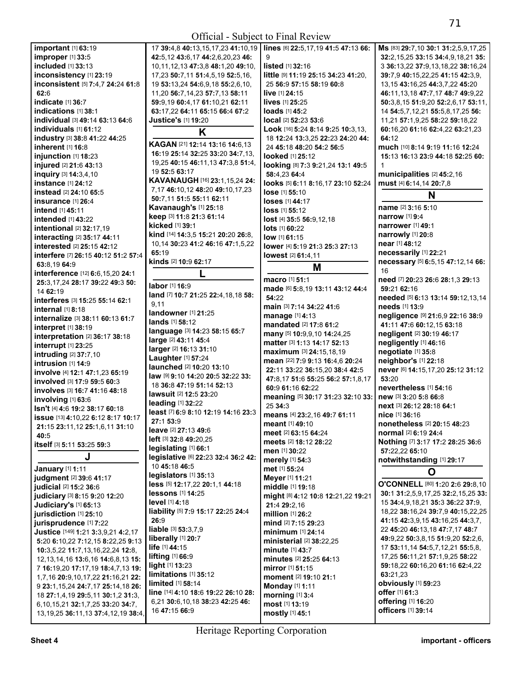| $\mathbf{u}$                                                                  | 17 JJ.4,040.1                                |
|-------------------------------------------------------------------------------|----------------------------------------------|
| improper [1] 33:5                                                             | 42:5,12 43:6,1                               |
| included [1] 33:13                                                            | 10,11,12,13 47                               |
|                                                                               |                                              |
| inconsistency [1] 23:19                                                       | 17,23 50:7,11!                               |
| inconsistent [5] 7:4,7 24:24 61:8                                             | 19 53:13,24 54                               |
| 62:6                                                                          | 11,20 56:7,14,2                              |
| indicate [1] 36:7                                                             | 59:9,19 60:4,1                               |
| indications [1] 38:1                                                          | 63:17,22 64:11                               |
| individual [3] 49:14 63:13 64:6                                               | Justice's [1] 19                             |
|                                                                               |                                              |
| individuals [1] 61:12                                                         |                                              |
| industry [3] 38:8 41:22 44:25                                                 |                                              |
| inherent [1] 16:8                                                             | <b>KAGAN [21] 12</b>                         |
| iniunction [1] 18:23                                                          | 16:19 25:14 32                               |
| injured [2] 21:6 43:13                                                        | 19,25 40:15 46                               |
| inquiry [3] 14:3,4,10                                                         | 19 52:5 63:17                                |
| <b>instance</b> [1] 24:12                                                     | KAVANAUGH                                    |
|                                                                               | 7,17 46:10,12                                |
| <b>instead</b> [2] 24:10 65:5                                                 | 50:7,11 51:5 5                               |
| <b>insurance</b> [1] 26:4                                                     |                                              |
| <b>intend</b> [1] 45:11                                                       | Kavanaugh's                                  |
| intended [1] 43:22                                                            | keep [3] 11:8 2                              |
| intentional [2] 32:17,19                                                      | kicked [1] 39:1                              |
| interacting [2] 35:17 44:11                                                   | kind [14] 14:3,5                             |
|                                                                               | 10,14 30:23 41                               |
| interested [2] 25:15 42:12                                                    | 65:19                                        |
| interfere [7] 26:15 40:12 51:2 57:4                                           | kinds [2] 10:9 6                             |
| 63:8,19 64:9                                                                  |                                              |
| interference [12] 6:6,15,20 24:1                                              |                                              |
| 25:3.17.24 28:17 39:22 49:3 50:                                               |                                              |
| 14 62:19                                                                      | labor [1] 16:9                               |
| interferes [3] 15:25 55:14 62:1                                               | land [7] 10:7 21                             |
|                                                                               | 9,11                                         |
| internal [1] 8:18                                                             | landowner [1]                                |
| internalize [3] 38:11 60:13 61:7                                              | lands [1] 58:12                              |
| interpret [1] 38:19                                                           | language [3] 14                              |
| interpretation [2] 36:17 38:18                                                | large [2] 43:11                              |
| interrupt [1] 23:25                                                           |                                              |
| intruding [2] 37:7,10                                                         | larger [2] 16:13                             |
| intrusion $[1]$ 14:9                                                          | Laughter [1] 57                              |
|                                                                               | launched [2] 1                               |
| involve [4] 12:1 47:1,23 65:19                                                | law [9] 9:10 14:                             |
| involved [3] 17:9 59:5 60:3                                                   |                                              |
| involves [3] 16:7 41:16 48:18                                                 | 18 36:8 47:19                                |
|                                                                               |                                              |
| involving [1] 63:6                                                            | <b>lawsuit</b> [2] 12:5                      |
|                                                                               | leading [1] 32:2                             |
| Isn't [4] 4:6 19:2 38:17 60:18                                                | least [7] 6:9 8:1                            |
| issue [13] 4:10,22 6:12 8:17 10:17                                            | 27:1 53:9                                    |
| 21:15 23:11,12 25:1,6,11 31:10                                                | <b>leave</b> [2] 27:13                       |
| 40:5                                                                          | left [3] 32:8 49:2                           |
| itself [3] 5:11 53:25 59:3                                                    | legislating [1]                              |
|                                                                               |                                              |
| J                                                                             | legislative [6] 2                            |
| January [1] 1:11                                                              | 10 45:18 46:5                                |
| judgment [2] 39:6 41:17                                                       | legislators [1]                              |
| judicial [2] 15:2 36:6                                                        | less [5] 12:17,2                             |
| judiciary [3] 8:15 9:20 12:20                                                 | lessons [1] 14:                              |
|                                                                               | level [1] 4:18                               |
| Judiciary's [1] 65:13                                                         | liability [5] 7:9                            |
| jurisdiction [1] 25:10                                                        | 26:9                                         |
| jurisprudence [1] 7:22                                                        |                                              |
| Justice [149] 1:21 3:3,9,21 4:2,17                                            | liable [3] 53:3,7                            |
| 5:20 6:10,22 7:12,15 8:22,25 9:13                                             | liberally [1] 20:                            |
| 10:3,5,22 11:7,13,16,22,24 12:8,                                              | life [1] 44:15                               |
| 12, 13, 14, 16 13: 6, 16 14: 6, 8, 13 15:                                     | <b>lifting</b> [1] <b>66:</b> 9              |
|                                                                               | light [1] 13:23                              |
| 7 16:19,20 17:17,19 18:4,7,13 19:                                             | limitations [1]                              |
| 1,7,16 20:9,10,17,22 21:16,21 22:                                             | limited [1] 58:1                             |
| 9 23:1, 15, 24 24: 7, 17 25: 14, 18 26:                                       |                                              |
| 18 27:1,4,19 29:5,11 30:1,2 31:3,<br>6, 10, 15, 21 32: 1, 7, 25 33: 20 34: 7, | line [14] 4:10 18<br>6,21 <b>30:</b> 6,10,18 |

| <b>important</b> [1] <b>63:1</b> 9                                | 17 39:4,8 40:13,15,17,23 41:10,19                                  | lines [6] 22:5,17,19 41:5 47:13 66: | Ms [83] 29:7,10 30:1 31:2,5,9,17,25   |
|-------------------------------------------------------------------|--------------------------------------------------------------------|-------------------------------------|---------------------------------------|
| improper [1] 33:5                                                 | 42:5,12 43:6,17 44:2,6,20,23 46:                                   | 9                                   | 32:2,15,25 33:15 34:4,9,18,21 35:     |
| included [1] 33:13                                                | 10, 11, 12, 13 47: 3, 8 48: 1, 20 49: 10,                          | <b>listed</b> $[1]$ 32:16           | 3 36:13,22 37:9,13,18,22 38:16,24     |
| inconsistency [1] 23:19                                           | 17,23 50:7,11 51:4,5,19 52:5,16,                                   | little [9] 11:19 25:15 34:23 41:20, | 39:7.9 40:15.22.25 41:15 42:3.9.      |
| inconsistent [5] 7:4,7 24:24 61:8                                 | 19 53:13,24 54:6,9,18 55:2,6,10,                                   | 25 56:9 57:15 58:19 60:8            | 13, 15 43: 16, 25 44: 3, 7, 22 45: 20 |
| 62:6                                                              | 11,20 56:7,14,23 57:7,13 58:11                                     | <b>live</b> [1] <b>24:15</b>        | 46:11,13,18 47:7,17 48:7 49:9,22      |
| indicate [1] 36:7                                                 | 59:9,19 60:4,17 61:10,21 62:11                                     | lives [1] 25:25                     | 50:3,8,15 51:9,20 52:2,6,17 53:11,    |
| indications [1] 38:1                                              | 63:17,22 64:11 65:15 66:4 67:2                                     | loads [1] 45:2                      | 14 54:5,7,12,21 55:5,8,17,25 56:      |
| individual [3] 49:14 63:13 64:6                                   | <b>Justice's</b> [1] 19:20                                         | local [2] 52:23 53:6                | 11,21 57:1,9,25 58:22 59:18,22        |
| individuals [1] 61:12                                             | K                                                                  | Look [16] 5:24 8:14 9:25 10:3,13,   | 60:16,20 61:16 62:4,22 63:21,23       |
| industry [3] 38:8 41:22 44:25                                     |                                                                    | 18 12:24 13:3,25 22:23 24:20 44:    | 64:12                                 |
| inherent [1] 16:8                                                 | KAGAN [21] 12:14 13:16 14:6,13<br>16:19 25:14 32:25 33:20 34:7,13, | 24 45:18 48:20 54:2 56:5            | much [10] 8:14 9:19 11:16 12:24       |
| injunction [1] 18:23                                              |                                                                    | looked [1] 25:12                    | 15:13 16:13 23:9 44:18 52:25 60:      |
| injured [2] 21:6 43:13                                            | 19,25 40:15 46:11,13 47:3,8 51:4,<br>19 52:5 63:17                 | looking [8] 7:3 9:21,24 13:1 49:5   | 1                                     |
| inquiry [3] 14:3,4,10                                             | KAVANAUGH [16] 23:1,15,24 24:                                      | 58:4,23 64:4                        | municipalities [2] 45:2,16            |
| <b>instance</b> [1] 24:12                                         | 7,17 46:10,12 48:20 49:10,17,23                                    | looks [5] 6:11 8:16,17 23:10 52:24  | must [4] 6:14,14 20:7,8               |
| instead [2] 24:10 65:5                                            | 50:7,11 51:5 55:11 62:11                                           | lose [1] 55:10                      | N                                     |
| insurance [1] 26:4                                                | Kavanaugh's [1] 25:18                                              | loses [1] 44:17                     | name [2] 3:16 5:10                    |
| intend [1] 45:11                                                  | keep [3] 11:8 21:3 61:14                                           | <b>loss</b> [1] 55:12               | narrow [1] 9:4                        |
| intended [1] 43:22                                                | kicked [1] 39:1                                                    | lost [4] 35:5 56:9,12,18            | <b>narrower</b> [1] 49:1              |
| intentional [2] 32:17,19                                          | kind [14] 14:3,5 15:21 20:20 26:8,                                 | <b>lots</b> [1] 60:22               | narrowly [1] 20:8                     |
| interacting [2] 35:17 44:11                                       | 10,14 30:23 41:2 46:16 47:1,5,22                                   | low [1] 61:15                       | near [1] 48:12                        |
| interested [2] 25:15 42:12                                        | 65:19                                                              | lower [4] 5:19 21:3 25:3 27:13      | necessarily [1] 22:21                 |
| interfere [7] 26:15 40:12 51:2 57:4                               | kinds [2] 10:9 62:17                                               | lowest [2] 61:4,11                  | necessary [5] 6:5,15 47:12,14 66:     |
| 63:8,1964:9                                                       |                                                                    | M                                   | 16                                    |
| interference [12] 6:6,15,20 24:1                                  | L                                                                  | macro [1] 51:1                      | need [7] 20:23 26:6 28:1,3 29:13      |
| 25:3,17,24 28:17 39:22 49:3 50:                                   | labor [1] 16:9                                                     | made [6] 5:8,19 13:11 43:12 44:4    | 59:21 62:16                           |
| 14 62:19<br>interferes [3] 15:25 55:14 62:1                       | land [7] 10:7 21:25 22:4,18,18 58:                                 | 54:22                               | needed [5] 6:13 13:14 59:12,13,14     |
| internal [1] 8:18                                                 | 9,11                                                               | main [3] 7:14 34:22 41:6            | <b>needs</b> [1] <b>13:9</b>          |
| internalize [3] 38:11 60:13 61:7                                  | landowner [1] 21:25                                                | manage [1] 4:13                     | negligence [9] 21:6,9 22:16 38:9      |
| interpret [1] 38:19                                               | <b>lands</b> [1] <b>58:12</b>                                      | mandated [2] 17:8 61:2              | 41:11 47:6 60:12,15 63:18             |
| interpretation [2] 36:17 38:18                                    | language [3] 14:23 58:15 65:7                                      | many [5] 10:9,9,10 14:24,25         | negligent [2] 30:19 46:17             |
| interrupt [1] 23:25                                               | large [2] 43:11 45:4                                               | matter [3] 1:13 14:17 52:13         | negligently [1] 46:16                 |
| intruding [2] 37:7,10                                             | larger [2] 16:13 31:10                                             | maximum [3] 24:15,18,19             | negotiate [1] 35:8                    |
| intrusion [1] 14:9                                                | Laughter [1] 57:24                                                 | mean [22] 7:9 9:13 16:4,6 20:24     | neighbor's [1] 22:18                  |
| involve [4] 12:1 47:1,23 65:19                                    | launched [2] 10:20 13:10                                           | 22:11 33:22 36:15,20 38:4 42:5      | never [6] 14:15,17,20 25:12 31:12     |
| involved [3] 17:9 59:5 60:3                                       | law [9] 9:10 14:20 20:5 32:22 33:                                  | 47:8,17 51:6 55:25 56:2 57:1,8,17   | 53:20                                 |
| involves [3] 16:7 41:16 48:18                                     | 18 36:8 47:19 51:14 52:13                                          | 60:9 61:16 62:22                    | nevertheless [1] 54:16                |
| involving [1] 63:6                                                | lawsuit [2] 12:5 23:20                                             | meaning [5] 30:17 31:23 32:10 33:   | new [3] 3:20 5:8 66:8                 |
| Isn't [4] 4:6 19:2 38:17 60:18                                    | leading [1] 32:22                                                  | 25 34:3                             | next [3] 26:12 28:18 64:1             |
| issue [13] 4:10,22 6:12 8:17 10:17                                | least [7] 6:9 8:10 12:19 14:16 23:3                                | means [4] 23:2,16 49:7 61:11        | nice [1] 36:16                        |
| 21:15 23:11,12 25:1,6,11 31:10                                    | 27:1 53:9                                                          | meant [1] 49:10                     | nonetheless [2] 20:15 48:23           |
| 40:5                                                              | leave [2] 27:13 49:6                                               | meet [2] 63:15 64:24                | normal [2] 6:19 24:4                  |
| itself [3] 5:11 53:25 59:3                                        | left [3] 32:8 49:20,25<br>legislating [1] 66:1                     | meets [2] 18:12 28:22               | Nothing [7] 3:17 17:2 28:25 36:6      |
| J                                                                 | legislative [6] 22:23 32:4 36:2 42:                                | men [1] 30:22                       | 57:22,22 65:10                        |
|                                                                   | 10 45:18 46:5                                                      | <b>merely</b> [1] 54:3              | notwithstanding [1] 29:17             |
| January [1] 1:11                                                  | legislators [1] 35:13                                              | met [1] 55:24                       | O                                     |
| judgment [2] 39:6 41:17                                           | less [5] 12:17,22 20:1,1 44:18                                     | Meyer [1] 11:21                     | O'CONNELL [80] 1:20 2:6 29:8,10       |
| <b>judicial</b> [2] <b>15:2 36:</b> 6                             | <b>lessons</b> [1] 14:25                                           | middle [1] 19:18                    | 30:1 31:2,5,9,17,25 32:2,15,25 33:    |
| judiciary [3] 8:15 9:20 12:20                                     | level [1] 4:18                                                     | might [8] 4:12 10:8 12:21,22 19:21  | 15 34:4,9,18,21 35:3 36:22 37:9,      |
| Judiciary's [1] 65:13                                             | liability [5] 7:9 15:17 22:25 24:4                                 | 21:4 29:2,16                        | 18,22 38:16,24 39:7,9 40:15,22,25     |
| jurisdiction [1] 25:10                                            | 26:9                                                               | million [1] 26:2                    | 41:15 42:3,9,15 43:16,25 44:3,7,      |
| jurisprudence [1] 7:22                                            | liable [3] 53:3,7,9                                                | mind [2] 7:15 29:23                 | 22 45:20 46:13,18 47:7,17 48:7        |
| <b>Justice</b> [149] <b>1:</b> 21 <b>3:</b> 3,9,21 <b>4:</b> 2,17 | liberally [1] 20:7                                                 | <b>minimum</b> [1] 24:14            | 49:9,22 50:3,8,15 51:9,20 52:2,6,     |
| 5:20 6:10,22 7:12,15 8:22,25 9:13                                 | life [1] 44:15                                                     | ministerial [2] 38:22,25            | 17 53:11,14 54:5,7,12,21 55:5,8,      |
| 10:3,5,22 11:7,13,16,22,24 12:8,                                  | lifting $[1]$ 66:9                                                 | minute [1] 43:7                     | 17,25 56:11,21 57:1,9,25 58:22        |
| 12, 13, 14, 16 13: 6, 16 14: 6, 8, 13 15:                         | light [1] 13:23                                                    | minutes [2] 25:25 64:13             | 59:18,22 60:16,20 61:16 62:4,22       |
| 7 16:19,20 17:17,19 18:4,7,13 19:                                 | limitations [1] 35:12                                              | <b>mirror</b> [1] <b>51:15</b>      | 63:21,23                              |
| 1,7,16 20:9,10,17,22 21:16,21 22:                                 | limited [1] 58:14                                                  | moment [2] 19:10 21:1               | obviously [1] 59:23                   |
| 9 23:1, 15, 24 24: 7, 17 25: 14, 18 26:                           | line [14] 4:10 18:6 19:22 26:10 28:                                | <b>Monday</b> [1] <b>1:11</b>       | offer [1] 61:3                        |
| 18 27:1,4,19 29:5,11 30:1,2 31:3,                                 | 6,21 30:6,10,18 38:23 42:25 46:                                    | morning $[1]$ 3:4                   | offering [1] 16:20                    |
| 6, 10, 15, 21 32: 1, 7, 25 33: 20 34: 7,                          | 16 47:15 66:9                                                      | most [1] 13:19<br>mostly [1] 45:1   | officers [1] 39:14                    |
| 13, 19, 25 36: 11, 13 37: 4, 12, 19 38: 4,                        |                                                                    |                                     |                                       |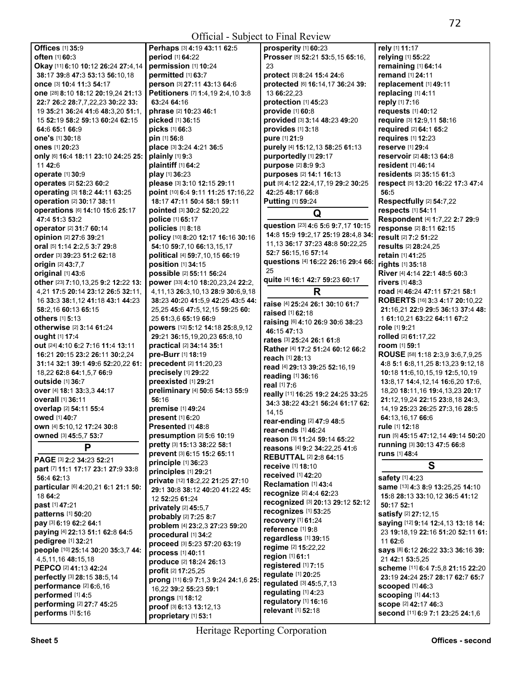| <b>Offices</b> [1] 35:9                          | Perhaps [3] 4:19 43:11 62:5                | prosperity [1] 60:23                     | rely [1] 11:17                       |
|--------------------------------------------------|--------------------------------------------|------------------------------------------|--------------------------------------|
| often [1] 60:3                                   | period [1] 64:22                           | Prosser [5] 52:21 53:5,15 65:16,         | relying [1] 55:22                    |
| Okay [11] 6:10 10:12 26:24 27:4,14               | permission [1] 10:24                       | 23                                       | remaining [1] 64:14                  |
| 38:17 39:8 47:3 53:13 56:10,18                   | permitted [1] 63:7                         | protect [3] 8:24 15:4 24:6               | remand [1] 24:11                     |
| <b>once</b> [3] 10:4 11:3 54:17                  | person [3] 27:11 43:13 64:6                | protected [6] 16:14,17 36:24 39:         | replacement [1] 49:11                |
|                                                  | Petitioners [7] 1:4,19 2:4,10 3:8          | 13 66:22,23                              | replacing [1] 4:11                   |
| <b>one</b> [28] <b>8:10 18:12 20:19,24 21:13</b> |                                            |                                          |                                      |
| 22:7 26:2 28:7,7,22,23 30:22 33:                 | 63:24 64:16                                | protection [1] 45:23                     | reply [1] 7:16                       |
| 19 35:21 36:24 41:6 48:3,20 51:1,                | phrase [2] 10:23 46:1                      | provide [1] 60:8                         | requests [1] 40:12                   |
| 15 52:19 58:2 59:13 60:24 62:15                  | picked [1] 36:15                           | provided [3] 3:14 48:23 49:20            | require [3] 12:9,11 58:16            |
| 64:6 65:1 66:9                                   | <b>picks</b> [1] 66:3                      | provides [1] 3:18                        | required [2] 64:1 65:2               |
| one's [1] 30:18                                  | pin [1] 56:8                               | pure [1] 21:9                            | requires [1] 12:23                   |
| <b>ones</b> [1] 20:23                            | place [3] 3:24 4:21 36:5                   | purely [4] 15:12,13 58:25 61:13          | reserve [1] 29:4                     |
|                                                  |                                            |                                          |                                      |
| only [6] 16:4 18:11 23:10 24:25 25:              | plainly [1] 9:3                            | purportedly [1] 29:17                    | reservoir [2] 48:13 64:8             |
| 11 42:6                                          | plaintiff [1] 64:2                         | purpose [2] 8:9 9:3                      | resident [1] 46:14                   |
| operate [1] 30:9                                 | play [1] 36:23                             | purposes [2] 14:1 16:13                  | <b>residents</b> [2] 35:15 61:3      |
| operates [2] 52:23 60:2                          | please [3] 3:10 12:15 29:11                | put [9] 4:12 22:4,17,19 29:2 30:25       | respect [5] 13:20 16:22 17:3 47:4    |
| operating [3] 18:2 44:11 63:25                   | point [10] 6:4 9:11 11:25 17:16,22         | 42:25 48:17 66:8                         | 56:5                                 |
| operation [2] 30:17 38:11                        | 18:17 47:11 50:4 58:1 59:11                | <b>Putting [1] 59:24</b>                 | Respectfully [2] 54:7,22             |
|                                                  |                                            |                                          |                                      |
| operations [6] 14:10 15:6 25:17                  | pointed [3] 30:2 52:20.22                  | Q                                        | respects [1] 54:11                   |
| 47:4 51:3 53:2                                   | police [1] 65:17                           |                                          | Respondent [4] 1:7,22 2:7 29:9       |
| operator [2] 31:7 60:14                          | policies [1] 8:18                          | question [23] 4:6 5:6 9:7,17 10:15       | response [2] 8:11 62:15              |
| opinion [2] 27:6 39:21                           | policy [10] 8:20 12:17 16:16 30:16         | 14:8 15:9 19:2,17 25:19 28:4,8 34:       | result [2] 7:2 51:22                 |
| oral [5] 1:14 2:2,5 3:7 29:8                     | 54:10 59:7,10 66:13,15,17                  | 11, 13 36: 17 37: 23 48: 8 50: 22, 25    | results [2] 28:24,25                 |
| order [3] 39:23 51:2 62:18                       | political [4] 59:7,10,15 66:19             | 52:7 56:15.16 57:14                      | retain [1] 41:25                     |
| origin [2] 43:7.7                                | position [1] 34:15                         | questions [4] 16:22 26:16 29:4 66:       | rights [1] 35:18                     |
|                                                  |                                            | 25                                       |                                      |
| original [1] 43:6                                | possible [2] 55:11 56:24                   | quite [4] 16:1 42:7 59:23 60:17          | River [4] 4:14 22:1 48:5 60:3        |
| other [23] 7:10,13,25 9:2 12:22 13:              | power [33] 4:10 18:20,23,24 22:2,          |                                          | rivers [1] 48:3                      |
| 4,21 17:5 20:14 23:12 26:5 32:11,                | 4, 11, 13 26: 3, 10, 13 28: 9 30: 6, 9, 18 | R                                        | road [4] 46:24 47:11 57:21 58:1      |
| 16 33:3 38:1,12 41:18 43:1 44:23                 | 38:23 40:20 41:5,9 42:25 43:5 44:          | raise [4] 25:24 26:1 30:10 61:7          | ROBERTS [16] 3:3 4:17 20:10,22       |
| 58:2,16 60:13 65:15                              | 25,25 45:6 47:5,12,15 59:25 60:            |                                          | 21:16,21 22:9 29:5 36:13 37:4 48:    |
| others [1] 5:13                                  | 25 61:3,6 65:19 66:9                       | <b>raised</b> [1] 62:18                  | 1 61:10,21 63:22 64:11 67:2          |
|                                                  |                                            | raising [6] 4:10 26:9 30:6 38:23         | role [1] 9:21                        |
| <b>otherwise</b> [2] 3:14 61:24                  | powers [12] 5:12 14:18 25:8,9,12           | 46:15 47:13                              |                                      |
| ought [1] 17:4                                   | 29:21 36:15,19,20,23 65:8,10               | rates [3] 25:24 26:1 61:8                | rolled [2] 61:17,22                  |
| out [24] 4:10 6:2 7:16 11:4 13:11                | practical [2] 34:14 35:1                   | Rather [4] 17:2 51:24 60:12 66:2         | room [1] 59:1                        |
| 16:21 20:15 23:2 26:11 30:2,24                   | pre-Burr [1] 18:19                         | reach [1] 28:13                          | ROUSE [58] 1:18 2:3,9 3:6,7,9,25     |
| 31:14 32:1 39:1 49:6 52:20,22 61:                | precedent [2] 11:20,23                     |                                          | 4:8 5:1 6:8,11,25 8:13,23 9:12,18    |
| 18,22 62:8 64:1,5,7 66:9                         | precisely [1] 29:22                        | read [4] 29:13 39:25 52:16,19            | 10:18 11:6,10,15,19 12:5,10,19       |
| <b>outside</b> [1] 36:7                          | preexisted [1] 29:21                       | reading [1] 36:16                        | 13:8, 17 14:4, 12, 14 16:6, 20 17:6, |
|                                                  |                                            | real [1] 7:6                             |                                      |
| over [4] 18:1 33:3.3 44:17                       | preliminary [4] 50:6 54:13 55:9            | really [11] 16:25 19:2 24:25 33:25       | 18,20 18:11,16 19:4,13,23 20:17      |
| <b>overall</b> [1] 36:11                         | 56:16                                      | 34:3 38:22 43:21 56:24 61:17 62:         | 21:12, 19, 24 22:15 23:8, 18 24:3,   |
| overlap [2] 54:11 55:4                           | premise [1] 49:24                          | 14,15                                    | 14, 19 25: 23 26: 25 27: 3, 16 28: 5 |
| owed [1] 40:7                                    | present [1] 6:20                           | <b>rear-ending</b> [2] <b>47:9 48:</b> 5 | 64:13,16,17 66:6                     |
| own [4] 5:10,12 17:24 30:8                       | Presented [1] 48:8                         |                                          | rule [1] 12:18                       |
| owned [3] 45:5,7 53:7                            | presumption [2] 5:6 10:19                  | rear-ends [1] 46:24                      | run [5] 45:15 47:12,14 49:14 50:20   |
|                                                  | pretty [3] 15:13 38:22 58:1                | reason [3] 11:24 59:14 65:22             | running [3] 30:13 47:5 66:8          |
| P                                                |                                            | reasons [4] 9:2 34:22,25 41:6            |                                      |
| PAGE [3] 2:2 34:23 52:21                         | prevent [3] 6:15 15:2 65:11                | <b>REBUTTAL [2] 2:8 64:15</b>            | runs [1] 48:4                        |
|                                                  | principle [1] 36:23                        | receive [1] 18:10                        | S                                    |
| part [7] 11:1 17:17 23:1 27:9 33:8               | principles [1] 29:21                       | received [1] 42:20                       |                                      |
| 56:4 62:13                                       | private [12] 18:2,22 21:25 27:10           | Reclamation [1] 43:4                     | safety [1] 4:23                      |
| particular [6] 4:20,21 6:1 21:1 50:              | 29:1 30:8 38:12 40:20 41:22 45:            | recognize [2] 4:4 62:23                  | same [13] 4:3 8:9 13:25,25 14:10     |
| 18 64:2                                          | 12 52:25 61:24                             |                                          | 15:8 28:13 33:10,12 36:5 41:12       |
| past [1] 47:21                                   | privately [2] 45:5.7                       | recognized [3] 20:13 29:12 52:12         | 50:17 52:1                           |
| <b>patterns</b> [1] <b>50:20</b>                 | probably [2] 7:25 8:7                      | recognizes [1] 53:25                     | satisfy [2] 27:12,15                 |
| pay [3] 6:19 62:2 64:1                           |                                            | recovery [1] 61:24                       | saying [12] 9:14 12:4,13 13:18 14:   |
| paying [4] 22:13 51:1 62:8 64:5                  | problem [4] 23:2,3 27:23 59:20             | reference [1] 9:8                        | 23 19:18,19 22:16 51:20 52:11 61:    |
|                                                  | procedural [1] 34:2                        | regardless [1] 39:15                     |                                      |
| pedigree [1] 32:21                               | proceed [3] 5:23 57:20 63:19               | regime [2] 15:22,22                      | 11 62:6                              |
| people [10] 25:14 30:20 35:3,7 44:               | process [1] 40:11                          |                                          | says [8] 6:12 26:22 33:3 36:16 39:   |
| 4,5,11,16 48:15,18                               | produce [2] 18:24 26:13                    | region [1] 61:1                          | 21 42:1 53:5,25                      |
| PEPCO [2] 41:13 42:24                            | profit [2] 17:25,25                        | registered [1] 7:15                      | scheme [11] 6:4 7:5,8 21:15 22:20    |
| perfectly [3] 28:15 38:5,14                      |                                            | regulate [1] 20:25                       | 23:19 24:24 25:7 28:17 62:7 65:7     |
| performance [2] 6:6,16                           | prong [11] 6:9 7:1,3 9:24 24:1,6 25:       | regulated [3] 45:5,7,13                  | scooped [1] 46:3                     |
| performed [1] 4:5                                | 16,22 39:2 55:23 59:1                      | regulating [1] 4:23                      |                                      |
|                                                  | prongs [1] 18:12                           | regulatory [1] 16:16                     | <b>scooping [1] 44:13</b>            |
| performing [2] 27:7 45:25                        | proof [3] 6:13 13:12,13                    | relevant [1] 52:18                       | <b>scope [2] 42:17 46:3</b>          |
| performs [1] 5:16                                | proprietary [1] 53:1                       |                                          | second [11] 6:9 7:1 23:25 24:1,6     |
|                                                  |                                            |                                          |                                      |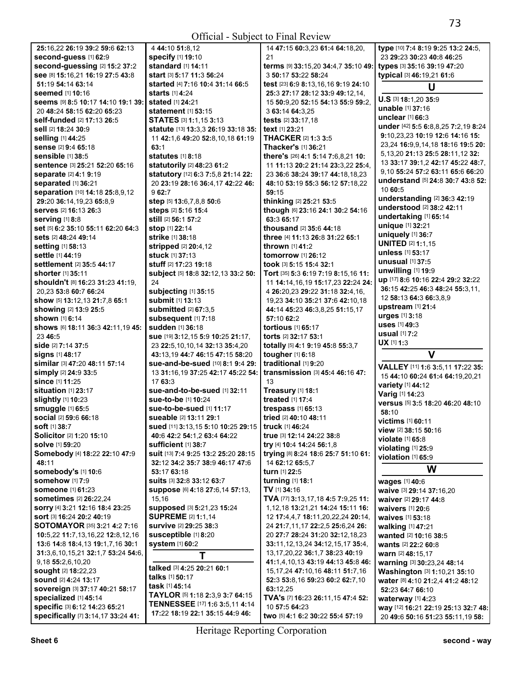Official - Subject to Final Review

| 25:16,22 26:19 39:2 59:6 62:13                 | 4 44:10 51:8,12                              | 14 47:15 60:3,23 61:4 64:18,20,              | type [10] 7:4 8:19 9:25 13:2 24:5,    |
|------------------------------------------------|----------------------------------------------|----------------------------------------------|---------------------------------------|
| second-guess [1] 62:9                          | specify [1] 19:10                            | 21                                           | 23 29:23 30:23 40:8 46:25             |
| second-guessing [2] 15:2 37:2                  | standard [1] 14:11                           | terms [9] 33:15,20 34:4,7 35:10 49:          | types [3] 35:16 39:19 47:20           |
| see [8] 15:16,21 16:19 27:5 43:8               | <b>start</b> [3] <b>5:17 11:3 56:24</b>      | 3 50:17 53:22 58:24                          | typical [3] 46:19,21 61:6             |
| 51:19 54:14 63:14                              | <b>started</b> [4] 7:16 10:4 31:14 66:5      | test [23] 6:9 8:13,16,16 9:19 24:10          | U                                     |
| seemed [1] 10:16                               | <b>starts</b> [1] 4:24                       | 25:3 27:17 28:12 33:9 49:12,14,              |                                       |
| Seems [9] 8:5 10:17 14:10 19:1 39:             | stated [1] 24:21                             | 15 50:9.20 52:15 54:13 55:9 59:2.            | U.S [3] 18:1,20 35:9                  |
| 20 48:24 58:15 62:20 65:23                     | <b>statement</b> [1] <b>53:15</b>            | 3 63:14 64:3,25                              | unable [1] 37:16                      |
| <b>self-funded</b> [2] 17:13 26:5              | STATES [3] 1:1,15 3:13                       | tests [2] 33:17,18                           | unclear [1] 66:3                      |
| <b>sell</b> [2] 18:24 30:9                     | statute [13] 13:3,3 26:19 33:18 35:          | text [1] 23:21                               | under [42] 5:5 6:8,8,25 7:2,19 8:24   |
| selling [1] 44:25                              | 11 42:1,6 49:20 52:8,10,18 61:19             | <b>THACKER [2] 1:3 3:5</b>                   | 9:10,23,23 10:19 12:6 14:16 15:       |
| sense [2] 9:4 65:18                            | 63:1                                         | Thacker's [1] 36:21                          | 23,24 16:9,9,14,18 18:16 19:5 20:     |
| <b>sensible</b> [1] 38:5                       | statutes [1] 8:18                            | there's [26] 4:1 5:14 7:6,8,21 10:           | 5, 13, 20 21: 13 25: 5 28: 11, 12 32: |
| sentence [3] 25:21 52:20 65:16                 | statutorily [2] 48:23 61:2                   | 11 11:13 20:2 21:14 23:3,22 25:4,            | 13 33:17 39:1,2 42:17 45:22 48:7,     |
| separate [2] 4:1 9:19                          | statutory [12] 6:3 7:5,8 21:14 22:           | 23 36:6 38:24 39:17 44:18.18.23              | 9,10 55:24 57:2 63:11 65:6 66:20      |
| separated [1] 36:21                            | 20 23:19 28:16 36:4,17 42:22 46:             | 48:10 53:19 55:3 56:12 57:18,22              | understand [5] 24:8 30:7 43:8 52:     |
| separation [10] 14:18 25:8,9,12                | 962:7                                        | 59:15                                        | 10 60:5                               |
| 29:20 36:14,19,23 65:8,9                       | step [5] 13:6,7,8,8 50:6                     | thinking [2] 25:21 53:5                      | understanding [2] 36:3 42:19          |
| <b>serves</b> [2] <b>16:13 26:3</b>            | steps [2] 5:16 15:4                          | though [6] 23:16 24:1 30:2 54:16             | understood [2] 38:2 42:11             |
| <b>serving</b> [1] 8:8                         | <b>still</b> [2] 56:1 57:2                   | 63:3 65:17                                   | undertaking [1] 65:14                 |
| set [5] 6:2 35:10 55:11 62:20 64:3             | stop [1] 22:14                               | thousand [2] 35:6 44:18                      | unique [1] 32:21                      |
| sets [2] 48:24 49:14                           | strike [1] 38:18                             | three [4] 11:13 26:8 31:22 65:1              | uniquely [1] 36:7                     |
| setting [1] 58:13                              | <b>stripped</b> [2] <b>20:</b> 4,12          | thrown [1] 41:2                              | <b>UNITED [2] 1:1,15</b>              |
| settle [1] 44:19                               | stuck [1] 37:13                              | tomorrow [1] 26:12                           | unless [1] 53:17                      |
| settlement [2] 35:5 44:17                      | stuff [2] 17:23 19:18                        | took [3] 5:15 15:4 32:1                      | unusual $[1]$ 37:5                    |
| <b>shorter</b> [1] 35:11                       | subject [5] 18:8 32:12,13 33:2 50:           | Tort [35] 5:3 6:19 7:19 8:15,16 11:          | unwilling $[1]$ 19:9                  |
| <b>shouldn't</b> [8] <b>16:23 31:23 41:19.</b> | 24                                           | 11 14:14, 16, 19 15:17, 23 22: 24 24:        | up [17] 8:6 10:16 22:4 29:2 32:22     |
| 20,23 53:8 60:7 66:24                          | subjecting [1] 35:15                         | 4 26:20,23 29:22 31:18 32:4,16,              | 36:15 42:25 46:3 48:24 55:3,11,       |
| show [5] 13:12,13 21:7,8 65:1                  | submit [1] 13:13                             | 19,23 34:10 35:21 37:6 42:10,18              | 12 58:13 64:3 66:3,8,9                |
| showing [2] 13:9 25:5                          | submitted [2] 67:3,5                         |                                              | upstream [1] 21:4                     |
| shown [1] 6:14                                 |                                              | 44:14 45:23 46:3,8,25 51:15,17<br>57:10 62:2 | urges [1] 3:18                        |
|                                                | subsequent [1] 7:18<br>sudden [1] 36:18      | tortious [1] 65:17                           | <b>uses</b> [1] 49:3                  |
| shows [6] 18:11 36:3 42:11,19 45:              |                                              |                                              | usual [1] 7:2                         |
| 23 46:5                                        | sue [19] 3:12,15 5:9 10:25 21:17,            | torts [2] 32:17 53:1                         | $UX$ [1] 1:3                          |
| <b>side</b> [2] 7:14 37:5                      | 23 22:5, 10, 10, 14 32: 13 35: 4, 20         | totally [5] 4:1 9:19 45:8 55:3,7             | $\mathbf v$                           |
| signs [1] 48:17                                | 43:13,19 44:7 46:15 47:15 58:20              | tougher [1] 6:18                             |                                       |
| <b>similar</b> [3] 47:20 48:11 57:14           | sue-and-be-sued [10] 8:1 9:4 29:             | traditional [1] 9:20                         | VALLEY [11] 1:6 3:5,11 17:22 35:      |
| simply [2] 24:9 33:5                           | 13 31:16.19 37:25 42:17 45:22 54:            | transmission [3] 45:4 46:16 47:              | 15 44:10 60:24 61:4 64:19,20,21       |
| since [1] 11:25                                | 17 63:3                                      | 13                                           | variety [1] 44:12                     |
| situation $[1]$ 23:17                          | sue-and-to-be-sued [1] 32:11                 | Treasury [1] 18:1                            | Varig [1] 14:23                       |
| slightly [1] 10:23                             | <b>sue-to-be</b> [1] <b>10:24</b>            | treated [1] 17:4                             | versus [5] 3:5 18:20 46:20 48:10      |
| smuggle [1] 65:5                               | sue-to-be-sued [1] 11:17                     | trespass [1] 65:13                           | 58:10                                 |
| social [2] 59:6 66:18                          | sueable [2] 13:11 29:1                       | tried [2] 40:10 48:11                        | victims [1] 60:11                     |
| <b>soft</b> [1] 38:7                           | sued [11] 3:13,15 5:10 10:25 29:15           | truck [1] 46:24                              | view [2] 38:15 50:16                  |
| Solicitor [2] 1:20 15:10                       | 40:6 42:2 54:1,2 63:4 64:22                  | true [3] 12:14 24:22 38:8                    | violate [1] 65:8                      |
| <b>solve</b> [1] 59:20                         | <b>sufficient</b> [1] 38:7                   | try [4] 10:4 14:24 56:1,8                    | violating [1] 25:9                    |
| Somebody [4] 18:22 22:10 47:9                  | suit [13] 7:4 9:25 13:2 25:20 28:15          | trying [8] 8:24 18:6 25:7 51:10 61:          | violation [1] 65:9                    |
| 48:11                                          | 32:12 34:2 35:7 38:9 46:17 47:6              | 14 62:12 65:5,7                              | W                                     |
| somebody's [1] 10:6                            | 53:17 63:18                                  | turn [1] 22:5                                |                                       |
| <b>somehow</b> [1] 7:9                         | Suits [3] 32:8 33:12 63:7                    | turning [1] 18:1                             | wages [1] 40:6                        |
| <b>someone</b> [1] 61:23                       | Suppose [6] 4:18 27:6,14 57:13,              | TV [1] 34:16                                 | waive [3] 29:14 37:16,20              |
| <b>sometimes</b> [2] <b>26:22,24</b>           | 15,16                                        | TVA [77] 3:13,17,18 4:5 7:9,25 11:           | waiver [2] 29:17 44:8                 |
| sorry [4] 3:21 12:16 18:4 23:25                | supposed [3] 5:21,23 15:24                   | 1,12,18 13:21,21 14:24 15:11 16:             | waivers [1] 20:6                      |
| sort [3] 16:24 20:2 40:19                      | <b>SUPREME [2] 1:1,14</b>                    | 12 17:4,4,7 18:11,20,22,24 20:14,            | waives [1] 53:18                      |
| <b>SOTOMAYOR</b> [35] <b>3:21 4:2 7:16</b>     | survive [2] 29:25 38:3                       | 24 21:7,11,17 22:2,5 25:6,24 26:             | walking [1] 47:21                     |
| 10:5,22 11:7,13,16,22 12:8,12,16               | susceptible [1] 8:20                         | 20 27:7 28:24 31:20 32:12,18,23              | wanted [2] 10:16 38:5                 |
| 13:6 14:8 18:4,13 19:1,7,16 30:1               | system [1] 60:2                              | 33:11, 12, 13, 24 34:12, 15, 17 35:4,        | wants [2] 22:2 60:8                   |
| 31:3,6,10,15,21 32:1,7 53:24 54:6,             | T                                            | 13,17,20,22 36:1,7 38:23 40:19               | warn [2] 48:15,17                     |
| 9,18 55:2,6,10,20                              | talked [3] 4:25 20:21 60:1                   | 41:1,4,10,13 43:19 44:13 45:8 46:            | warning [3] 30:23,24 48:14            |
| <b>sought</b> [2] <b>18:22,23</b>              |                                              | 15, 17, 24 47: 10, 16 48: 11 51: 7, 16       | Washington [3] 1:10,21 35:10          |
| <b>sound [2] 4:24 13:17</b>                    | talks [1] 50:17<br>task [1] 45:14            | 52:3 53:8,16 59:23 60:2 62:7,10              | water [8] 4:10 21:2,4 41:2 48:12      |
| sovereign [3] 37:17 40:21 58:17                |                                              | 63:12,25                                     | 52:23 64:7 66:10                      |
| specialized [1] 45:14                          | TAYLOR [5] 1:18 2:3,9 3:7 64:15              | TVA's [7] 16:23 26:11,15 47:4 52:            | waterway [1] 4:23                     |
| specific [3] 6:12 14:23 65:21                  | <b>TENNESSEE</b> [17] <b>1:6 3:5,11 4:14</b> | 10 57:5 64:23                                | way [12] 16:21 22:19 25:13 32:7 48:   |
| specifically [7] 3:14,17 33:24 41:             | 17:22 18:19 22:1 35:15 44:9 46:              | two [5] 4:1 6:2 30:22 55:4 57:19             | 20 49:6 50:16 51:23 55:11,19 58:      |

20 **49:**6 **50:**16 **51:**23 **55:**11,19 **58:**